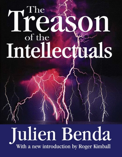# Treason Intellectuals

Julien Benda With a new introduction by Roger Kimball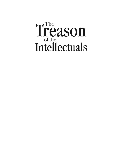# The ason Intellectuals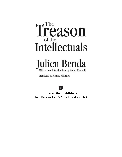### Treason of the Intellectuals

## Julien Benda

With a new introduction by Roger Kimball

Translated by Richard Aldington



#### **Transaction Publishers**

New Brunswick (U.S.A.) and London (U.K.)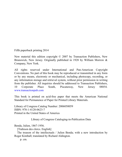Fifth paperback printing 2014

New material this edition copyright © 2007 by Transaction Publishers, New Brunswick, New Jersey. Originally published in 1928 by William Morrow & Company, New York.

All rights reserved under International and Pan-American Copyright Conventions. No part of this book may be reproduced or transmitted in any form or by any means, electronic or mechanical, including photocopy, recording, or any information storage and retrieval system, without prior permission in writing from the publisher. All inquiries should be addressed to Transaction Publishers, 10 Corporate Place South, Piscataway, New Jersey 08854. [www.transactionpub.com](http://www.transactionpub.com)

This book is printed on acid-free paper that meets the American National Standard for Permanence of Paper for Printed Library Materials.

Library of Congress Catalog Number: 2006050059 ISBN: 978-1-4128-0623-7 Printed in the United States of America

Library of Congress Cataloging-in-Publication Data

Benda, Julien, 1867-1956.

[Trahison des clercs. English]

The treason of the intellectuals / Julien Benda; with a new introduction by Roger Kimball; translated by Richard Aldington.

p. cm.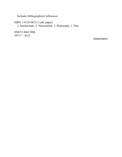Includes bibliographical references.

ISBN 1-4128-0623-2 (alk. paper) 1. Intellectuals. 2. Nationalism. 3. Philosophy. I. Title.

HM213.B44 2006 305.5'—dc22

2006050059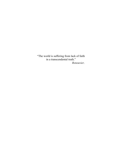"The world is suffering from lack of faith in a transcendental truth." *Renouvier*.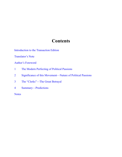#### **Contents**

<span id="page-6-0"></span>[Introduction](#page-7-0) to the Transaction Edition

<span id="page-6-1"></span>[Translator's](#page-18-0) Note

<span id="page-6-2"></span>Author's [Foreword](#page-19-0)

- <span id="page-6-3"></span>1 The Modern [Perfecting](#page-20-0) of Political Passions
- <span id="page-6-4"></span>2 Significance of this [Movement—Nature](#page-34-0) of Political Passions
- 3 The ["Clerks"—The](#page-38-0) Great Betrayal
- 4 [Summary—Predictions](#page-106-0)

**[Notes](#page-118-0)**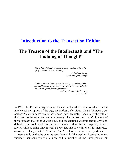#### <span id="page-7-0"></span>**[Introduction](#page-6-0) to the Transaction Edition**

#### **The Treason of the Intellectuals and "The Undoing of Thought"**

*"When hatred of culture becomes itself a part of culture, the life of the mind loses all meaning."*

> *—Alain Finkielkraut, The Undoing of Thought*

*"Today we are trying to spread knowledge everywhere. Who knows if in centuries to come there will not be universities for reestablishing our former ignorance?" —Georg Christoph Lichtenberg*

*(1742–1799)*

#### **I**

In 1927, the French essayist Julien Benda published his famous attack on the intellectual corruption of the age, *La Trahison des clercs.* I said "famous", but perhaps "once famous" would have been more accurate. Today, only the title of the book, not its argument, enjoys currency. "La trahison des clercs": it is one of those phrases that bristles with hints and associations without stating anything definite. The book itself, as Jacques Barzun said of Walter Bagehot, is well known without being known well. I hope that this new edition of this neglected classic will change that. *La Trahison des clercs* has never been more pertinent.

Benda tells us that he uses the term "clerc" in "the medi eval sense" to mean "scribe"—someone we would now call a member of the intelligentsia, an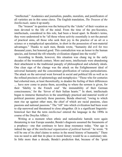"intellectual." Academics and journalists, pundits, moralists, and pontificators of all varieties are in this sense clercs. The English translation, *The Treason of the Intellectuals,* sums it up neatly.

The "treason" in question was the betrayal by the "clerks" of their vocation as men devoted to the life of the mind. From the time of the pre-Socratics, intellectuals, considered in this role, had been a breed apart. In Benda's terms, they were understood to be "all those whose activity essentially is not the pursuit of practical aims, all those who seek their joy in the practice of an art or a science or a metaphysical speculation, in short in the possession of non-material advantages." Thanks to such men, Benda wrote, "humanity did evil for two thousand years, but honored good. This contradiction was an honor to the human species, and formed the rift whereby civilization slipped into the world."

According to Benda, however, this situation was chang ing in the early decades of the twentieth century. More and more, intellectuals were abandoning their attachment to the traditional panoply of philosophical and scholarly ideals. One clear sign of the change was the attack on the Enlightenment ideal of universal humanity and the concomitant glorification of various particularisms. The attack on the universal went forward in social and political life as well as in the refined precincts of epistemology and metaphysics: "Those who for centuries had exhorted men, at least theoretically, to deaden the feeling of their differences … have now come to praise them, according to where the sermon is given, for their 'fidelity to the French soul' 'the immutability of their German consciousness,' for the 'fervor of their Italian hearts.'" In short, intellectuals began to immerse themselves in the unsettlingly practical and material world of political passions: precisely those passions, Benda observed, "owing to which men rise up against other men, the chief of which are racial passions, class passions and national passions." The "rift" into which civilization had been wont to slip narrowed and threatened to close altogether. (It is a significant linguistichistorical fact that the term *intellectuel* entered the language in the 1890s in course of the Dreyfus Affair.)

Writing at a moment when ethnic and nationalistic hatreds were again threatening to tear Europe asunder, Benda's diagnosis assumed the lineaments of a prophecy—one that continues to have deep resonance today. "Our age is indeed the age of the *intellectual organization of political hatreds"* he wrote. "It will be one of its chief claims to notice in the moral history of humanity." There was no need to add that its place in moral history would be as a cautionary tale. In little more than a decade, Benda's prediction that, because of the "great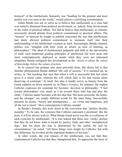betrayal" of the intellectuals, humanity was "heading for the greatest and most perfect war ever seen in the world," would achieve a terrifying corroboration.

Julien Benda was not so naïve as to believe that intellectuals as a class had ever entirely abstained from political involvement, or, indeed, from involvement in the realm of practical affairs. Nor did he believe that intellectuals, as citizens, necessarily should abstain from political commitment or practical affairs. The "treason" or betrayal he sought to publish concerned the way that intellectuals had lately allowed political commitment to insinuate itself into their understanding of the intellectual vocation as such. Increasingly, Benda claimed, politics was "mingled with their work as artists, as men of learning, as philosophers." The ideal of disinterested judgment and faith in the universality of truth: such traditional guiding principles of intellectual life were more and more contemptuously deployed as masks when they were not jettisoned altogether. Benda castigated this development as the *"desire to abase the values of knowledge before the values of action."*

In its crassest but perhaps also most powerful form, this desire led to that familiar phenomenon Benda dubbed "the cult of success." It is summed up, he writes, in "the teaching that says that when a will is successful that fact alone gives it a moral value, whereas the will which fails is for that reason alone deserving of contempt." In itself, this idea is hardly novel, as history from the Greek sophists on down reminds us. In Plato's *Gorgias,* for instance, the sophist Callicles expresses his contempt for Socrates' devotion to philosophy: "I feel toward philosophers very much as I do toward those who lisp and play the child." Callicles taunts Socrates with the idea that "the more powerful, the better, and the stronger" are simply different words for the same thing. Successfully pursued, he insists, "luxury and intemperance … *are* virtue and happiness, and all the rest is tinsel." How contemporary Callicles sounds!

In Benda's formula, this boils down to the conviction that "politics decides morality." To be sure, the cynicism that Callicles espoused is perennial: like the poor, it will be always with us. What Benda found novel was the *accreditation* of such cynicism by intellectuals. "It is true indeed that these new 'clerks' declare that they do not know what is meant by justice, truth, and other 'metaphysical fogs,' that for them the true is determined by the useful, the just by circumstances," he noted. "All these things were taught by Callicles, but with this difference; he revolted all the important thinkers of his time."

In other words, the real treason of the intellectuals was not that they countenanced Callicles but that they championed him. To appreciate the force of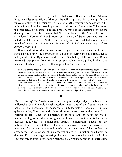Benda's thesis one need only think of that most influential modern Callicles, Friedrich Nietzsche. His doctrine of "the will to power," his contempt for the "slave morality" of Christianity, his plea for an ethic "beyond good and evil," his infatuation with violence—all epitomize the disastrous "pragmatism" that marks the intellectual's "treason." The real problem was not the unattainability but the disintegration of ideals: an event that Nietzsche hailed as the "transvaluation of all values." "Formerly," Benda observed, "leaders of States practiced realism, but did not honor it; … With them morality was violated but moral notions remained intact; *and that is why, in spite of all their violence, they did not disturb civilization."*

Benda understood that the stakes were high: the treason of the intellectuals signaled not simply the corruption of a bunch of scribblers but a fundamental betrayal of culture. By embracing the ethic of Callicles, intellectuals had, Benda reckoned, precipitated "one of the most remarkable turning points in the moral history of the human species." "It is impossible," he continued,

to exaggerate the importance of a movement whereby those who for twenty centuries taught Man that the criterion of the morality of an act is its disinterestedness, that good is a decree of his reason insofar as it is universal, that his will is only moral if it seeks its law outside its objects, should begin to teach him that the moral act is the act whereby he secures his existence against an environment which disputes it, that his will is moral insofar as it is a will "to power," that the part of his soul which determines what is good is its "will to live" wherein it is most "hostile to all reason," that the morality of an act is measured by its adaptation to its end, and that the only morality is the morality of circumstances. The educators of the human mind now take sides with Callicles against Socrates, a revolution which I dare to say seems to me more important than all political upheavals.

#### **II**

*The Treason of the Intellectuals* is an energetic hodgepodge of a book. The philosopher Jean-François Revel described it as "one of the fussiest pleas on behalf of the necessary independence of intellectuals." Certainly it is rich, quirky, erudite, digressive, and polemical: more an exclamation than an analysis. Partisan in its claims for disinterestedness, it is ruthless in its defense of intellectual high-mindedness. Yet given the horrific events that unfolded in the decades following its publication, Benda's unremitting attack on the politicization of the intellect and ethnic separatism cannot but strike us as prescient. And given the continuing echo in our own time of the problems he anatomized, the relevance of his observations to our situation can hardly be doubted. From the savage flowering of ethnic and religious hatreds in the Middle East and throughout Europe to the mendacious demands for political correctness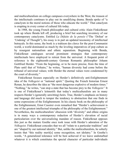and multiculturalism on college campuses everywhere in the West, the treason of the intellectuals continues to play out its unedifying drama. Benda spoke of "a cataclysm in the moral notions of those who educate the world." That cataclysm is erupting in every corner of cultural life today.

In 1988, the young French philosopher and cultural critic Alain Finkielkraut took up where Benda left off, producing a brief but searching inventory of our contemporary cataclysms. Entitled *La Défaite de la pensée* ("The 'Defeat' or 'Undoing' of Thought"), his essay is in part an updated taxonomy of intellectual betrayals. In this sense, the book is a trahison des clercs for the post-Communist world, a world dominated as much by the leveling imperatives of pop culture as by resurgent nationalism and ethnic separatism. Beginning with Benda, Finkielkraut catalogues several prominent strategies that contemporary intellectuals have employed to retreat from the universal. A frequent point of reference is the eighteenth-century German Romantic philosopher Johann Gottfried Herder. "From the beginning, or to be more precise, from the time of Plato until that of Voltaire," he writes, "human diversity had come before the tribunal of universal values; with Herder the eternal values were condemned by the court of diversity."

Finkielkraut focuses especially on Herder's definitively anti-Enlightenment idea of the *Volksgeist* or "national spirit." Quoting the French historian Ernest Renan, he describes the idea as "the most dangerous explosive of modern times." "Nothing," he writes, "can stop a state that has become prey to the *Volksgeist"* It is one of Finkielkraut's leitmotifs that today's multiculturalists are in many respects Herder's (generally unwitting) heirs. True, Herder's emphasis on history and language did much to temper the tendency to abstraction that one finds in some expressions of the Enlightenment. In his classic book on the philosophy of the Enlightenment, Ernst Cassirer even remarked that "Herder's achievement is one of the greatest intellectual triumphs of the philosophy of the Enlightenment." Nevertheless, the multiculturalists' obsession with "diversity" and ethnic origins is in many ways a contemporary redaction of Herder's elevation of racial particularism over the universalizing mandate of reason. Finkielkraut opposes this just as the mature Goethe once took issue with Herder's adoration of the *Volksgeist.* Finkielkraut concedes that we all "relate to a particular tradition" and are "shaped by our national identity." But, unlike the multiculturalists, he soberly insists that "this reality merit[s] some recognition, not idolatry." In Goethe's words, "A generalized tolerance will be best achieved if we leave undisturbed whatever it is which constitutes the special character of particular individuals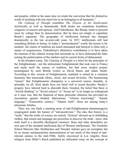and peoples, whilst at the same time we retain the conviction that the distinctive worth of anything with true merit lies in its belonging to all humanity."

*The Undoing of Thought* resembles *The Treason of the Intellectuals* stylistically as well as thematically. Both books are sometimes breathless congeries of sources and aperçus. And Finkielkraut, like Benda, tends to proceed more by collage than by demonstration. But he does not simply re capitulate Benda's argument. The geography of intellectual betrayal has changed dramatically in the last seventy-odd years. In 1927, intellectuals still had something definite to betray. In today's "postmodernist" world, the terrain is far mushier: the claims of tradition are much attenuated and betrayal is often only a matter of acquiescence. Finkielkraut's distinctive contribution is to have taken the measure of the cultural swamp that surrounds us, to have delineated the links joining the politicization of the intellect and its current forms of debasement.

In the broadest terms, *The Undoing of Thought* is a brief for the principles of the Enlightenment—not the antinomian Enlightenment that took root in France and made itself the enemy of tradition, but that more modest project promulgated by such British writers as David Hume and Adam Smith. According to this version of Enlightenment, mankind is united by a common humanity that transcends ethnic, racial, and sexual divisions. The humanizing "reason" that Enlightenment champions is a universal reason, sharable, in principle, by all. Such ideals have not fared well in recent decades: Herder's progeny have labored hard to discredit them. Granted, the belief that there is "Jewish thinking" or "Soviet science" or "Aryan art" is no longer as widespread as it once was. But the dispersal of these particular chimeras has provided no inoculation against kindred fabrications: "African knowledge," "female language," "Eurocentric science," "Islamic truth": these are among today's talismanic fetishes.

Then, too, one finds a stunning array of anti-Enlightenment phantasmagoria congregated under the banner of "anti-positivism." The idea that history is a "myth," that the truths of science are merely "fictions" dressed up in forbidding clothes, that reason and language are powerless to discover the truth—more, that truth itself is a deceitful ideological construct: these and other absurdities are now part of the standard intellectual diet of Western intellectuals. The Frankfurt School Marxists Max Horkheimer and Theodor Adorno gave an exemplary but by no means uncharacteristic demonstration of one strain of this brand of antirational animus in the mid-1940s. Safely ensconced in Los Angeles, these refugees from Hitler's Reich published an influential essay on the concept of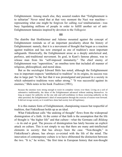Enlightenment. Among much else, they assured readers that "Enlightenment is to talitarian" Never mind that at that very moment the Nazi war machine representing what one might be forgiven for calling *real* totalitarianism—was busy liquidating millions of people in order to fulfill another set of anti-Enlightenment fantasies inspired by devotion to the *Volksgeist.*

#### **III**

The diatribe that Horkheimer and Adorno mounted against the concept of Enlightenment reminds us of an important peculiarity about the history of Enlightenment: namely, that it is a movement of thought that began as a reaction against tradition and has now emerged as one of tradition's most important safeguards. Historically, the Enlightenment arose as a deeply anticlerical and, perforce, anti-traditional movement. Its goal, in Kant's famous phrase, was to release man from his "self-imposed immaturity." The chief enemy of Enlightenment was "superstition," an omnibus term that included all manner of religious, philosophical, and moral ideas.

But as the sociologist Edward Shils has noted, although the Enlightenment was in important respects "antithetical to tradition" in its origins, its success was due in large part "to the fact that it was promulgated and pursued in a society in which substantive traditions were rather strong." "It was successful against its enemies," Shils notes in his book *Tradition* (1981),

because the enemies were strong enough to resist its complete victory over them. Living on a soil of substantive traditionality, the ideas of the Enlightenment advanced without undoing themselves. As long as respect for authority on the one side and self-confidence in those exercising authority on the other persisted, the Enlightenment's ideal of emancipation through the exercise of reason went forward. It did not ravage society as it would have done had society lost all legitimacy.

It is this mature form of Enlightenment, championing reason but respectful of tradition, that Finkielkraut holds up as an ideal.

What Finkielkraut calls "the undoing of thought" flows from the widespread disintegration of a faith. At the center of that faith is the assumption that the life of thought is "the higher life" and that culture—what the Germans call *Bildung* —is its end or goal. The process of disintegration has lately become an explicit attack on culture. This is not simply to say that there are many anti-intellectual elements in society: that has always been the case. "Non-thought," in Finkielkraut's phrase, has always co-existed with the life of the mind. The innovation of contemporary culture is to have obliterated the distinction between the two. "It is," he writes, "the first time in European history that non-thought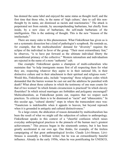has donned the same label and enjoyed the same status as thought itself, and the first time that those who, in the name of 'high culture,' dare to call this nonthought by its name, are dismissed as racists and reactionaries." The attack is perpetrated not from outside, by uncomprehending barbarians, but chiefly from inside, by a new class of barbarians, the self-made barbarians of the intelligentsia. This is the undoing of thought. This is the new "treason of the intellectuals"

There are many sides to this phenomenon. What Finkielkraut has given us is not a systematic dissection but a kind of pathologist's scrapbook. He reminds us, for example, that the multiculturalists' demand for "diversity" requires the eclipse of the individual in favor of the group. "Their most extraordinary feat," he observes, "is to have put forward as the ultimate individual liberty the unconditional primacy of the collective." Western rationalism and individualism are rejected in the name of a more "authentic" cult.

One example: Finkielkraut quotes a champion of multi-culturalism who maintains that "to help immigrants means first of all respecting them for what they are, respecting whatever they aspire to in their national life, in their distinctive culture and in their attachment to their spiritual and religious roots." Would this, Finkielkraut asks, include "respecting" those religious codes which demanded that the barren woman be cast out and the adultress be punished with death? What about those cultures in which the testimony of one man counts for that of two women? In which female circumcision is practiced? In which slavery flourishes? In which mixed marriages are forbidden and polygamy encouraged? Multiculturalism, as Finkielkraut points out, requires that we respect such practices. To criticize them is to be dismissed as "racist" and "ethnocentric." In this secular age, "cultural identity" steps in where the transcendent once was: "Fanaticism is indefensible when it appeals to heaven, but beyond reproach when it is grounded in antiquity and cultural distinctiveness."

To a large extent, the abdication of reason demanded by multiculturalism has been the result of what we might call the subjection of culture to anthropology. Finkielkraut speaks in this context of a "cheerful confusion which raises everyday anthropological practices to the pinnacle of the human race's greatest achievements." This process began in the nineteenth century, but it has been greatly accelerated in our own age. One thinks, for example, of the tireless campaigning of that great anthropological leveler, Claude Lévi-Strauss. Lévi-Strauss is assuredly a brilliant writer; but he was an extraordinarily baneful influence. Already in the early 1950s, when he was pontificating for UNESCO,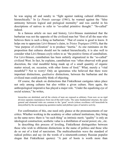he was urging all and sundry to "fight against ranking cultural differences hierarchically." In *La Pensée sauvage* (1961), he warned against the "false antinomy between logical and prelogical mentality" and was careful in his descriptions of natives to refer to "so-called primitive thought." "So-called" indeed.

In a famous article on race and history, Lévi-Strauss maintained that the barbarian was not the opposite of the civilized man but "first of all the man who believes there is such a thing as barbarism." That of course is good to know. It helps one to appreciate Lévi-Strauss's claim, in *Tristes Tropiques* (1955), that the "true purpose of civilization" is to produce "inertia." As one ruminates on the proposition that cultures should not be ranked hierarchically, it is also well to consider what Lévi-Strauss coyly refers to as "the positive forms of cannibalism. For Lévi-Strauss, cannibalism has been unfairly stigmatized in the "so-called" civilized West. In fact, he explains, cannibalism was "often observed with great discretion, the vital mouthful being made up of a small quantity of organic matter mixed, on. occasion, with other forms of food." What, merely a "vital mouthful"? Not to worry! Only an ignoramus who believed that there were important distinctions, *qualitative* distinctions, between the barbarian and the civilized man could possibly think of objecting.

Of course, the attack on distinctions that Finkielkraut castigates takes place not only among cultures but also within a given culture. Here again, the anthropological imperative has played a major role. "Under the equalizing eye of social science," he writes,

hierarchies are abolished, and all the criteria of taste are exposed as arbitrary. From now on no rigid division separates masterpieces from run-of-the-mill works. The same fundamental structure, the same general and elemental traits are common to the "great" novels (whose excellence will henceforth be demystified by the accompanying quotation marks) and plebian types of narrative activity.

For confirmation of this, one need only glance at the pronouncements of our critics. Whether working in the academy or other cultural institutions, they bring us the same news: there is "no such thing" as intrinsic merit; "quality" is only an ideological construction; aesthetic value is a distillation of social power; etc., etc.

In describing this process of leveling, Finkielkraut distinguishes between those who wish to obliterate distinctions in the name of politics and those who do so out of a kind of narcissism. The multiculturalists wave the standard of radical politics and say (in the words of a nineteenth-century Russian populist slogan that Finkielkraut quotes): "A pair of boots is worth more than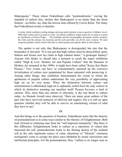Shakespeare." Those whom Finkielkraut calls "postmodernists," waving the standard of radical chic, declare that Shakespeare is no better than the latest fashion—no better, say, than the newest item offered by Calvin Klein. The litany that Finkielkraut recites is familiar:

A comic which combines exciting intrigue and some pretty pictures is just as good as a Nabokov novel. What little Lolitas read is as good as *Lolita.* An effective publicity slogan counts for as much as a poem by Apollinaire or Francis Ponge… . The footballer and the choreographer, the painter and the couturier, the writer and the ad-man, the musician and the rock-and-roller, are all the same: creators. We must scrap the prejudice which restricts that title to certain people and regards others as sub-cultural.

The upshot is not only that Shakespeare is downgraded, but also that the bootmaker is elevated. "It is not just that high culture must be demystified; sport, fashion and leisure now lay claim to high cultural status." A grotesque fantasy? Anyone who thinks so should take a moment to recall the major exhibition called "High & Low: Modern Art and Popular Culture" that the Museum of Modern Art mounted in the 1990s: it might have been called "Krazy Kat Meets Picasso." Few events can have so consummately summed up the corrosive trivialization of culture now perpetrated by those entrusted with preserving it. Among other things, that exhibition demonstrated the extent to which the apotheosis of popular culture undermines the very possibility of appreciating high art on its own terms. When the distinction between culture and entertainment is obliterated, high art is orphaned, exiled from the only context in which its distinctive meaning can manifest itself: Picasso *becomes* a kind of cartoon. This, more than any elitism or obscurity, is the real threat to culture today. As Hannah Arendt once observed, "there are many great authors of the past who have survived centuries of oblivion and neglect, but it is still an open question whether they will be able to survive an entertaining version of what they have to say."

#### **IV**

And this brings us to the question of freedom. Finkielkraut notes that the rhetoric of postmodernism is in some ways similar to the rhetoric of Enlightenment. Both look forward to releasing man from his "self-imposed immaturity." But there is this difference: Enlightenment looks to culture as a repository of values that transcend the self, postmodernism looks to the fleeting desires of the isolated self as the only legitimate source of value. Questions of "lifestyle" (ominous neologism!) come to occupy the place once inhabited by moral convictions and intellectual principles. For the postmodernist, then, "culture is no longer seen as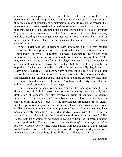a means of emancipation, but as one of the élitist obstacles to this." The postmodernist regards the products of culture as valuable only to the extent that they are sources of amusement or distraction. In order to realize the freedom that postmodernism promises—freedom understood as the emancipation from values that transcend the self—culture must be transformed into a field of arbitrary "options." "The post-modern individual" Finkielkraut writes, "is a free and easy bundle of fleeting and contingent appetites. He has forgotten that liberty involves more than the ability to change one's chains, and that culture itself is more than a satiated whim."

What Finkielkraut has understood with admirable clarity is that modern attacks on elitism represent not the extension but the destruction of culture. "Democracy," he writes, "once implied access to culture for everybody. From now on it is going to mean everyone's right to the culture of his choice." This may sound marvelous—it is after all the slogan one hears shouted in academic and cultural institutions across the country—but the result is precisely the opposite of what was intended. "'All cultures are equally legitimate and everything is cultural,' is the common cry of affluent society's spoiled children and of the detractors of the West." The irony, alas, is that by removing standards and declaring that "anything goes," one does not get more culture, one gets more and more debased imitations of culture. This fraud is the dirty secret that our cultural commissars refuse to acknowledge.

There is another, perhaps even darker, result of the undoing of thought. The disintegration of faith in reason and common humanity leads not only to a destruction of standards, but also involves a crisis of courage. "A careless indifference to grand causes," Finkielkraut warns, "has its counterpart in abdication in the face of force." As the impassioned proponents of "diversity" meet the postmodern apostles of acquiescence, fanaticism mixes with apathy to challenge the commitment required to preserve freedom. Communism may have been effectively discredited. But "what is dying along with it … is not the totalitarian cast of mind, but the idea of a world common to all men." Julien Benda took his epigraph for *La Trahison des clercs* from the nineteenth-century French philosopher Charles Renouvier: *Le monde souffre du manque de foi en une vérité transcendante*: "The world suffers from lack of faith in a transcendent truth." Without some such faith, we are powerless against the depredations of intellectuals who have embraced the nihilism of Callicles as their truth.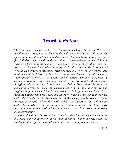#### **[Translator's](#page-6-1) Note**

<span id="page-18-0"></span>The *title of M. Benda's book is* La Trahison des Clercs. *The word "Clercs," which occurs throughout the book, is defined by* M. *Benda's as "all those who speak to the world in a transcendental manner" I do not know the English word for "all those who speak to the world in a transcendental manner." But in Chaucer's time the word "clerk" ("a clerke of Oxenforde") meant any one who was not a "layman," a word employed by* M. *Benda as the antithesis to "clerk" We still use the word in this sense when we speak of a "clerk in holy orders" and retain its root in "cleric" A "cleric" is the person described by M. Benda as "preëminently a clerk." If the words "in holy orders" are subtracted from "a clerk in holy orders" the remaining "clerk" is roughly what M*. *Benda means, though he also uses "clerk" to include "a clerk in holy orders" Nowadays a clerk is a person who performs sedentary labor in an of ice, and the word in England is pronounced "clark" In America a clerk (pronounced "clurrk") is what the English call a shop-assistant. In order to avoid a misleading title I have called this translation* The Treason of the Intellectuals, *giving* M. *Benda's title in brackets afterwards. Where the word "clerk" first occurs in the book, I have added the words "in the medieval sense," and throughout the text I have invariably written the word in inverted commas, "clerk" to avoid any possible misunderstanding.*

*I should add that the words "real" and "realism" are nearly always used in this book as the antithesis to "ideal" and "idealism." Other abstract words are used in a rather special sense which I hope will be plain from the context.*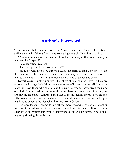#### **Author's [Foreword](#page-6-2)**

<span id="page-19-0"></span>Tolstoi relates that when he was in the Army he saw one of his brother officers strike a man who fell out from the ranks during a march. Tolstoi said to him:—

"Are you not ashamed to treat a fellow human being in this way? Have you not read the Gospels?"

The other officer replied:—

"And have you not read Army Orders?"

This retort will always be thrown back at the spiritual man who tries to take the direction of the material. To me it seems a very wise one. Those who lead men to the conquest of material things have no need of justice and charity.

Nevertheless I think It important that there should be men—even If they are scorned—who urge their fellow beings to other religions than the religion of the material. Now, those who should play this part (to whom I have given the name of "clerks" in the medieval sense of the word) have not only ceased to do so, but are playing an exactly contrary part. Most of the influential moralists of the past fifty years in Europe, particularly the men of letters in France, call upon mankind to sneer at the Gospel and to read Army Orders.

This new teaching seems to me all the more deserving of serious attention because it is addressed to a humanity which of its own volition is now established in materialism with a decisiveness hitherto unknown. And I shall begin by showing this to be true.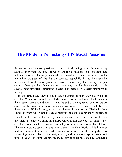[1](#page-6-3)

#### <span id="page-20-0"></span>**The Modern [Perfecting](#page-6-3) of Political Passions**

We are to consider those passions termed political, owing to which men rise up against other men, the chief of which are racial passions, class passions and national passions. Those persons who are most determined to believe in the inevitable progress of the human species, especially in its indispensable movement towards more peace and love, cannot deny that during the past century these passions have attained—and day by day increasingly so—in several most important directions, a degree of perfection hitherto unknown in history.

<span id="page-20-1"></span>In the first place they affect a large number of men they never before affected. When, for example, we study the civil wars which convulsed France in the sixteenth century, and even those at the end of the eighteenth century, we are struck by the small number of persons whose minds were really disturbed by these events. While history, up to the nineteenth century, is filled with long European wars which left the great majority of people completely indifferent, apart from the material losses they themselves suffered,  $\frac{1}{1}$  $\frac{1}{1}$  $\frac{1}{1}$  it may be said that today there is scarcely a mind in Europe which is not affected—or thinks itself affected—by a racial or class or national passion, and most often by all three. The same progress seems to have taken place in the New World, while immense bodies of men in the Far East, who seemed to be free from these impulses, are awakening to social hatred, the party system, and the national spirit insofar as it implies the will to humiliate other men. To-day political passions have attained a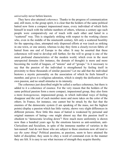*universality* never before known.

They have also attained *coherence.* Thanks to the progress of communication and, still more, to the group spirit, it is clear that the holders of the same political hatred now form a compact impassioned mass, every individual of which feels himself in touch with the infinite numbers of others, whereas a century ago such people were comparatively out of touch with each other and hated in a "scattered" way. This is singularly striking with respect to the working classes who, even in the middle of the nineteenth century, felt only a scattered hostility for the opposing class, attempted only dispersed efforts at war (such as striking in one town, or one union), whereas to-day they form a closely-woven fabric of hatred from one end of Europe to the other. It may be asserted that these coherences will tend to develop still further, for the will to group is one of the most profound characteristics of the modern world, which even in the most unexpected domains (for instance, the domain of thought) is more and more becoming the world of leagues, of "unions" and of "groups." Is it necessary to say that the passion of the individual is strengthened by feeling itself in proximity to these thousands of similar passions? Let me add that the individual bestows a mystic personality on the association of which he feels himself a member, and gives it a religious adoration, which is simply the deification of his own passion, and no small stimulus to its intensity.

The coherence just described might be called a surface coherence, but there is added to it a coherence of essence. For the very reason that the holders of the same political passion form a more compact, impassioned group, they also form a more *homogeneous,* impassioned group, in which individual ways of feeling disappear and the zeal of each member more and more takes on the color of the others. In France, for instance, one cannot but be struck by the fact that the enemies of the democratic system (I am speaking of the mass, not the highest points) display a passion which has little variety, shows very slight differences in different persons. How little this mass of hatred is weakened by personal and original manners of hating—one might almost say that this passion itself is obedient to "democratic leveling down"! How much more uniformity is shown now than a hundred years ago by the emotions known as anti-semitism, anti-Clericalism and Socialism, in spite of the immense number of varieties in the last-named! And do not those who are subject to these emotions now all tend *to say the same thing?* Political passions, as passions, seem to have attained the habit of discipline; they seem to obey a word of command even in the manner they are felt. It is easy to see what increase of strength they acquire thereby.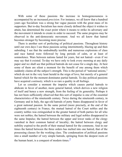With some of these passions the increase in homogeneousness is accompanied by an increased *precision.* For instance, we all know that a hundred years ago Socialism was a strong but vague passion with the great mass of its supporters. But to-day Socialism has more closely defined the object it wishes to attain, has determined the exact point where it means to strike its adversary and the movement it intends to create in order to succeed. The same progress may be observed in the anti-democratic movement. And we all know that hatred becomes stronger by becoming more precise.

There is another sort of perfecting of political passions. Throughout history until our own days I see these passions acting intermittently, blazing up and then subsiding. I see that the undoubtedly terrible and numerous explosions of class and race hatred were followed by long periods of calm, or at least of somnolence. Wars between nations lasted for years, but not hatred—even if we may say that it existed. To-day we have only to look every morning at any daily paper and we shall see that political hatreds do not cease for a single day. At best some of them are silent a moment for the benefit of one among them which suddenly claims all the subject's strength. This is the period of "national unions," which do not in the very least herald in the reign of love, but merely of a general hatred which for the moment dominates partial hatreds. To-day political passions have acquired *continuity,* which is so rare a quality in all feelings.

<span id="page-22-0"></span>Let us consider a moment the impulse which causes partial hatreds to abdicate in favor of another, more general hatred, which derives a new religion of itself and hence a new strength, from the feeling of its generality. Perhaps it has not been sufficiently observed that this sort of impulse is one of the essential characteristics of the nineteenth century. Twice during the nineteenth century, in Germany and in Italy, the age-old hatreds of petty States disappeared in favor of a great national passion. In the same period (more precisely, at the end of the eighteenth century) in France, the mutual hatred of the Court nobles and the country nobles was extinguished in the greater hatred of both parties for all who were not nobles; the hatred between the military and legal nobles disappeared in the same Impulse; the hatred between the upper and lower ranks of the clergy vanished in their common hatred of laicality; the hatred between clergy and nobility expired to the profit of their mutual hatred for the commons. And in our times the hatred between the three orders has melted into one hatred, that of the possessing classes for the working class. The condensation of political passions into a small number of very simple hatreds, springing from the deepest roots of the human heart, is a conquest of modern times. $2$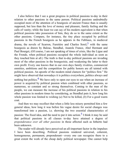<span id="page-23-0"></span>I also believe that I see a great progress in political passions to-day in their relation to other passions in the same person. Political passions undoubtedly occupied more of the attention of a bourgeois of ancient France than is usually supposed, but less than the love of money and pleasure, family feeling and the calls of vanity; while the least we can say of his modern equivalent is that when political passions take possession of him, they do so to the same extent as the other passions. Compare, for instance, the tiny place occupied by political passions in the French bourgeois as he appears in the Fabliaux, in medieval drama, the novels of Scarron, Furetière and Charles Sorel,  $3$  with the same bourgeois as drawn by Balzac, Stendhal, Anatole France, Abel Hermant and Paul Bourget, (Of course, I am not speaking of times of crisis, like the Ligue and the Fronde, when political passions occupied the whole individual as soon as they touched him at all.) The truth is that to-day political passions are invading most of the other passions in the bourgeoisie, and weakening the latter to their own profit. Every one knows that in our own days family rivalries, commercial enmities, ambitions and the competition for public honors are all tainted with political passion. An apostle of the modern mind clamors for "politics first." He might have observed that nowadays it is politics everywhere, politics always and nothing but politics.<sup>[4](#page-31-3)</sup> We have only to open our eyes to see when an increase of power is acquired by political passion when combined with other passions, so numerous, so constant and so strong themselves. Coming to the man of the people, we can measure the increase of his political passions in relation to his other passions in modern times by considering, as Stendhal puts it, how long his whole passion was limited to wishing (*a*) Not to be killed, (*b*) For a good warm coat.

<span id="page-23-2"></span><span id="page-23-1"></span>And then we may recollect that when a little less misery permitted him a few general ideas, how long it was before his vague desire for social changes was transformed into a passion, i.e. showing the two essential characteristics of passion: The fixed idea, and the need to put it into action.<sup>[5](#page-31-4)</sup> I think it may be said that political passions in all classes to-day have attained a degree of *preponderance over all other passions* in those affected such as hitherto had been unknown.

The reader will already have perceived an all-important factor in the impulses I have been describing. Political passions rendered universal, coherent, homogeneous, permanent, preponderant—every one can recognize there to a great extent the work of the cheap daily political newspaper. One cannot help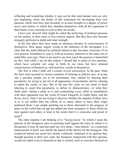reflecting and wondering whether it may not be that inter-human wars are only just beginning, when one thinks of this instrument for developing their own passions which men have just invented, or at least brought to a degree of power never seen before, to which they abandon themselves with all the expansion of their hearts every morning as soon as they are awake.

I have now showed what might be called the perfecting of political passions on the surface, in their more or less exterior aspects. But they have also become strangely perfected in depth and inner strength.

In the first place they have made an immense advance in consciousness of themselves. Here again, largely owing to the influence of the newspaper, it is clear that the mind affected by political hatred to-day becomes conscious of its own passion, formulates it, sees it, with an accuracy unknown to the same sort of mind fifty years ago. There is no need to say how much the passion is intensified by this. And while I am on this subject I should like to point to two passions, which have certainly not come to birth In our times but have attained consciousness of themselves, self-assertion, a pride in themselves.

The first is what I shall call a certain *Jewish nationalism.* In the past, when the Jews were accused in various countries of forming an inferior race, or at any rate a peculiar people not to be assimilated, they replied by denying their peculiarity, by trying to get rid of all appearance of peculiarity, and by refusing to admit the reality of race. But in the last few years we see some of them laboring to assert this peculiarity, to define its characteristics—or what they think such—taking a pride in it, and condemning every effort at assimilation with their opponents (see the works of Israel Zangwill, of André Spire, and the *Revue Juive).* Here I am not trying to discover whether the impulse of these Jews is or is not nobler than the efforts of so many others to have their origin pardoned them; I am simply pointing out to those interested in the progress of peace in the world that our age has added one more arrogance to those which set men against each other, at least to the extent that it is conscious and proud of itself. [6](#page-31-5)

<span id="page-24-0"></span>The other impulse I am thinking of is "*bourgeoisism"* by which I mean the passion of the bourgeois class in asserting itself against the class by which it is threatened. It may be said that until our own times, "class hatred," as a conscious hatred proud of itself, was chiefly the hatred of the laborer for the bourgeois. The reciprocal hatred was much less clearly confessed. Ashamed of an egotism they thought peculiar to their own caste, the bourgeois temporized with this egotism, would not admit even to themselves that it existed, tried to convince themselves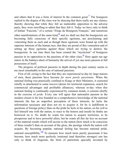<span id="page-25-1"></span><span id="page-25-0"></span>and others that It was a form of interest In the common good.<sup>[7](#page-31-6)</sup> The bourgeois replied to the dogma of the class war by denying that there really are any classes, thereby showing that while they felt an inalterable opposition to the adverse party, they were unwilling to admit that they felt it. Today we have only to think of Italian "Fascism," of a certain "Eloge du Bourgeois Français," and numerous other manifestations of the same kind,  $\frac{8}{3}$  $\frac{8}{3}$  $\frac{8}{3}$  and we shall see that the bourgeoisie are becoming fully conscious of their specific egotisms, are proclaiming and venerating them as such and as though these egotisms were bound up with the supreme interests of the human race, that they are proud of this veneration and of setting up these egotisms against those which are trying to destroy the bourgeoisie. In our time there has been created the "mysticism" of bourgeois passion in its opposition to the passions of the other class.<sup>[9](#page-31-8)</sup> Here again our age enters in the balance-sheet of humanity the arrival of yet one more passion at full possession of itself.

<span id="page-25-2"></span>The progress of political passions in depth during the past century seems to me most remarkable in the case of national passions.

<span id="page-25-3"></span>First of all, owing to the fact that they are experienced to-day by large masses of men, these passions have become *far more purely passionate.* When the national feeling was practically confined to Kings or their Ministers, it consisted chiefly in attachment to some *interest* (desire for territorial expansion, search for commercial advantages and profitable alliances), whereas to-day when this national feeling is continually experienced by common minds, it consists chiefly in the exercise of *pride.* Every one will agree that nationalist passion in the modern citizen is far less founded on a comprehensive knowledge of the national interests (he has an imperfect perception of these interests, he lacks the information necessary and does not try to acquire it, for he is indifferent to questions of foreign policy) than on the pride he feels in his nation, on his will to feel himself one with the nation, to react to the honors and insults he thinks are bestowed on it. No doubt he wants his nation to acquire territories, to be prosperous and to have powerful allies; but he wants all this far less on account of the material results which will accrue to the nation (how much is he conscious of these results?) than on account of the glory, the prestige which the nation will acquire. By becoming popular, national feeling has become national pride, national susceptibility.<sup>[10](#page-31-9)</sup> To measure how much more purely passionate it has become, how much more perfectly irrational (and therefore stronger) one has only to think of Jingoism, the form of patriotism specially invented by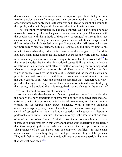democracies. If, in accordance with current opinion, you think that pride is a weaker passion than self-interest, you may be convinced to the contrary by observing how commonly men let themselves be killed on account of a wound to their pride, and how infrequently for some infraction of their interests.

<span id="page-26-1"></span><span id="page-26-0"></span>The susceptibility developed by national sentiment as it has become popular makes the possibility of wars far greater to-day than in the past. Obviously, with the peoples and with the aptitude of these new "sovereigns" to rise up in a rage as soon as they think they are insulted, peace runs an additional danger which did not exist when it depended only upon Kings and their Ministers, who were far more purely practical persons, fully self-controlled, and quite willing to put up with insults when they did not think themselves the stronger party.<sup>[11](#page-32-0)</sup> And, in fact, how many times during the last hundred years has the world almost flamed up in war solely because some nation thought its honor had been wounded?<sup>[12](#page-32-1)</sup> To this must be added the fact that this national susceptibility provides the leaders of nations with a new and most effective method of starting the wars they need, whether it is employed at home or abroad. They have not failed to see this, which is amply proved by the example of Bismarck and the means by which he provoked war with Austria and with France. From this point of view it seems to me quite correct to say with the French monarchists that "democracy is war," provided that by democracy is meant the attainment of national susceptibility by the masses, and provided that it is recognized that no change in the system of government would destroy this phenomenon.<sup>[13](#page-32-2)</sup>

<span id="page-26-4"></span><span id="page-26-3"></span><span id="page-26-2"></span>Another considerable deepening of national passions comes from the fact that the nations are now conscious of themselves not only as regards their material existence, their military power, their territorial possessions, and their economic wealth, but as regards their *moral* existence. With a hitherto unknown consciousness (prodigiously fanned by authors) every nation now hugs itself and sets itself up against all other nations as superior in language, art, literature, philosophy, civilization, "culture." Patriotism to-day is the assertion of one form of mind against other forms of mind.<sup>[14](#page-32-3)</sup> We know how much this passion increases its inner strength in this way and that the wars it determines are fiercer than those waged by the Kings, who merely desired the same piece of territory. The prophecy of the old Saxon bard is completely fulfilled: "In those days countries will be something they have not yet become—they will be persons. They will feel hatred, and these hatreds will cause wars more terrible than any that have yet been seen." $15$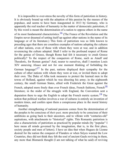<span id="page-27-0"></span>It is impossible to over-stress the novelty of this form of patriotism in history. It is obviously bound up with the adoption of this passion by the masses of the populace, and seems to have been inaugurated in 1813 by Germany, who is apparently the real teacher of humanity in the matter of democratic patriotism, if by this word is meant the determination of a nation to oppose others in the name of its most fundamental characteristics.<sup>[16](#page-32-5)</sup> (The France of the Revolution and the Empire never dreamed of setting itself up against other nations in the name of its language or of its literature.) This form of patriotism was so little known to preceding ages that there are countless examples of nations adopting the cultures of other nations, even of those with whom they were at war, and in addition reverencing the culture adopted. Shall I refer to the profound respect of Rome for the genius of Greece, though Rome had felt it necessary to crush Greece politically? To the respect of the conquerors of Rome, such as Ataulf and Theodoric, for Roman genius? And, nearer to ourselves, shall I mention Louis XIV annexing Alsace and not for one moment thinking of forbidding the German language?<sup>[17](#page-33-0)</sup> In the past, nations displayed their sympathy for the culture of other nations with whom they were at war, or invited them to adopt their own. The Duke of Alba took measures to protect the learned men in the towns of Holland, against which he was directing his army; in the eighteenth century, the small German States, allied with Frederick the Great against the French, adopted more freely than ever French ideas, French fashions, French<sup>[18](#page-33-1)</sup> literature; in the midst of the struggle with England, the Convention sent a deputation there to urge the English to adopt the French metric system.<sup>[19](#page-33-2)</sup> The notion that political warfare involves a war of cultures is entirely an invention of modern times, and confers upon them a conspicuous place in the moral history of humanity.

<span id="page-27-3"></span><span id="page-27-2"></span><span id="page-27-1"></span>Another strengthening of national passions comes from the determination of the peoples to be conscious of *their past,* more precisely to be conscious of their ambitions as going back to their ancestors, and to vibrate with "centuries-old" aspirations, with attachments to "historical" rights. This Romantic patriotism is also a characteristic of patriotism as practiced by popular minds (by "popular" I here mean all minds governed by the imagination, that is, in the first place, society people and men of letters). I have an idea that when Hugues de Lionne desired for the nation the conquest of Flanders or when Siéyes wanted the Low Countries, they did not think they felt the soul of ancient Gauls reviving in them, any more than Bismarck thought (I am not talking of what he said) of reviving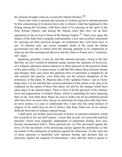<span id="page-28-0"></span>the Teutonic Knights when he coveted the Danish Duchies. $20$ 

<span id="page-28-1"></span>Those who wish to estimate the increase of violence given to national passion by this solemnizing of its desires have only to observe what has happened to this feeling among the Germans, with their claim to be carrying on the spirit of the Holy Roman Empire, and among the Italians since they have set up their aspirations as the revival of those of the Roman Empire. $2<sup>1</sup>$  There once again the leaders of the State find in popular sentimentality a new and excellent instrument for carrying out their practical designs, an instrument they well know how to use. To mention only one recent example—think of the result the Italian government was able to obtain from the amazing aptitude of its compatriots to wake up one fine morning and discover that the claim to Fiume was a "centuriesold" claim.

Speaking generally, it may be said that national passions, owing to the fact that they are now exerted by plebeian minds, assume the character of *mysticism,* of a religious adoration almost unknown in these passions in the practical minds of the great nobles. It is unnecessary to add that this makes these passions deeper and stronger. Here once more this plebeian form of patriotism is adopted by all who practice this passion, even when they are the noisiest champions of the aristocracy of the mind. M. Maurras talks of the "goddess France," just as Victor Hugo does. Let me add that this mystical adoration of the nation is not only to be explained by the nature of those who adore, but also by the changes which have taken place in the adored object. There is first of all the spectacle of the military force and organization of modern States, which is something far more imposing than of old. And when these States are seen to make war for an indefinite period after they have no more men, and go on subsisting for long years after they have no more money, it is easy to understand why a man who has some tincture of religion in his mind may be led to believe that these States are of an essence different from that of ordinary natural beings.

I shall point out another great increase of power in national sentiment which has occurred in the last half-century. I mean that several very powerful political passions, which were originally independent of nationalist feeling, have now become incorporated with it. These passions are: (*a*) The movement against the Jews; (*b*) the movement of the possessing classes against the proletariat; (*c*) the movement of the champions of authority against the democrats. To-day each one of these passions is identified with national feeling and declares that its adversary implies the negation of nationalism. I may add that when a person is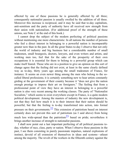affected by one of these passions he is generally affected by all three; consequently nationalist passion is usually swelled by the addition of all three. Moreover this increase is reciprocal, and it may be said that to-day capitalism, anti-semitism and the party of authority have all received new strength from their union with nationalism. (For additional proof of the strength of these unions, see Note C at the end of this book.)

I cannot drop the subject of the modern perfecting of political passions without mentioning one more characteristic: In all nations the number of persons who feel a direct interest in belonging to a powerful nation is incomparably greater now than in the past. In all the great States to-day I observe that not only the world of industry and big business but a considerable number of small tradesmen, small bourgeois, doctors, lawyers, and even writers and artists, and working men too, feel that for the sake of the prosperity of their own occupations it is essential for them to belong to a powerful group which can make itself feared. Those who are in a position to give an opinion on this sort of change agree that the feeling did not exist, at least in the same clearly defined way as to-day, thirty years ago among the small tradesmen of France, for instance. It seems an even newer thing among the men who belong to the socalled liberal professions; it is certainly something new to hear artists constantly girding at the government of their country because it "does not give the nation enough prestige to impose their art on foreigners." The feeling that from a professional point of view they have an interest in belonging to a powerful nation is also very recent among the working classes. The party of "Nationalist Socialists," which seems to exist everywhere except in France, is a quite modern political development. Among the masters of industry the new development is, not that they feel how much it is to their interest that their nation should be powerful, but that the feeling is to-day transformed into action, into formal pressure on their governments. $22$  This extension of patriotism based on interest certainly does not prevent this sort of patriotism (as I said above) from being much less wide-spread than the patriotism<sup>[23](#page-33-6)</sup> based on pride; nevertheless it brings another increase of strength to nationalist passions.

<span id="page-29-1"></span><span id="page-29-0"></span>I shall now point out a last important perfecting of all political passions today, whether of race, class, party or nation. When I observe these passions in the past, I see them consisting in purely passionate impulses, natural explosions of instinct, devoid of all extension of themselves in ideas and systems—atleast among the majority. The revolt of the workers in the fifteenth century against the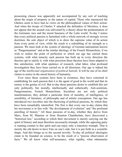possessing classes was apparently not accompanied by any sort of teaching about the origin of property or the nature of capital. Those who massacred the Ghettos seem to have had no views on the philosophical values of their action. And when the troops of Charles V attacked the defenders of Mezières, it does not appear that the assault was enlivened by a theory about the predestination of the Germanic race and the moral baseness of the Latin world. To-day I notice that every political passion is furnished with a whole network of strongly woven doctrines, the sole object of which is to show the supreme value of its action from every point of view, while the result is a redoubling of its strength as a passion. We must look at the system of ideology of German nationalism known as "Pangermanism" and at the similar ideology of the French Monarchists, if we wish to realize the point of perfection to which our age has carried these systems, with what tenacity each passion has built up in every direction the theories apt to satisfy it, with what precision these theories have been adapted to this satisfaction, with what opulence of research, what labor, what profound investigation they have been carried on in all directions. Our age is indeed the age of the *intellectual organization of political hatreds.* It will be one of its chief claims to notice in the moral history of humanity.

Ever since these systems have been in existence, they have consisted in establishing for each passion that it is the agent of good in the world and that its enemy is the genius of evil. But to-day these passions desire to establish this not only politically, but morally, intellectually and esthetically. Anti-semitism, Pangermanism, French Monarchism, Socialism are not only political manifestations; they defend a particular form of morality, of intelligence, of sensibility, of literature, of philosophy and of artistic conceptions. Our age has introduced two novelties into the theorizing of political passions, by which they have been remarkably intensified. The first is that every one to-day claims that his movement is in line with "the development of evolution" and "the profound unrolling of history." All these passions of to-day, whether they derive from Marx, from M. Maurras or from Houston Chamberlain, have discovered a "historical law," according to which their movement is merely carrying out the spirit of history and must therefore necessarily triumph, while the opposing party is running counter to this spirit and can enjoy only a transitory triumph. That is merely the old desire to have Fate on one's side, but it is put forth in a scientific shape. And this brings us to the second novelty: To-day all political ideologies claim to be founded on science, to be the result of a "precise observation of facts." We all know what self-assurance, what rigidity, what inhumanity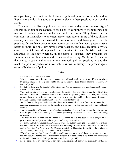(comparatively new traits in the history of political passions, of which modern French monarchism is a good example) are given to these passions to-day by this claim.

To summarize: To-day political passions show a degree of universality, of coherence, of homogeneousness, of precision, of continuity, of preponderance, in relation to other passions, unknown until our times. They have become conscious of themselves to an extent never seen before. Some of them, hitherto scarcely avowed, have awakened to consciousness and have joined the old passions. Others have become more purely passionate than ever, possess men's hearts in moral regions they never before reached, and have acquired a mystic character which had disappeared for centuries. All are furnished with an apparatus of ideology whereby, in the name of science, they proclaim the supreme value of their action and its historical necessity. On the surface and in the depths, in spatial values and in inner strength, political passions have to-day reached a point of perfection never before known in history. The present age is essentially the age of politics.

#### **Notes**

- <span id="page-31-0"></span>[1](#page-20-1). See Note A at the end of this book.
- <span id="page-31-1"></span>[2](#page-22-0). It is to be noted that a little more than a century ago French working men from different provinces frequently engaged in desperate fights among themselves. (See Martin Nadaud, *Mémoires de Léonard,* p. 93.)
- <span id="page-31-2"></span>[3](#page-23-0). See Petit de Julleville, *La Comédie et les Moeurs en France au moyen age*, and André Le Breton, *Le Roman au XVIIe Siécle*.
- <span id="page-31-3"></span>[4](#page-23-1). The great novelty is that to-day people accept the position that everything should be political, that they should proclaim it and take a pride in it. Otherwise it is perfectly obvious that men, shopkeepers, or poets, have not waited for the present time to try to get rid of a rival by political means. Remember how La Fontaine's rivals kept him out of the Académie for ten years.
- <span id="page-31-4"></span>[5](#page-23-2). As de Tocqueville profoundly remarks, these only occurred when a first improvement in his condition encouraged the man of the people to want more; i.e. towards the end of the eighteenth century.
- <span id="page-31-5"></span>[6](#page-24-0). I am here speaking of Western Jews of the bourgeois class. The Jewish proletariat did not await our time to plunge into the feeling of its racial peculiarity. However, it does so without giving provocation.
- <span id="page-31-6"></span>[7](#page-25-0). This was the notion expressed by Benedict XV when he told the poor "to take delight In the prosperity of elevated persons and to expect confidently their assistance."
- <span id="page-31-7"></span>[8](#page-25-1). For example, M. Paul Bourget's *La Barricade,* where the author, a disciple of Georges Sorel, exhorts the bourgeoise not to leave to the proletariat the monopoly of class passion and violence. See also André Beaunier, *Les Devoirs de la Violence* (quoted by Halperine-Kaminski in the preface to Tolstoi's book, *The Law of Love and the Law of Violence).*
- <span id="page-31-8"></span>[9](#page-25-2). "The phrase, *the sublime bourgeois,* which would have caused so much laughter twenty years ago, has now acquired for the French bourgeoisie a mystic plenitude owing to its fusion with the highest social and national values." *(Eloge du Bourgeois Français,* p. 284.)
- <span id="page-31-9"></span>[10](#page-25-3). Let me define more precisely what is new here. In the seventeenth century the citizen already had the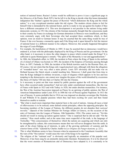notion of national honor; Racine's Letters would be sufficient to prove it (see a significant page in the *Mémoires* of de Pontis, Book XIV); but he left it to the King to decide what this honor demanded; indignation like Vauban's against the peace of Ryswick "which dishonours the King and the whole nation," is a very exceptional emotion under the old *régime.* The modern citizen claims to feel for himself what is demanded by the national honor, and he is ready to rise up against his leaders if they have a different conception of it. This new development is not peculiar to the nations living under democratic systems; in 1911 the citizens of the German monarchy thought that the concessions made to their country by France in exchange for German abstention in Morocco were insufficient, and they were extremely angry with their Sovereign who had accepted these conditions which, in their opinion, were an insult to German honor. It may be asserted that the same thing would be true of France if she ever became a monarchy again and if the King took it upon himself to feel the interest of national honor in a different manner to his subjects. Moreover, this actually happened throughout the reign of Louis-Philippe.

- <span id="page-32-0"></span>[11](#page-26-0). For example, the humiliation of Olmüts in 1805. It may be asserted that no democracy would have endured it, at least with the philosophy displayed by the King of Prussia and his government. On the other hand, is it necessary to stress the other dangers to peace which existed under the Kings? It is sufficient to quote Montesquieu's remark; "The spirit of the Monarchy is war and aggrandisement."
- <span id="page-32-1"></span>[12](#page-26-1). In 1886, the Schnæbele affair; in 1890, the incident in Paris where the King of Spain in the uniform of a Colonel of Uhlans was hooted; in 1891, the incident of the Empress of Germany passing through Paris; in 1897, Fashoda; in 1904, the incident of the British trawlers sunk by the Russian Fleet, etc. Of course, I do not claim that the Kings only waged practical wars, although with them the allegation of "wounded honor" was very often a mere pretext. Louis XIV obviously did not make war on Holland because the Dutch struck a medal insulting him. Moreover, I shall grant that from time to time the Kings indulged in military invasions, a type of elegance which appears to be less and less tempting to the democracies; one cannot now imagine the peace of the world disturbed by excursions like those of Charles VIII into Italy or Charles XII into the Ukraine.
- <span id="page-32-2"></span>[13](#page-26-2). Is it necessary to point out that wars started by public passion against the will of the government have often occurred under monarchies? And not only under constitutional monarchies, like the war of France with Spain in 1823 and with Turkey in 1826, but under absolute monarchies. For instance, the War of the Austrian Succession imposed on Fleury by an uprising of public opinion; the War of American Independence under Louis XVI; in 1806 the war of Prussia against Napoleon. In 1813 the war of Saxony. It seems probable that in 1914 war was imposed on absolute sovereigns like Nicholas II and Wilhelm II by popular passions which they had been exciting for years and then found themselves unable to restrain.
- <span id="page-32-3"></span>[14](#page-26-3). "But what is much more important than material facts is the soul of nations. Among all races a kind of effervescence is to be noticed; some defend certain principles, others the opposing principles. By becoming members of the League of Nations, the different peoples do not abandon their *national morality.*" (Speech of the German Minister for Foreign Affairs at Geneva, on the occasion of the entry of Germany into the League of Nations, 10th September, 1926.) The orator went on: "Yet this should not result in raising up nation against nation." One is surprised that he did not add: "On the contrary." How much nobler, and at the same time more respectful of the truth, is the language of Treitschke: "This consciousness of themselves which the nations are acquiring and which can only be strengthened by culture, this consciousness means that war will never disappear from the earth, in spite of the closer linking up of interests, in spite of the growing uniformity of customs and the exterior forms of life." (Quoted by Charles Andler in *Les Origines du Panger-manisme,* p. 223.)
- <span id="page-32-4"></span>[15](#page-26-4). This is what Mirabeau seems to have foreseen when he announced to the Constituent Assembly that the wars of the "free nations" would cause the wars of the Kings to be regretted.
- <span id="page-32-5"></span>[16](#page-27-0). The religion of the "national soul" is obviously and logically an emanation of the popular soul. Moreover, it has been sung by an eminently democratic literature: Romanticism. It is to be observed that the worst enemies of Romanticism and of Democracy have adopted it; it is constantly to be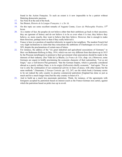found in the Action Française. To such an extent is it now impossible to be a patriot without flattering democratic passions.

- <span id="page-33-0"></span>[17](#page-27-1). See Note B at the end of the book.
- <span id="page-33-1"></span>[18](#page-27-2). See Brunot, *Histoire de la Langue Française,* t. v, liv. iii.
- <span id="page-33-2"></span>[19](#page-27-3). On this topic see some excellent remarks of Auguste Comte, *Cours de Philosophie Positive,* 57 e lecon.
- <span id="page-33-3"></span>[20](#page-28-0). As a matter of fact, the peoples do not believe either that their ambitions go back to their ancestors; they are ignorant of history and do not believe it to be so even when it is true; they believe they believe, or, more exactly, they want to believe that they believe. However, that is enough to make them ferocious, perhaps more so than if they really believed it.
- <span id="page-33-4"></span>[21](#page-28-1). France is here in a position of manifest inferiority in regard to her neighbors. The modern French feel very slight inclinations to claim that they reincarnate the ambitions of Charlemagne or even of Louis XIV, despite the proclamations of certain men of letters.
- <span id="page-33-5"></span>[22](#page-29-0). For instance, the address of the "six great industrial and agricultural associations of Germany" to Herr von Bethmann-Hollweg in May, 1914, which was not very different from that drawn up in 1815 by the Prussian metallurgists to pointout to their government what annexations should be made in the interests of their industry. (See Vidal de La Blache, *La France de l'Est,* chap. xix.) Moreover, some Germans are urgent in boldly proclaiming the economic character of their nationalism. "Let us not forget," says a well-known Pan-germanist, "that the German Empire, which is generally considered abroad as a purely military State, is in its origin (Zollverein) chiefly economic." And again: "For us war is only the continuation of our commercial activity in times of peace, with other means but the same methods." (Naumann, *L'Europe Centrale*, pp. 112, 247; see the whole book.) Germany seems to be not indeed the only country to practise commercial patriotism (England has done so just as much and for a much longer time) but the only country to boast of it ..."
- <span id="page-33-6"></span>[23](#page-29-1). And to build up a much less passionate patriotism. Think, for instance, of the agreements with foreigners accepted by patriotism based on interest (such as the Franco-German iron cartel), against which the patriotism based on pride rises up in revolt.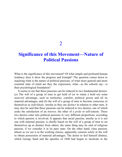[2](#page-6-4)

#### <span id="page-34-0"></span>**Significance of this [Movement—Nature](#page-6-4) of Political Passions**

What is the significance of this movement? Of what simple and profound human tendency does it show the progress and triumph? The question comes down to inquiring what is the nature of political passions, of what more general and more essential state of mind are they the expression, what—as the schools say—is their psychological foundation?

It seems to me that these passions can be reduced to two fundamental desires: (*a*) The will of a group of men to get hold of (or to retain a hold on) some *material* advantage, such as territories, comfort, political power and all its material advantages; and (*b*) the will of a group of men to become conscious of themselves as *individuals,* insofar as they are *distinct* in relation to other men. It may also be said that these passions can be reduced to two desires, one of which seeks the satisfaction of an *interest,* the other of a *pride* or self-esteem. These two desires enter into political passions in very different proportions, according to which passion is involved. It appears that racial passion, insofar as it is not one with national passion, is chiefly based on the will of a group of men to set themselves up as distinct from others; the same thing may be said of religious passion, if we consider it in its pure state. On the other hand, class passion, atleast as we see it in the working classes, apparently consists solely in the will to obtain possession of material advantages. The desire to feel himself distinct, which George Sand and the apostles of 1848 had begun to inculcate in the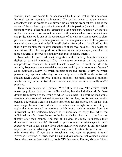working man, now seems to be abandoned by him, at least in his utterances. National passion contains both factors. The patriot wants to obtain material advantages and he wants to set himself up as distinct from others. This is the secret of the evident superiority in strength of this passion (when it is really a passion) over all other passions, especially over Socialism. A passion whose sole motive is interest is too weak to contend with another which combines interest and pride. This too is one of the weaknesses of Socialism when opposed to class passion as exerted by the bourgeoisie, for the bourgeois wants both to possess material advantages and to feel himself distinct from others. I shall add to this that in my opinion the relative strengths of these two passions (one based on interest and the other on pride or self-esteem) are very unequal, and that the more powerful of the two is not that which tries to satisfy interest.

Now, when I come to ask what is signified in their turn by these fundamental desires of political passions, I find they appear to me as the two essential composites of man's will to situate himself *in real life.* To want real life is to want (*a*) To possess some material advantages, and (*b*) to be conscious of oneself as an individual. Every life which despises these two desires, every life which pursues only spiritual advantage or sincerely asserts itself in the universal, situates itself *outside the real.* Political passions, especially national passions insofar as they unite the two desires mentioned, seem to me essentially *realist* passions.

Here many persons will protest: "Yes," they will say, "the desires which make up political passions are realist desires, but the individual shifts these desires from himself to the group of which he is a part. The working man wants to obtain possession of material advantages for his class, not for his own limited person. The patriot wants to possess territories for his nation, not for his own narrow ego; he wants to be distinct from other men through his nation. Do you apply the term 'realist' to passions which imply such a transfer from the individual to the collective body?" Is it necessary to reply that when the individual transfers these desires to the body of which he is a part, he does not thereby alter their nature? And that all he does is simply to increase their dimensions immeasureably? To wish to possess material advantages *in one's nation,* to want to feel distinct from other men *in one's nation,* is still the desire to possess material advantages, still the desire to feel distinct from other men. It only means that, if you are a Frenchman, you want to possess Brittany, Provence, Guyenne, Algeria, Indo-China; and you want to feel yourself distinct from other men in Jeanne d'Arc, Louis XIV, Napoleon, Racine, Voltaire, Victor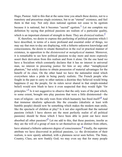Hugo, Pasteur. Add to this that at the same time you attach these desires, not to a transitory and precarious single existence, but to an "eternal" existence, and feel them in that way. Not only does national egotism not cease to be egotism because it is national, but it becomes "sacred" egotism.<sup>[1](#page-37-0)</sup> Let me complete my definition by saying that political passions are realism of a particular quality, which is an important element of strength in them: They are *divinized* realism.<sup>[2](#page-37-1)</sup>

<span id="page-36-1"></span><span id="page-36-0"></span>If, therefore, we desire to express this perfecting of political passions which I have described, in terms of a more profound and essential order of things, we may say that men to-day are displaying, with a hitherto unknown knowledge and consciousness, the desire to situate themselves in the *real* or practical manner of existence, in opposition to the *disinterested* or *metaphysical* manner. Moreover, it is remarkable to see how political passions to-day more and more expressly assert their derivation from this realism and from it alone. On the one hand we have a Socialism which constantly declares that it has no interest in universal man, no interest in procuring justice for him or any other "metaphysical phantom," but solely desires to obtain possession of material advantages for the benefit of its class. On the other hand we have the nationalist mind which everywhere takes a pride in being purely realistic. The French people who fought in the past to carry to other nations a doctrine they believed would bring happiness (I say the people, for its rulers never shared in that simple-minded belief) would now blush to have it even suspected that they would fight "for principles."<sup>[3](#page-37-2)</sup> Is it not suggestive to observe that the only wars of the past which, to some extent, brought into play passions that were a little disinterested—the wars of religion—are the only wars from which humanity has freed itself?<sup>[4](#page-37-3)</sup> And that immense idealistic upheavals like the crusades (idealistic at least with humble people) should now be something which makes the modern man smile, like the spectacle of children at play? Is it not also significant that the national passions (which I have shown are the most perfectly realist of all political passions) should be those which I have been able to point out have most absorbed all other passions?<sup>[5](#page-37-4)</sup> Let me add to this, that these passions, insofar as they are the will of a group of men to set themselves up as distinct from others, have attained a hitherto unknown degree of consciousness. <sup>[6](#page-37-5)</sup> Finally, the supreme attribute we have discovered in political passions, i.e. the divinization of their

<span id="page-36-5"></span><span id="page-36-4"></span><span id="page-36-3"></span><span id="page-36-2"></span>realism, is now openly admitted, with a plainness never seen before. The State, Country, Class, are now frankly God; we may even say that for many people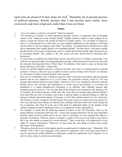(and some are proud of it) they alone are  $God. 7$  $God. 7$  Humanity, by its present practice of political passions, thereby declares that it has become more realist, more exclusively and more religiously realist than it has ever been.

#### <span id="page-37-7"></span>**Notes**

- <span id="page-37-0"></span>[1](#page-36-0). "Love of country is a real love of oneself." (Saint-Evremond.)
- <span id="page-37-1"></span>[2](#page-36-1). The divinizing of realism, of which patriotism specially consists, is expressed with all desirable candor in the "Addresses to the German People" (Eighth Address): Fichte at tacks religion for its claim to situate the superior life outside all interest in earthly matters: "It is an abuse of religion to force it, as Christianity has so often done, to extol complete indifference to the business of the State and the nation as the true religious spirit. Men," he declares, "are determined to find heaven on earth and to impregnate their earthly labours with something durable." He then shows, with great warmth, that this desire is the essence of patriotism, and it is evident that for him earthly labors become divine by becoming durable. This, indeed, is the only means men have discovered for divinizing their institutions.
- <span id="page-37-2"></span>[3](#page-36-2). Is it necessary to recall that the United States did not enter the last war "in defence of principles," but with the very practical object of safeguarding their prestige, which had been lowered by the facts that the Germans had torpedoed three of their ships? Nevertheless, their desire to pose as having been purely idealistic in this affair is noteworthy.
- <span id="page-37-3"></span>[4](#page-36-3). It may be said that religious passions, at least in the West, only exist as a reënforcement to national passions; in France, a man sets up as a Catholic in order to pose as being "more French"; in Germany as a Protestant in order to declare himself "more German."
- <span id="page-37-4"></span>[5](#page-36-4). Here are two remarkable cases of idealistic passions which in the past successfully opposed national passion and are now submissive to it: (*a*) In France, the monarchic passion, which in 1792 was stronger than national feeling in many people, whereas in 1914 it was completely effaced by national feeling. (Every one will agree that attachment to a certain form of government, i.e. at bottom, the attachment to a certain metaphysical conception, is an infinitely more idealistic passion than nationalist passion; however, I do not claim that all the Emigrés were inspired by this idealism.) (*b*) In Germany, the religious passion, which only fifty years ago was stronger than national feeling in more than fifty per cent of Germans, and to-day is entirely subject to national feeling (in 1866 the German Catholics desired the defeat of Germany; in 1914 they ardently desired it to be victorious). The Europe of to-day, compared with the Europe of the past, seems to contain many less chances of civil wars and many more chances of national wars; nothing could show better how much Europe has lost in idealism. (See Note D at the end of this book for additional matter on the attitude of the modern Catholics towards Catholicism when it is in opposition to their nationalism.)
- <span id="page-37-5"></span>[6](#page-36-5). For example, in words like the following, uttered at Venice on the 11th December, 1926, by the Italian Minister of Education and Fine Arts: "Artists must prepare themselves for the new imperialist function which must be carried out by our art. Above everything, we must categorically impose a principle of *Italianita.* Whoever copies a foreigner is guilty of *lèse-nation* (an insult to the nation) like a spy who admits an enemy by a secret doorway." These words have to be approved by every adept of *"integral* nationalism." Moreover, we hear much the same thing in France from certain adversaries of Romanticism.
- <span id="page-37-6"></span>[7](#page-37-7). "Discipline from the lowest to the highest must be essential and of a religious type." (Mussolini, 25th October, 1925.) This is new language in the mouth of a statesman, even of the most realist kind; it may be asserted that neither Richelieu nor Bismarck would have applied the word "religious" to an activity whose object is exclusively materialistic.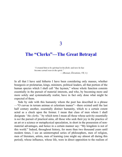[3](#page-6-0)

# **The ["Clerks"—The](#page-6-0) Great Betrayal**

*"I created him to be spiritual in his flesh; and now he has become carnal even in the spirit." — (Bossuet, Élevations, VII, 3.)*

In all that I have said hitherto I have been considering only masses, whether bourgeois or proletarian, kings, ministers, political leaders, all that portion of the human species which I shall call "the laymen," whose whole function consists essentially in the pursuit of material interests, and who, by becoming more and more solely and systematically realist, have in fact only done what might be expected of them.

Side by side with this humanity whom the poet has described in a phrase —"O curvae in terram animae et celestium inanes"—there existed until the last half century another, essentially distinct humanity, which to a certain extent acted as a check upon the former. I mean that class of men whom I shall designate *"the clerks,"* by which term I mean all those whose activity essentially is *not* the pursuit of practical aims, all those who seek their joy in the practice of an art or a science or metaphysical speculation, in short in the possession of nonmaterial advantages, and hence in a certain manner say: "My kingdom is not of this world." Indeed, throughout history, for more than two thousand years until modern times, I see an uninterrupted series of philosophers, men of religion, men of literature, artists, men of learning (one might say almost all during this period), whose influence, whose life, were in direct opposition to the realism of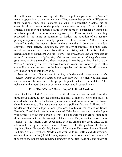the multitudes. To come down specifically to the political passions—the "clerks" were in opposition to them in two ways. They were either entirely indifferent to these passions, and, like Leonardo da Vinci, Malebranche, Goethe, set an example of attachment to the purely disinterested activity of the mind and created a belief in the supreme value of this form of existence; or, gazing as moralists upon the conflict of human egotisms, like Erasmus, Kant, Renan, they preached, in the name of humanity or justice, the adoption of an abstract principle superior to and directly opposed to these passions. Although these "clerks" founded the modern State to the extent that it dominates individual egotisms, their activity undoubtedly was chiefly theoretical, and they were unable to prevent the laymen from filling all history with the noise of their hatreds and their slaughters; *but the "clerks" did prevent the laymen from setting up their actions as a religion, they did prevent them from thinking themselves great men as they carried out these activities.* It may be said that, thanks to the "clerks," humanity did evil for two thousand years, but honored good. This contradiction was an honor to the human species, and formed the rift whereby civilization slipped into the world.

Now, at the end of the nineteenth century a fundamental change occurred: *the "clerks" began to play the game of political passions.* The men who had acted as a check on the realism of the people began to act as its stimulators. This upheaval in the moral behavior of humanity operated in several ways.

#### **First: The "Clerks" Have Adopted Political Passions**

First of all the "clerks" have adopted political passions. No one will deny that throughout Europe to-day the immense majority of men of letters and artists, a considerable number of scholars, philosophers, and "ministers" of the divine, share in the chorus of hatreds among races and political factions. Still less will it be denied that they adopt national passions. Doubtless, the names of Dante, Petrarch, d' Aubigné, certain apologists of Caboche or preachers of the Ligue will suffice to show that certain "clerks" did not wait for our era to indulge in these passions with all the strength of their souls. But, upon the whole, these "clerks" of the forum were exceptions, at least among the great ones. If, in addition to the great masters named above, I evoke the phalanx of Thomas Aquinas, Roger Bacon, Galilei, Rabelais, Montaigne, Descartes, Racine, Pascal, Leibniz, Kepler, Huyghens, Newton, and even Voltaire, Buffon and Montesquieu (to mention only a few) I think I may repeat that until our own days the men of thought or the honest men remained strangers to political passions, and said with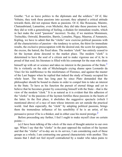Goethe: "Let us leave politics to the diplomats and the soldiers." Of if, like Voltaire, they took these passions into account, they adopted a critical attitude towards them, did not espouse them as passions. Or if, like Rousseau, Maistre, Chateaubriand, Lamartine, even Michelet, they did take these passions to heart, they did so with a generalizing of feeling, a disdain for immediate results, which in fact make the word "passions" incorrect. To-day, if we mention Mommsen, Treitschke, Ostwald, Brunetière, Barrès, Lemaître, Péguy, Maurras, d'Annunzio, Kipling, we have to admit that the "clerks" now exercise political passions with all the characteristics of passion—the tendency to action, the thirst for immediate results, the exclusive preoccupation with the desired end, the scorn for argument, the excess, the hatred, the fixed ideas. The modern "clerk" has entirely ceased to let the layman alone descend to the market place. The modern "clerk" is determined to have the soul of a citizen and to make vigorous use of it; he is proud of that soul; his literature is filled with his contempt for the man who shuts

himself up with art or science and takes no interest in the passions of the State.<sup>[1](#page-93-0)</sup> He is violently on the side of Michelangelo crying shame upon Leonardo da Vinci for his indifference to the misfortunes of Florence, and against the master of the Last Supper when he replied that indeed the study of beauty occupied his whole heart. The time has long past by since Plato demanded that the philosopher should be bound in chains in order to compel him to take an interest in the State. To have as his function the pursuit of eternal things and yet to believe that he becomes greater by concerning himself with the State—that is the view of the modern "clerk." It is as natural as it is evident that this adhesion of the "clerks" to the passions of the laymen fortifies these passions in the hearts of the latter. In the first place, it abolishes the suggestive spectacle (which I mentioned above) of a race of men whose interests are set outside the practical world. And then especially, the "clerk" by adopting political passions, brings them the tremendous influence of his sensibility if he is an artist, of his persuasive power if he is a thinker, and in either case his moral prestige.<sup>[2](#page-93-1)</sup>

Before proceeding any further, I feel I ought to make myself clear on certain points:—

(*a*) I have been talking of the *whole* of the men of thought anterior to our own age. When I say that the "clerks" in the past opposed the realism of the laymen and that the "clerks" of to-day are in its service, I am considering each of these groups as a whole; I am contrasting one general characteristic with another. This means that I shall not feel myself contradicted by a reader who takes pains to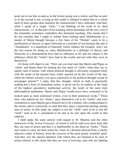point out to me that so-and-so in the former group was a realist, and that so-andso in the second is not, so long as this reader is obliged to admit that as a whole each of these groups does manifest the characteristic I have indicated. And also, when I speak of a single "clerk," I am thinking of his work in its chief characteristic, i.e. in that part of his teaching which dominates all the rest, even if the remainder sometimes contradicts this dominant teaching. This means that I do not consider that I ought to refrain from looking upon Malebranche as a master of liberal thought because a few lines of his "Morale" seem to be a justification of slavery, or upon Nietzsche as a moralist of war because the end of "Zarathustra" is a manifesto of fraternity which outdoes the Gospels. And I see the less reason for doing so, since Malebranche as a defender of slavery and Nietzsche as a humanitarian have had no influence at all, and my subject is the influence which the "clerks" have had in the world, and not what they were in themselves.

(*b*) Some will object to me: "How can you treat men like Barrès and Péguy as 'clerks' and blame them for lacking the true spirit of 'clerks' when they are so openly men of action, with whom political thought is obviously occupied solely with the needs of the present hour, solely spurred on by the events of the day, while the former scarcely ever gave expression to his political thought except in newspaper articles?" I reply, that this thought, which in truth is practically nothing but a form of immediate action, is given out by its authors as the fruits of the highest speculative intellectual activity, the result of the most truly philosophical meditation. Barrès and Péguy would never have consented to be

looked upon as mere polemical writers, even in their polemical works.<sup>[3](#page-93-2)</sup> These men, who indeed are not "clerks," gave themselves out to be "clerks" and were considered as such (Barrès gave himself out to be a thinker who condescended to the arena), and it is precisely as such that they enjoy a particular prestige among men of action. In this study my subject is not the "clerk" such as he is, but the "clerk" such as he is considered to be and as he acts upon the world in that capacity.

I shall make the same answer with regard to M. Maurras and the other instructors of the *Action Française,* of whom it will be said even more truly that they are men of action and that it is indefensible to cite them as "clerks." These men claim to carry out their action by virtue of a doctrine derived from a wholly objective study of history, from the exercise of the most purely scientific spirit. And they owe the special attention with which they are listened to by men of action entirely to this claim that they are *men of learning,* men who are fighting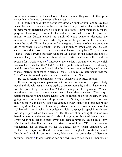for a truth discovered in the austerity of the laboratory. They owe it to their pose as combative "clerks," but essentially *as "clerks."*

(*c*) Finally I should like to define my views on another point and to say that when the "clerk" descends to the market place I only consider that he is failing to perform his functions when he does so, like those I have mentioned, for the purpose of securing the triumph of a realist passion, whether of class, race or nation. When Gerson entered the pulpit of Notre Dame to denounce the murderers of Louis d'Orléans; when Spinoza, at the peril of his life, went and wrote the words "Ultimi barbarorum" on the gate of those who had murdered the de Witts; when Voltaire fought for the Calas family; when Zola and Duclaux came forward to take part in a celebrated lawsuit (Dreyfus affair); all these "clerks" were carrying out their functions as "clerks" in the fullest and noblest manner. They were the officiants of abstract justice and were sullied with no passion for a worldly object.<sup>[4](#page-93-3)</sup> Moreover, there exists a certain criterion by which we may know whether the "clerk" who takes public action does so in conformity with his true functions; and that is, that he is immediately reviled by the laymen, whose interests he thwarts (Socrates, Jesus). We may say beforehand that the "clerk" who is praised by the laymen is a traitor to his office.

But let us return to the modern "clerk's" adhesion to political passions.

It is concerning national passions that this adhesion seems to me particularly novel and big with results. Once again, of course humanity did not have to wait for the present age to see the "clerks" indulge in this passion. Without mentioning the poets, whose tender hearts have always sighed, "Nescio qua natale dulcedine solum cunctos Ducit"; and, as regards the philosophers, without going back to antiquity when all, previous to the Stoics, were ardent patriots; we may yet observe in history (since the coming of Christianity and long before our own days) writers, men of learning, artists, moralists, even ministers of the "Universal" Church, who more or less explicitly displayed a special attachment for the group to which they belonged. But this affection among these men was based on reason; it showed itself capable of judging its object, of denouncing its errors when they believed such errors had been committed. Need I recall how Fénelon and Massillon denounced certain wars of Louis XIV? How Voltaire condemned the destruction of the Palatinate? How Renan denounced the violences of Napoleon? Buckle, the intolerance of England towards the French Revolution? And, in our own times, Nietzsche, the brutalities of Germany towards France?<sup>[5](#page-93-4)</sup> It was reserved for our own time to see men of thought, or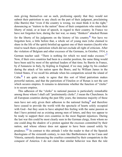men giving themselves out as such, professing openly that they would not submit their patriotism to any check on the part of their judgment, proclaiming (like Barrès) that "even if the country is wrong, we must think it in the right," denouncing as "traitors to the nation" those of their compatriots who retain their liberty of mind, or at least of speech, in regard to their country. In France we have not forgotten how, during the last war, so many "thinkers" attacked Renan

for the liberty of his judgments on the history of his country.<sup>[6](#page-93-5)</sup> Nor have we forgotten how, a little before that, a whole set of young men (who claimed to share in the life of the spirit) bristled up against one of their masters (Jacob) who tried to teach them a patriotism which did not exclude all right of criticism. After the violation of Belgium and other excesses of the Germans, in October, 1914, a

German teacher said: "There is nothing for which we need make excuses."<sup>[7](#page-93-6)</sup> Now, if their own countries had been in a similar position, the same thing would have been said by most of the spiritual leaders of that time; by Barrès in France, by d'Annunzio in Italy, by Kipling in England, if we may judge by his conduct during the attack of his nation upon the Boers, and by William James in the United States, if we recall his attitude when his compatriots seized the island of Cuba. $8$  I am quite ready to agree that this sort of blind patriotism makes powerful nations, and that the patriotism of Fénelon or of Renan is not the sort which secures empires. It remains to determine whether the function of "clerks"

is to secure empires.

This adhesion of the "clerks" to national passion is particularly remarkable among those whom I shall call "preëminently clerks"; I mean the Churchmen. In all European countries during the past fifty years, the immense majority of these men have not only given their adhesion to the national feeling<sup>[9](#page-93-8)</sup> and therefore have ceased to provide the world with the spectacle of hearts solely occupied with God—but they seem to have adopted this feeling with the same passion as that I have pointed out as existing among men of letters, and they too appear to be ready to support their own countries in the most flagrant injustices. During the last war this could be most clearly seen in the German clergy, from whom no one could drag the shadow of a protest against the excesses committed by their nation, and whose silence does not appear to have been caused solely by prudence.<sup>[10](#page-93-9)</sup> In contrast to this attitude I refer the reader to that of the Spanish theologians of the sixteenth century, to men like Bartholomew de las Casas and Vittoria, earnestly denouncing the cruelties committed by their compatriots in the conquest of America. I do not claim that similar behavior was then the rule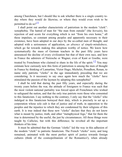among Churchmen, but I should like to ask whether there is a single country today where they would do likewise, or where they would even wish to be permitted to do so? $11$ 

I shall point out another characteristic of patriotism in the modern "clerk": xenophobia. The hatred of man for "the man from outside" (the *horsain*), his rejection of and scorn for everything which is not "from his own home," all these impulses, so constant among peoples and apparently necessary to their existence, have been adopted in our days by the so-called men of thought, and adopted with a seriousness of application, *an absence of simple-mindedness,* which go far towards making this adoption worthy of notice. We know how systematically the mass of German teachers in the past fifty years have announced the decline of every civilization but that of their own race, and how in France the admirers of Nietzsche or Wagner, even of Kant or Goethe, were treated by Frenchmen who claimed to share in the life of the spirit.<sup>[12](#page-94-1)</sup> You may estimate how curiously new this form of patriotism is among the men of thought in France by thinking of Lamartine, Victor Hugo, Michelet, Proudhon, Renan, to name only patriotic "clerks" in the age immediately preceding that we are considering. Is it necessary to say once again how much the "clerks" have stimulated the passion of the laymen by adopting this xenophobia?

I shall be told that during the past fifty years, and especially during the twenty years before the war, the attitude of foreigners to France was such that the most violent national partiality was forced upon all Frenchmen who wished to safeguard the nation, and that the only true patriots were those who consented to this fanaticism. I say nothing to the contrary; I only say that the "clerks" who indulged in this fanaticism betrayed their duty, which is precisely to set up a corporation whose sole cult is that of justice and of truth, in opposition to the peoples and the injustice to which they are condemned by their religions of this earth. It is true indeed that these new "clerks" declare that they do not know what is meant by justice, truth, and other "metaphysical fogs," that for them the true is determined by the useful, the just by circumstances. All these things were taught by Callicles, but with this difference; he revolted all the important thinkers of his time.

It must be admitted that the German "clerks" led the way in this adhesion of the modern "clerk" to patriotic fanaticism. The French "clerks" were, and long remained, animated with the most perfect spirit of justice towards foreign cultures (think of the cosmopolitanism of the Romantics!), when already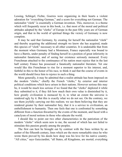Lessing, Schlegel, Fichte, Goerres were organizing in their hearts a violent adoration for "everything German," and a scorn for everything not German. The nationalist "clerk" is essentially a German invention. This, moreover, is a theme which will frequently recur in this book, i.e. that most of the moral and political attitudes adopted by the "clerks" of Europe in the past fifty years are of German origin, and that in the world of spiritual things the victory of Germany is now complete.

It may be said that Germany, by creating for herself the nationalist "clerk" and thereby acquiring the additional strength we know she has acquired, made this species of "clerk" necessary to all other countries. It is undeniable that from the moment when Germany had a Mommsen, France especially was bound to have a Barrès, under penalty of finding herself in a position of great inferiority in nationalist fanaticism, and of seeing her existence seriously menaced. Every Frenchman attached to the continuance of his nation must rejoice that in the last half century France has possessed a fanatically nationalist literature. Yet one would like this Frenchman to rise for a moment superior to his interest, and, faithful in this to the honor of his race, to think it sad that the course of events in the world should force him to rejoice in such a thing.

More generally, it may be admitted that a realist attitude has been imposed on the modern "clerks," chiefly the French "clerks," by exterior and interior political conditions which have arisen in their nations. However serious this may be, it would be much less serious if we found that the "clerks" deplored it while they submitted to it, if they felt how much their own value is diminished by it, how greatly civilization is menaced by it, to what an extent the universe is rendered ugly by it. But this is exactly what we do not see. On the contrary, we see them joyfully carrying out this realism; we see them believing that they are rendered greater by their nationalist fury, that it is a service to civilization, an embellishment to humanity. Then one feels that one is confronted by something different from a function thwarted by the events of the moment, and faced with a cataclysm of moral notions in those who educate the world.

I should like to point out two other characteristics in the patriotism of the modern "clerks" which seem new to me, the second of which has not failed to stimulate this passion greatly among the peoples.

The first can best be brought out by contrast with the lines written by an author of the fifteenth century, lines which are the more remarkable since he who wrote them proved by his deeds how deep was his love for his native country. "All cities," says Guicciardini, "all States, all Kingdoms, are mortal; everything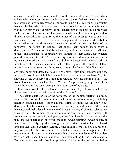comes to an end, either by accident or by the course of nature. That is why a citizen who witnesses the end of his country cannot feel so distressed at her misfortune with so much reason as he would lament his own ruin. His country has met the fate which in every way she was bound to meet; the misfortune is wholly for him whose unhappy lot has caused him to be born in a time when such a disaster had to occur." One wonders whether there is a single modern thinker, attached to his country as the author of that passage was to his, who would dare to form, still less to express, a judgment of her so extraordinarily free in its melancholy. And here we come upon one of the great impieties of the moderns: The refusal to believe that above their nations there exists a development of a superior kind, by which they will be swept away like all other things. The ancients, so completely the adorers of their States, nevertheless placed them beneath Fate. The ancient City was under divine protection, but in no wise believed that she herself was divine and necessarily eternal. All the literature of the ancients shows us that, in their opinion, the duration of their institutions was a precarious thing, solely due to the favor of the Gods, who at any time might withdraw that favor.  $13$  We have Thucydides contemplating the image of a world in which Athens should have ceased to exist; we have Polybius showing us the conqueror of Carthage meditating over the burning town: "And Rome too shall meet her fatal hour." We have Virgil praising the peasant of the fields for whom "res romanae et peritura regna" are of no value.

It was reserved for the moderns to make of their City a tower which defies the heavens, and to do it with the aid of their "clerks."

The second characteristic of the patriotism of the modern "clerks" is a desire to relate the form of their own minds to a form of the *national* mind, which they naturally brandish against other national forms of mind. We all know how, during the last fifty years, so many men of learning on both banks of the Rhine have asserted their views in the name of *French* science, of *German* science. We know how acridly so many of our writers in the same period have vibrated with *French* sensibility, *French* intelligence, *French* philosophy. Some declare that they are the incarnation of Aryan thought, Aryan painting, Aryan music, to which others reply by discovering that a certain master had a Jewish grandmother, and so venerate Semitic genius in him. Here it is not a question of inquiring whether the form of mind of a scholar or an artist is the signature of his nationality or his race and to what extent, but of noting the desire of the modern "clerks" that it should be so, and noting how new a thing this is. Racine and La Bruyère never dreamed of setting up their works before themselves and before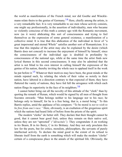the world as manifestation of the French mind, nor did Goethe and Wincklemann relate theirs to the genius of Germany.  $^{14}$  $^{14}$  $^{14}$  Here, chiefly among the artists, is a very remarkable fact. It is very remarkable to see men whose activity consists, one might say professionally, in the assertion of individuality, men who became so violently conscious of this truth a century ago with the Romantic movement, now (as it were) abdicating this sort of consciousness and trying to feel themselves as the expression of some general existence, a manifestation of a collective mind. It is true that this abdication of the individual in favor of "a great impersonal and eternal Whole" satisfies another sort of Romanticism. It is true that this impulse of the artist may also be explained by the desire (which Barrès does not conceal) to increase the enjoyment of himself by himself, since the consciousness of the individual ego is doubled in profundity by consciousness of the national ego, while at the same time the artist finds new lyrical themes in this second consciousness. It may also be admitted that the artist is not blind to his own interest in calling himself the expression of the genius of his nation, thereby inviting the whole race to applaud itself in the work he put before it.<sup>[15](#page-94-4)</sup> Whatever their motives may have been, the great minds or the minds reputed such, by relating the whole of their value so noisily to their nation, have labored in a direction contrary to that expected of them; they have flattered the vanity of nations, they have fed full the arrogance with which each

nation flings its superiority in the face of its neighbors.  $16$ 

I cannot better bring out all the novelty of this attitude of the "clerk" than by quoting the remark of Renan, which would be signed by all men of thought from Socrates onwards: "Man belongs neither to his language nor to his race; he belongs only to himself, for he is a free being, that is, a moral being." To this Barrès replies, amid the applause of his compeers: "To be moral is *not to wish to be free from one's race."* Here, obviously, is an exaltation of the gregarious spirit which the nations had heard little of before from the priests of the spirit.

The modern "clerks" do better still. They declare that their thought cannot be good, that it cannot bear good fruit, unless they remain on their native soil, unless they are not "uprooted" *("déracinés").* They congratulate A on working in *his* Bearn, B in *his* Berry, C in *his* Brittany. And they not only proclaim this law for the poets, but for critics, moralists, philosophers, the servants of purely intellectual activity. To declare the mind good to the extent of its refusal to liberate itself from the earth is something which will make the modern "clerks" certain of a conspicuous place in the annals of the spiritual life. Obviously, the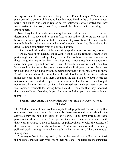feelings of this class of men have changed since Plutarch taught: "Man is not a plant created to be immobile and to have his roots fixed in the soil where he was born," and since Antisthenes replied to his colleagues who boasted that they were native to the soil, that "they shared this honour with the slugs and grasshoppers."

Need I say that I am only denouncing this desire of the "clerk" to feel himself determined by his race and to remain fixed to his native soil to the extent that it becomes in him a political attitude, a nationalist provocation. The best way for me to define this is by quoting this hymn of a modern "clerk" to "his soil and his dead," a hymn completely void of political passion:

"And the old oak under which I am sitting speaks in its turn, and says to me:

"'Read, read in my shadow those Gothic songs whose refrains I heard in the past mingle with the rustling of my leaves. The souls of your ancestors are in these songs that are older than I am. Learn to know those humble ancestors, share their past joys and sorrows. Thus, O transitory creature, shalt thou live long ages in a few years. Be pious, venerate the soil of your country. Never take up a handful in your hand without remembering that it is sacred. Love all those far-off relatives whose dust mingled with earth has fed me for centuries, whose minds have passed into you, their Benjamin, the child of better days. Reproach not your ancestors with their ignorance, nor with the feebleness of their thought, nor even with the illusions of fear which sometimes rendered them cruel. As well reproach yourself for having been a child. Remember that they laboured, that they suffered, that they hoped for you, and that you owe everything to them! $\cdot$ <sup>[17](#page-94-6)</sup>

#### **Second: They Bring Their Political Passions into Their Activities as "Clerks"**

The "clerks" have not been content simply to adopt political passions, if by this one means that they have made a place for these passions side by side with the activities they are bound to carry on as "clerks." They have introduced these passions into those activities. They permit, they desire them to be mingled with their work as artists, as men of learning, as philosophers, to color the essence of their work and to mark all its productions. And indeed never were there so many political works among those which ought to be the mirror of the disinterested intelligence.

You may refuse to be surprised by this in the case of poetry. We must not ask the poets to separate their works from their passions. The latter are the substance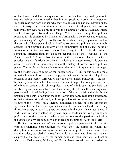of the former, and the only question to ask is whether they write poems to express their passions or whether they hunt for passions in order to write poems. In either case one does not see why they should exclude national passion or the spirit of party from their vibrant material. Our political poets, who are not numerous however, have only followed the example of Virgil, Claudian, Lucan, Dante, d'Aubigné, Ronsard, and Hugo. Yet we cannot deny that political passion, as it is expressed by Claudel or d'Annunzio, a conscious and organized passion *lacking all simplicity,* coldly scornful of its adversary, a passion which in the second of these poets displays itself as so precisely political, so cunningly adapted to the profound cupidity of his compatriots and the exact point of weakness in the foreigner—we cannot deny, I say, that this political passion is something different from the eloquent generalities of the "Tragiques of the Année Terrible." A work like *La Nave,* with its national plan as exact and practical as that of a Bismarck wherein the lyric gift is used to extol this practical character, seems to me something new in the history of poetry, even of political poetry. The result of this new departure on the minds of laymen may be judged

by the present state of mind of the Italian people.<sup>[18](#page-95-0)</sup> But in our day the most remarkable example of the poets' applying their art to the service of political passions is that literary form which may be called "lyrical philosophy," the most brilliant symbol of which is the work of Barrès. It begins by taking as its centers of vibration certain truly philosophical states of mind, such as pantheism, a loftily skeptical intellectualism) and then entirely devotes itself to serving racial passion and national feeling. Here the action of the lyric spirit is doubled by the prestige of the spirit of abstract thought (Barrès admirably caught the appearance of that spirit—he stole the tool, a philosopher has said of him), and in France as elsewhere the "clerks" have thereby stimulated political passions among the laymen, at least in that very important section of them who read and believe they think. Moreover, in regard to poets and especially the poet I have just named, it is difficult to know whether the lyrical impulse lends its aid to a genuine and preëxisting political passion, or whether on the contrary this passion puts itself at the service of a lyrical impulse which is seeking inspiration. Alius judex erit.

But there are other "clerks" who introduce political passion into their works with a remarkable consciousness of what they are doing, in whom this derogation seems more worthy of notice than in the poets. I mean the novelists and dramatists, i.e. "clerks" whose function is to portray in as objective a manner as possible the emotions of the human soul and their conflicts—a function which, as Shakespeare, Molière, and Balzac have proved, may be carried out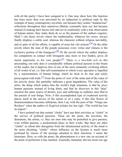with all the purity I have here assigned to it. One may show how this function has been more than ever perverted by its subjection to political ends by the example of many contemporary novelists, not because they scatter "tendencious" reflections throughout their narratives (Balzac constantly does so), but because instead of making their heroes feel and act in conformity with a true observation of human nature, they make them do so as the passion of the authors requires. Shall I cite those novels where the traditionalist, whatever his errors, always finally displays a noble soul, whereas the character without religion inevitably, and in spite of all his efforts, is capable of none but vile actions?  $19$  Or the other novels where the man of the people possesses every virtue and vileness is the exclusive portion of the bourgeois?<sup>[20](#page-95-2)</sup> Or the novels where the author displays his compatriots in contact with foreigners and, more or less frankly, gives all moral superiority to his own people?<sup>[21](#page-95-3)</sup> There is a two-fold evil in this proceeding; not only does it considerably inflame political passion in the breast of the reader, but it deprives him of one of the most eminently civilizing effects of all works of art, i.e. that self-examination to which every spectator is impelled by a representation of human beings which he feels to be true and solely preoccupied with truth. $22$  From the point of view of the artist and of the value of his activity alone, this partiality indicates a great degradation. The value of the artist, the thing which makes him the world's high ornament, is that he *plays* human passions instead of living them, and that he discovers in this "play" emotion the same source of desires, joys and sufferings as ordinary men find in the pursuit of real things. Now, if this accomplished type of exuberant activity places itself at the service of the nation or of a class, if this fine flower of disinterestedness becomes utilitarian, then I say with the poet of the "Vierge aux Rochers" when the author of *Siegfried* exhales his last sigh: "The world has lost its import."

I have pointed out that certain "clerks" have put their activities as "clerks" at the service of political passions. These are the poets, the novelists, the dramatists, the artists, i.e. they are men who may be permitted to give passion, even willful passion, a predominant place in their works. But there are other "clerks" in whom this derogation from the disinterested activity of the mind is far more shocking, "clerks" whose influence on the laymen is much more profound by reason of the prestige attached to their functions. I mean the historians. Here, as with the poets, the phenomenon is a new one on account of the point of perfection it has reached. Assuredly, humanity did not await our age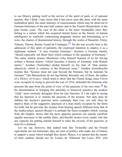to see History putting itself at the service of the spirit of party or of national passion. But I think I may assert that it has never seen this done with the same methodical spirit, the same intensity of consciousness which may be observed in German historians of the past half century and in the French Monarchists of the past twenty years. The case of the latter is the more remarkable since they belong to a nation which has acquired eternal honor in the history of human intelligence by explicitly condemning pragmatic history and formulating, as it were, the charter of disinterested history, through the works of Beaufort, Fréret, Voltaire, Thierry, Renan, Fustel de Coulanges. $2<sup>3</sup>$  Yet the true novelty here is the admission of this spirit of partiality, the expressed intention to employ it as a legitimate method. "A true German historian," declares a German master, "should especially tell those facts which conduce to the grandeur of Germany." The same scholar praises Mommsen (who himself boasted of it) for having written a Roman history "which becomes a history of Germany with Roman names." Another (Treitschke) prided himself on his lack of "that anemic objectivity which is contrary to the historical sense." Another (Guisebrecht) teaches that "Science must not soar beyond the frontiers, but be national, be German." Our Monarchists do not lag behind. Recently one of them, the author of a *History of France,* which tried to show that the French Kings since Clovis were occupied in trying to prevent the war of 1914, defended the historian who presents the past from the point of view of the passions of his own time.<sup>[24](#page-95-6)</sup> By his determination in bringing this partiality to historical narrative the modern "clerk" most seriously derogates from his true function, if I am right in saying that his function is to restrain the passions of the laymen. Not only does he inflame the laymen's passions more cunningly than ever, not only does he deprive them of the suggestive spectacle of a man solely occupied by the thirst for truth, but he prevents the laymen from hearing speech different from that of the market place, speech (Renan's is perhaps the finest example) which, coming from the heights, shows that the most opposite passions are equally justified, equally necessary to the earthly State, and thereby incites every reader who has any capacity for getting outside himself to relax the severity of his passions, at least for a moment.

Let me say, however, that indeed men like Treitschke and his French equivalents are not historians; they are men of politics who make use of history to support a cause whose triumph they desire. Hence, it is natural that the master of their method should not be Lenain de Tillemont but Louis XIV, who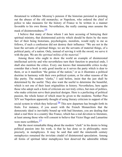threatened to withdraw Mezeray's pension if the historian persisted in pointing out the abuses of the old monarchy; or Napoleon, who ordered the chief of police to take measures for the history of France to be written in a manner favorable to his own throne. Nevertheless, the really cunning ones assume the mask of disinterestedness.<sup>[25](#page-95-7)</sup>

I believe that many of those whom I am here accusing of betraying their spiritual ministry, that disinterested activity which should be theirs by the mere fact of their being historians, psychologists, moralists, would reply to me as follows, if such a confession did not destroy their influence: "We are not in the least the servants of spiritual things; we are the servants of material things, of a political party, of a nation. Only, instead of serving it with the sword, we serve it with the pen. We are *the spiritual militia of the material."*

Among those who ought to show the world an example of disinterested intellectual activity and who nevertheless turn their function to practical ends, I shall also mention the critics. Every one knows that innumerable critics to-day consider that a book is only good insofar as it serves the party which is dear to them, or as it manifests "the genius of the nation," or as it illustrates a political doctrine in harmony with their own political system, or for other reasons of the like purity. The modern "clerks," I said before, insist that the just shall be determined by the useful. They also want the useful to determine the beautiful, which is not one of their least originalities in history. Nevertheless, here again those who adopt such a form of criticism are not truly critics, but men of politics, who make criticism serve their practical designs. Here is a perfecting of political passion, the whole honor of which must be given to the moderns. Neither Pius XIV nor Napoleon apparently thought of using literary criticism in support of the social system in which they believed. $26$  This new departure has brought forth its fruits. For instance, if you assert with the French Monarchists that the democratic ideal is inevitably bound up with bad literature, you are dealing that ideal a real blow in a country like France, which has a real devotion to literature, at least among those who will consent to believe that Victor Hugo and Lamartine were mere scribblers.<sup>[27](#page-95-9)</sup>

But the most remarkable thing about the modern "clerk" in his desire to bring political passion into his work, is that he has done so in philosophy, more precisely, in metaphysics. It may be said that until the nineteenth century metaphysics remained the inviolate citadel of disinterested speculation. Among all forms of spiritual labor metaphysics best deserved the admirable tribute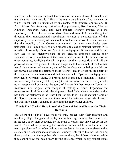which a mathematician rendered the theory of numbers above all branches of mathematics, when he said: "This is the really pure branch of our science, by which I mean that it is unsullied by any contact with practical application." In fact thinkers free from any sort of earthly preference, like Plotinus, Thomas Aquinas, Descartes, Kant, and even thinkers strongly imbued with the superiority of their class or nation (like Plato and Aristotle), never thought of directing their transcendental speculations towards a demonstration of this superiority or the necessity of this adoption by the whole world. It has been said that the morality of the Greeks was national, but their metaphysics were universal. The Church itself, so often favorable to class or national interests in its morality, thinks only of God and Man in its metaphysics. It was reserved for our own age to see metaphysicians of the greatest eminence turning their speculations to the exaltation of their own countries and to the depreciation of other countries, fortifying the will to power of their compatriots with all the power of abstractive genius. Fichte and Hegel made the triumph of the German world the supreme and necessary end of the development of Being, and history has showed whether the action of these "clerks" had an effect on the hearts of their laymen. Let me hasten to add that this spectacle of patriotic metaphysics is provided by Germany alone. In France, even in this age of nationalist "clerks," we have not yet seen any philosopher (at least one who is taken seriously) build up a metaphysical system to the glory of France. Neither Auguste Comte nor Renouvier nor Bergson ever thought of making a French hegemony the necessary result of the world's development. Need I add what a degradation this has been for metaphysics, as it has been for art? It will be the eternal shame of the German philosophers to have transformed the patrician virgin who honored the Gods into a harpy engaged in shrieking the glory of her children.

#### **Third: The "Clerks" Have Played the Game of Political Passions by Their Doctrines**

But where the "clerks" have most violently broken with their tradition and resolutely played the game of the laymen in their eagerness to place themselves in the real, is by their doctrines, by the scale of values they have set up for the world. Those whose preaching for twenty centuries had been to humiliate the realist passions in favor of something transcendental, have set themselves (with a science and a consciousness which will stupefy history) to the task of making these passions, and the impulses which ensure them, the highest of virtues, while they cannot show too much scorn for the existence which in any respect raises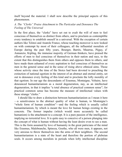itself beyond the material. I shall now describe the principal aspects of this phenomenon.

### *A. The "Clerks" Praise Attachment to The Particular and Denounce The Feeling of The Universal*

In the first place, the "clerks" have set out to exalt the will of men to feel conscious of themselves as distinct from others, and to proclaim as contemptible every tendency to establish oneself in a universal. With the exception of certain authors like Tolstoi and Anatole France, whose teaching moreover is now looked on with contempt by most of their colleagues, all the influential moralists of Europe during the past fifty years, Bourget, Barrès, Maurras, Péguy, d' Annunzio, Kipling, the immense majority of German thinkers, have praised the efforts of men to feel conscious of themselves in their nation and race, to the extent that this distinguishes them from others and opposes them to others, and have made them ashamed of every aspiration to feel conscious of themselves as men in the general sense and in the sense of rising above ethnical aims. Those whose activity since the time of the Stoics had been devoted to preaching the extinction of national egotism in the interest of an abstract and eternal entity, set out to denounce every feeling of this kind and to proclaim the lofty morality of that egotism. In our age the descendants of Erasmus, Montaigne, Voltaire, have denounced humanitarianism as a moral degeneration, nay, as an intellectual degeneration, in that it implies "a total absence of practical common sense"; for practical common sense has become the measure of intellectual values with these strange "clerks."

I should like to draw a distinction between humanitarianism as I mean it here —a sensitiveness to the abstract quality of what is human, to Montaigne's "whole form of human condition"—and the feeling which is usually called humanitarianism, by which is meant the love for human beings existing in the concrete. The former impulse (which would more accurately be called humanism) is the attachment to a concept. It is a pure passion of the intelligence, implying no terrestrial love. It is quite easy to conceive of a person plunging into the concept of what is human without having the least desire even to see a man. This is the form assumed by love of humanity in the great patricians of the mind like Erasmus, Malebranche, Spinoza, Goethe, who all were men, it appears, not very anxious to throw themselves into the arms of their neighbors. The second humanitarianism is a state of the heart and therefore the portion of plebeian souls. It occurs among moralists in periods when lofty intellectual discipline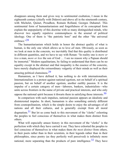disappears among them and gives way to sentimental exaltation, I mean in the eighteenth century (chiefly with Diderot) and above all in the nineteenth century, with Michelet, Quinet, Proudhon, Romain Rolland, Georges Duhamel. This sentimental form of humanitarianism and forgetfulness of its conceptual form explain the unpopularity of this doctrine with so many distinguished minds, who discover two equally repulsive commonplaces in the arsenal of political ideology. One of them is "the patriotic bore" and the other "the universal embrace."<sup>[28](#page-95-10)</sup>

The humanitarianism which holds in honor the abstract quality of what is human, is the only one which allows us to love *all* men. Obviously, as soon as we look at men in the concrete, we inevitably find that this quality is distributed in different quantities, and we have to say with Renan: "In reality one is *more or less* a man, *more or less* the son of God … I see no reason why a Papuan should be immortal." Modern equalitarians, by failing to understand that there can be no equality except in the abstract and that inequality is the essence of the concrete, have merely displayed the extraordinary vulgarity of their minds as well as their amazing political clumsiness.<sup>[29](#page-95-11)</sup>

Humanism, as I have defined it, has nothing to do with internationalism. Internationalism is a protest against national egotism, not on behalf of a spiritual passion, but on behalf of another egotism, another earthly passion. It is the impulse of a certain category of men—laborers, bankers, industrialists—who unite across frontiers in the name of private and practical interests, and who only oppose the national spirit because it thwarts them in satisfying those interests.  $30$ 

In comparison with such impulses, national passion appears an idealistic and disinterested impulse. In short, humanism is also something entirely different from cosmopolitanism, which is the simple desire to enjoy the advantages of all nations and all their cultures, and is generally exempt from all moral dogmatism. $31$  But let us come back to this movement of the "clerks" exhorting the peoples to feel conscious of themselves in what makes them distinct from others.

What will especially amaze history in this movement of the "clerks" is the perfection with which they have carried it out. They have exhorted the peoples to feel conscious of themselves in what makes them *the most distinct* from others, in their poets rather than in their scientists, in their legends rather than in their philosophies, since poetry (as they perfectly well perceived) is infinitely more national, more separating than the products of pure intelligence.<sup>[32](#page-96-0)</sup> They have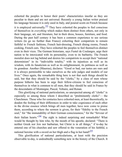exhorted the peoples to honor their poets' characteristics insofar as they are peculiar to them and are not universal. Recently a young Italian writer praised his language because it is only used in Italy, and poured scorn on French because it is employed universally.<sup>[33](#page-96-1)</sup> They have exhorted the peoples to feel conscious of themselves in *everything* which makes them distinct from others, not only in their language, art, and literature, but in their dress, houses, furniture, and food. During the past half century it has been a common experience to see serious writers (to go no further than France) exhorting their compatriots to remain faithful to French fashions, French hair-dressing, French dining rooms, French cooking, French cars. They have exhorted the peoples to feel themselves distinct even in their vices. The German historians, says Fustel de Coulanges, urge their nation to be intoxicated with its personality, even to its barbarity. The French moralist does not lag behind and desires his compatriots to accept their "national determinism" in its "indivisible totality," with its injustices as well as its wisdom, with its fanaticism as well as its enlightenment, its pettiness as well as its grandeur. Another (Maurras), declares: "Good or bad, our tastes are ours and it is always permissible to take ourselves as the sole judges and models of our lives." Once again, the remarkable thing here is not that such things should be said, but that they should be said by the "clerks," by a class of men whose purpose hitherto has been to urge their fellow-citizens to feel conscious of themselves in what is common to all men, that they should be said in France by the descendants of Montaigne, Pascal, Voltaire, and Renan.

This glorifying of national particularism, so unexpected among all "clerks" is especially so among those whom I described as "preëminently clerks"— the Churchmen. Those who for centuries have exhorted men, at least theoretically, to deaden the feeling of their differences in order to take cognizance of each other in the divine essence which brings all men together, have now come to praise them, according to where the sermon is given, for their "fidelity to the French soul," for "the immutability of their German consciousness," for the "fervour of their Italian hearts." $34$  The sight is indeed surprising and remarkable! What would be thought by him who, by the mouth of his apostle, declared: "There is neither Greek nor Jew nor barbarian, but Christ is in all things," if to-day he entered one of his churches and saw offered to the veneration of his faithful, a national heroine with a sword on her thigh and a flag in her hand  $2^{35}$  $2^{35}$  $2^{35}$ 

This glorification of national particularisms, at least with the precision observable to-day, is undoubtedly something new in the history of the Church. It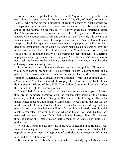is not necessary to go back as far as Saint Augustine, who preached the extinction of all patriotisms in the embrace of "the City of God"; nor even to Bossuet, who shows us the indignation of Jesus at observing "that because we are separated by a few rivers or mountains, we seem to have forgotten that we are all of one nature." So recently as 1849 a lofty assembly of prelates asserted that "this movement of nationalities is a relic of paganism, differences of language are a consequence of sin and the fall of man." Certainly this declaration was an interested one, since it was provoked by the Most Catholic Francis Joseph to check the separatist tendencies among the peoples of his Empire; but I dare to assert that the Church would no longer make such a declaration, even for motives of interest. I shall be told that even if the Church wished to do so, she could only do it under penalty of delivering up her ministers to a terrible unpopularity among their respective peoples. As if the "clerk's" function were not to tell the laymen truths which are displeasing to them, and to pay the price at the expense of his own peace!

I do not ask so much. Is there a single prelate in any pulpit of Europe who would now dare to pronounce: "The Christian is both a cosmopolitan and a patriot. These two qualities are not incompatible. The world indeed is one common fatherland, or, to speak in more Christian terms, one common exile." (Pastoral letter "On the pretended philosophy of modern infidels," by Le Franc de Pompignon, Bishop of Puy, 1763. The "infidels" here are those who refuse the Church the right to be cosmopolitan.)

Some "clerks" do better, and assert that by extolling national particularisms they are in complete harmony with the fundamental spirit of the Church, especially with the teaching of the great Doctors of the Middle Ages. (This is the thesis which opposes Catholicism to Christianity.) Need I recall the fact that the most national of these Doctors limited themselves to considering national particularisms as an inevitable condition of an earthly and inferior world, which must be respected like everything else which is the will of God? Or that they never exhorted men to intensify this feeling in their hearts, still less did they ever think of putting this intensification before them as an exercise in moral selfperfection?

When the Church in past times did approve of something in patriotism, it was fraternity among fellow-citizens, like love of man for other men, but not his opposition to other men. She approved of patriotism as an extension of human love, and not as a limitation of it.  $36$ 

But the most remarkable thing in all this is that recently—precisely since the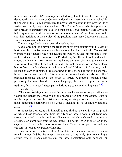time when Benedict XV was reproached during the last war for not having denounced the arrogance of German nationalism—there has arisen a school in the bosom of the Church which tries to prove that by acting in this way the Holy Father had simply obeyed the teaching of his Divine Master, who is supposed to have preached explicitly the love of a man for his own nation. Could anything better symbolize the determination of the modern "clerks" to place their credit and their activities at the service of lay passions than these Churchmen making Jesus an apostle of nationalism?

These strange Christians express themselves thus:

"Jesus does not look beyond the frontiers of his own country with the idea of bestowing his benefactions upon other nations. He declares to the Canaanitish woman, whose daughter he heals against his own wish, that 'his mission is only to the lost sheep of the house of Israel' (Matt. xv, 24). He sent his first disciples among the Israelites. And notice how he insists that they shall not go elsewhere. '*Go* not on the paths of the Gentiles, and enter not the cities of the Samaritans, but go first to the lost sheep of the house of Israel.' (Matt. x, *6.)* Later on, it will be time enough to announce the good news to foreigners, but first of all we must bring it to our own people. This is what he means by the words, so full of patriotic meaning and love: 'the house of Israel.' A group of human beings possessing the same blood, the same language, the same religion, the same tradition, form 'a house.' These particularities are so many dividing walls." $37$ 

They also say:

"The most striking thing about Jesus when he consents to pay tribute to Caesar and refuses the crown which the people offer him in the desert, is not so much his prudence and his disinterestedness, as his patriotism… . One of the most important characteristics of Jesus's teaching is its absolutely national character...<sup>"[38](#page-96-6)</sup>

If the reader desires, he will himself go and find out the solidity of the proofs on which these teachers base their thesis (one of these proofs is that Jesus was strongly attached to the institutions of his nation, which he showed by accepting circumcision eight days after he was born). The point I wish to insist on is the eagerness of these Christians to make their Master a supporter of national egotism, at least at one period of his life.

These views on the attitude of the Church towards nationalism seem to me to remain unmodified by the recent declarations of the Holy See concerning a certain type of French nationalism, for these declarations only condemn an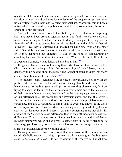openly anti-Christian nationalism (hence a very exceptional form of nationalism) and do not utter a word of blame for the desire of the peoples to set themselves up as distinct from others and to reject universalism. Moreover, this is how a universalist is answered by a publication which is to some extent the official organ of Pontifical views:

"Yes, all men are sons of one Father; but they were divided in the beginning and have never been brought together again. The family was broken up and never joined up again. On the contrary. Certainly, I am glad to recognize the fraternity of all living beings; but are all the dead our fathers? Have they all loved us? Have they all suffered and laboured for us? Some lived on the other side of the globe, and, so to speak, in another world. Some laboured against us, or, if they supported our ancestors, it was in the hope of safeguarding or enriching their own bequest to others, not to us. Where is the debt? If the home is open to all comers, it is no longer a home but an inn." $39$ 

It appears that we must look among those who have left the Church, to find Christian ministers who proclaim the true teaching of their Master, and who declare with no beating about the bush: "The Gospel of Jesus does not imply any country, but obliterates the fatherland." $40$ 

The modern "clerk" denounces the feeling of universalism, not only for the profit of the nation, but for that of a class. Our age has beheld moralists who have declared to the bourgeois world (or to the working classes) that, far from trying to check the feeling of their differences from others and to feel conscious of their common human nature, they should on the contrary try to feel conscious of this difference in all its profundity and irreducibleness, and that this effort is fine and noble, whereas every desire for union is here a sign of baseness and cowardice, and also of weakness of mind. This, as every one knows, is the thesis of the *Reflections on Violence,* which has been praised by a whole galaxy of apostles of the modern soul. There is certainly something more novel in this attitude of the "clerks" to class differences than in their attitude towards national differences. To discover the results of this teaching and the additional hatred (hitherto unknown) which it has given to either class in doing violence to its adversary, you have only to look at Italian Fascism for the bourgeois class, and at Russian Bolshevism for the working class. $41$ 

Here again we see realism trying to shelter under cover of the Church. We see certain Catholic teachers striving to prove that, by encouraging the bourgeois class, *in the name of morality,* to feel conscious of themselves as distinct from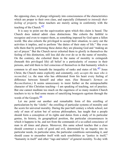the opposing class, to plunge religiously into consciousness of the characteristics which are proper to their own class, and especially (Johannet) to *intensify their feeling of property,* these teachers are merely acting in conformity with the teaching of the Church.<sup>[42](#page-96-10)</sup>

It is easy to point out the equivocation upon which this claim is based. The Church does indeed admit class distinctions. She exhorts the faithful to recognize and even to respect them, as something imposed by God upon a fallen world. She also exhorts the privileged to accept their situation, to carry out the activities it implies, and to perform "the duties of their state of life." She even tells them that by performing these duties they are pleasing God and "making an act of prayer." But the Church never exhorted them to glorify in themselves the feeling of this distinction, still less did she ever do so in the name of morality. On the contrary, she exhorted them in the name of morality to extinguish (beneath this privileged life) all belief in a particularity of essence in their persons, and told them to feel conscious of themselves in that humanity which is common to all men beneath the inequality of ranks and states of life. $43$  Jesus Christ, the Church states explicitly and constantly, *only accepts the man who is reconciled,* i.e. the man who has obliterated from his heart every feeling of difference between himself and other men. (See Bossuet's *Sermon on Reconciliation.)* It seems unnecessary to insist further on the unimpeachable character of this Christian teaching—I am speaking of teaching, not of practice. But one cannot meditate too much on the eagerness of so many modern Church teachers to try to find some means of sanctifying bourgeois egotism through the words of the Gospels.<sup>[44](#page-97-1)</sup>

Let me point out another and remarkable form of this extolling of particularism by the "clerks": the extolling of particular systems of morality and the scorn for universal morality. During the past half century a whole school, not only of men of action but of serious philosophers, has taught that a people should form a conception of its rights and duties from a study of its particular genius, its history, its geographical position, the particular circumstances in which it happens to be, and not from the commands of a so-called conscience of man in all times and places. Moreover, this same school teaches that a class should construct a scale of good and evil, determined by an inquiry into its particular needs, its particular aims, the particular conditions surrounding it, and should cease to encumber itself with such sensibilities as "justice in itself," "humanity in itself" and other "rags and tatters" of general morality. To-day with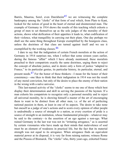Barrès, Maurras, Sorel, even Durckheim<sup>[45](#page-97-2)</sup> we are witnessing the complete bankruptcy among the "clerks" of that form of soul which, from Plato to Kant, looked for the notion of good in the heart of eternal and disinterested man. The example of Germany in 1914 shows the results of this teaching which exhorts a group of men to set themselves up as the sole judges of the morality of their actions, shows what deification of their appetites it leads to, what codification of their violence, what tranquillity in carrying out their plans. One day perhaps we shall see the same thing throughout Europe exemplified by the bourgeois class, unless the doctrines of that class are turned against itself and we see it exemplified by the working classes.<sup>[46](#page-97-3)</sup>

I dare to say that the indignation of certain French moralists at the action of Germany in 1914 surprises me, when I reflect that some sixteen years earlier, during the famous "affair" which I have already mentioned, these moralists preached to their compatriots exactly the same doctrines, urging them to reject the concept of absolute justice, and to desire only a form of justice "adapted to France," to its particular genius, its particular history, its particular, eternal, and present needs.<sup>[47](#page-97-4)</sup> For the honor of these thinkers—I mean for the honor of their consistency—one likes to think that their indignation in 1914 was not the result of any moral conviction, but only of the desire to place the enemy of their nation in the wrong with a naïve universe.

This last-named activity of the "clerks" seems to me one of those which best display their determination and skill in serving the passions of the laymen. If a man exhorts his compatriots to recognize only a personal morality and to reject all universal morality, he is showing himself a master of the art of encouraging them to want to be distinct from all other men, i.e. of the art of perfecting national passion in them, at least in one of its aspects. The desire to take none but oneself as a judge of one's actions and to scorn every opinion of other people is undoubtedly a source of strength to a nation, as every exertion of pride is a source of strength to an institution, whose fundamental principle—whatever may be said to the contrary—is the assertion of an ego against a non-ego. What ruined Germany in the last war was not its "irritating arrogance," as is asserted by certain visionaries who have made up their minds that malevolence of soul must be an element of weakness in practical life, but the fact that its material strength was not equal to its arrogance. When arrogance finds an equivalent material power at its disposal, it is very far from ruining nations; witness Rome and the Prussia of Bismarck. The "clerks" who, thirty years ago, exhorted France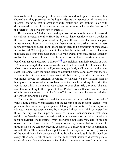to make herself the sole judge of her own actions and to despise eternal morality, showed that they possessed in the highest degree the perception of the national interest, insofar as that interest is wholly realist and has nothing to do with disinterested passion. It remains to be seen, once more, whether the function of the "clerks" is to serve this sort of interests.

But the modern "clerks" have held up universal truth to the scorn of mankind, as well as universal morality. Here the "clerks" have positively shown genius in their effort to serve the passions of the laymen. It is obvious that truth is a great impediment to those who wish to set themselves up as distinct; from the very moment when they accept truth, it condemns them to be conscious of themselves in a universal. What a joy for them to learn that this universal is a mere phantom, that there exist only particular truths, "Lorrain truths, Provençal truths, Britanny truths, the harmony of which in the course of centuries constitutes what is beneficial, respectable, *true in Trance"* [48](#page-97-5) (the neighbor similarly speaks of what is *true in Germany*), that in other words Pascal had the mind of a clown, and that what is true on one side of the Pyrenees may perfectly well be error on the other side! Humanity hears the same teaching about the classes and learns that there is a bourgeois truth and a working-class truth; better still, that the functioning of our minds should be different according to whether we are working men or bourgeois. The source of your troubles (Sorel teaches the working classes) is that you do not think in the mental way suited to your class. His disciple, Johannet, says the same thing to the capitalist class. Perhaps we shall soon see the results of this truly supreme art of the "clerks" in exasperating the feeling of their differences among the classes.

The cult for the particular and the scorn for the universal is a reversal of values quite generally characteristic of the teaching of the modern "clerks," who proclaim them in a far higher sphere of thought than politics. The metaphysics adopted in the last twenty years by almost all those who think or pretend to think, set up as the supreme state of human consciousness that state —"duration"—where we succeed in taking cognizance of ourselves in what is most individual, most distinct from everything not ourselves, and in freeing ourselves from those forms of thought (concept, reason, habits of speech) through which we can only become conscious of ourselves in what is common to us and others. These metaphysics put forward as a superior form of cognizance of the world that which grasps each thing by what is unique in it, distinct from every other, and is full of scorn for the mind which seeks to discover general states of being. Our age has seen a fact hitherto unknown, at least from my point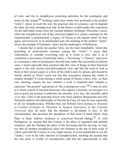of view; and this in metaphysics preaching adoration for the contingent, and scorn for the eternal.<sup>[49](#page-97-6)</sup> Nothing could show better how profound is the modern "clerk's" desire to exalt the real, the practical side of existence, and to degrade the ideal, the truly metaphysical side. In the history of philosophy this veneration for the individual comes from the German thinkers (Schlegel, Nietzsche, Lotze), while the metaphysical cult of the universal (added to a certain contempt for the experimental) is preëminently a legacy of Greece to the human mind. So here again, and moreover in its profoundest part, the teaching of the modern "clerks" shows the triumph of Germanic values and the bankruptcy of Hellenism.

I should like to point out another form, not the least remarkable, which this preaching of particularism assumes among the "clerks." I mean their exhortations to consider everything only as it exists *in time,* that is as it constitutes a succession of particular states, a "becoming," a "history," and never as it presents a state of permanence beyond time under this succession of distinct cases. I mean especially their assertion that this view of things in their historical aspect is the only serious and philosophical view, and that the need to look at them in their eternal aspect is a form of the child's taste for ghosts, and should be merely smiled at. Need I point out that this conception inspires the whole of modern thought? It exists among a whole group of literary critics, who, on their own showing, inquire far less whether a work is beautiful than whether it expresses "the present" aspirations of "the contemporary soul."<sup>[50](#page-97-7)</sup> It may be seen in a whole school of moralist-historians who admire a doctrine, not because it is just or good, but because it embodies the morality *of its time,* the scientific spirit *of its time.* (This is the principal reason why Sorel admires Bergsonism and why Nietzsche admires the philosophy of Nicolas de Cuse.) It may be seen especially in all our metaphysicians. Whether they put forward *Entwickelung* or *Duration* or *Creative Evolution* or *Pluralism* or *Integral Experience* or the *Concrete Universal,* they all teach that the absolute is developed *in time,* in the circumstantial, and proclaim the decadence of that form of mind which, from Plato to Kant, hallows existence as conceived beyond change.<sup>[51](#page-97-8)</sup> If, with Pythagoras, we assume that the Cosmos is the place of regulated and uniform existence, and the Ouranos the place of the becoming and the moving, we may say that all modern metaphysics place the Ouranos at the top of their scale of values and hold the Cosmos in very slight esteem. Is it not remarkable to see the "clerks," even in the lofty function of metaphysicians, teaching the laymen that the real alone is worthy of consideration, and that the supersensible is only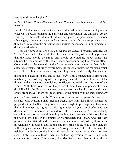## worthy of derisive laughter? $52$

### *B. The "Clerks" Praise Attachment to The Practical, and Denounce Love of The Spiritual*

But the "clerks" with their doctrines have inflamed the realism of the laymen in other ways besides praising the particular and denouncing the universal. At the very top of the scale of moral values they place the possession of concrete advantages, of material power and the means by which they are procured; and they hold up to scorn the pursuit of truly spiritual advantages, of non-practical or disinterested values.

This they have done, first of all, as regards the State. For twenty centuries the "clerks" preached to the world that the State should be just; now they proclaim that the State should be strong and should care nothing about being just. (Remember the attitude of the chief French teachers during the Dreyfus affair.) Convinced that the strength of the State depends upon authority, they defend autocratic systems, arbitrary government, the reason of State, the religions which teach blind submission to authority, and they cannot sufficiently denounce all institutions based on liberty and discussion.<sup>[53](#page-98-0)</sup> This denunciation of liberalism, notably by the vast majority of contemporary men of letters, will be one of the things in this age most astonishing to History, especially on the part of the French. With their eyes fixed on the powerful State, they have praised the State disciplined in the Prussian manner, where every one has his post, and under orders from above, labors for the greatness of the nation, without there being any place left for particular wills.<sup>[54](#page-98-1)</sup> Owing to their cult of the powerful State (and also for other reasons I shall mention later), they want the military element to preponderate in the State, they want it to have a right to privileges and they want the civil element to agree to this right. (See *L'Appel au Soldat,* and the declarations of numerous writers during the Dreyfus affair.) It is certainly something new to see men of thought preaching the abasement of the toga before the sword, especially in the country of Montesquieu and Renan. And then they preach that the State should be strong and contemptuous of justice, above all in its relations with other States. To this end they praise in the head of the State the will to aggrandisement, the desire for "strong frontiers," the effort to keep his neighbors under his domination. And they glorify those means which to them seem likely to attain these ends, i.e. sudden aggression, trickery, bad faith, contempt for treaties. This apology for Machiavellianism has inspired all the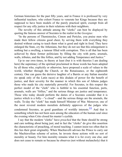German historians for the past fifty years, and in France it is professed by very influential teachers, who exhort France to venerate her Kings because they are supposed to have been models of the purely practical spirit, exempt from all respect for any silly justice in their relations with their neighbors.

The novelty of this attitude among the "clerks" can best be displayed by quoting the famous answer of Socrates to the realist in the *Georgias:*

"In the persons of Themistocles, Cimon and Pericles, you praise men who made their fellow citizens good cheer, by serving them with everything they desired without caring to teach them what is good and right in food. They have enlarged the State, cry the Athenians, but they do not see that this enlargement is nothing but a swelling, a tumour filled with corruption. This is all that has been achieved by these former politicians by filling the city with ports, arsenals, walls, tributes, and the like follies, and by not adding Temperance and Justice."

Up to our own times, in theory at least (but it is with theories I am dealing here) the supremacy of the spiritual proclaimed in those words has been adopted by all those who, explicitly or otherwise, have proposed a scale of values to the world, whether through the Church, or the Renaissance, or the eighteenth century. One can guess the derisive laughter of a Barrès or any Italian moralist (to speak only of the Latin races) at this disdain of power for the benefit of justice, and their severity for the manner in which this son of Athens judges those who made his city materially powerful. For Socrates, in this respect the perfect model of the "clerk" who is faithful to his essential function, ports, arsenals, walls are "follies," and the serious things are justice and temperance. Those who today should perform the duties of a Socrates consider that it is justice which is a folly—"a cloud"—and the serious things are the arsenals, the walls. To-day the "clerk" has made himself Minister of War. Moreover, one of the most revered modern moralists definitely approves of the judges who condemned Socrates, as good guardians of worldly interests.<sup>[55](#page-98-2)</sup> And that is something which has not been seen among the educators of the human soul since the evening when Crito closed his master's eyelids.

I say that the modern "clerks" have *preached* that the State should be strong and care nothing about being just; and in fact the "clerks" do give this assertion the characteristic of preaching, of moral teaching. I cannot insist too often that in this lies their great originality. When Machiavelli advises the Prince to carry out the Machiavellian scheme of action, he invests those actions with no sort of morality or beauty. For him morality remains what it is for every one else, and does not cease to remain so because he observes (not without melancholy) that it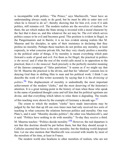is incompatible with politics. "The Prince," says Machiavelli, "must have an understanding always ready to do good, but he must be able to enter into evil when he is forced to do so"; thereby showing that for him evil, even if it aids politics, still remains evil. The modern realists are the *moralists* of realism. For them, the act which makes the State strong is invested with a moral character by the fact that it does so, and this whatever the act may be. The evil which serves politics ceases to be evil and becomes good. This position is evident in Hegel, in the Pangermanists and in Barrès; it is no less evident among realists like M. Maurras and his disciples, in spite of their insistence in declaring that they profess no morality. Perhaps these teachers do not profess any morality, at least expressly, in what concerns private life, but they very clearly profess a morality in the political order of things, if by morality is meant everything which puts forward a scale of good and evil. For them as for Hegel, the practical in politics *is the moral,* and if what the rest of the world calls moral is in opposition to the practical, then *it is the immoral.* Such precisely is the perfectly moralist meaning of the famous campaign of "false patriotism." It seems as if we might say that for M. Maurras the practical is the divine, and that his "atheism" consists less in denying God than in shifting Him to man and his political work. I think I can describe the work of this writer accurately by saying that it is the *divinizing of politics.* [56](#page-98-3) This displacement of morality is undoubtedly the most important achievement of the modern "clerks," and the most deserving of the historian's

attention. It is a great turning-point in the history of man when those who speak in the name of pondered thought come and tell him that his political egotisms are divine, and that everything which labors to relax them is degrading. The results of this teaching were shown by the example of Germany a decade ago.<sup>[57](#page-98-4)</sup>

The extent to which the modern "clerks" have made innovations may be judged by the fact that up till our own times men had only received two sorts of teaching in what concerns the relations between politics and morality. One was Plato's, and it said: "Morality decides politics"; the other was Machiavelli's, and it said: "Politics have nothing to do with morality." To-day they receive a third. M. Maurras teaches: "Politics decide morality."<sup>[58](#page-98-5)</sup> However, the real departure is not that this doctrine should be put before them, but that they should accept it. Callicles asserted that force is the only morality; but the thinking world despised him. Let me also mention that Machiavelli was covered with insults by most of the moralists of his time, at least in France.

The modern world also hearkens to other moralists of realism, who are not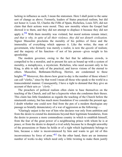lacking in influence as such; I mean the statesmen. Here I shall point to the same sort of change as above. Formerly, leaders of States practiced realism, but did not honor it; Louis XI, Charles the Fifth of Spain, Richelieu, Louis XIV, did not claim that their actions were moral. They saw morality where the Gospel had showed it to them, and they did not attempt to displace it because they did not

apply it.<sup>[59](#page-98-6)</sup> With them morality was violated, but moral notions remain intact; *and that is why, in spite of all their violence, they did not disturb civilization.* Signor Mussolini proclaims the morality of his politics of force and the immorality of everything which opposes it. Like the writer, the man of government, who formerly was merely a realist, is now the *apostle* of realism; and the majesty of his function—if not of his person—gives weight to his apostleship.

The modern governor, owing to the fact that he addresses crowds, is compelled to be a moralist, and to present his acts as bound up with a system of morality, a metaphysics, a mysticism. Richelieu, who need account only to his King, is able to talk only of the practical, and leaves visions of the eternal to others. Mussolini, Bethmann-Hollweg, Herriot, are condemned to these heights.<sup>[60](#page-98-7)</sup> Moreover, this shows how great to-day is the number of those whom I can call "clerks," since by that word I mean all those who speak to the world in a transcendental manner. Consequently, I have a right to demand that they give an account of their acts *as "clerks."*

The preachers of political realism often claim to base themselves on the teaching of the Church, and call her a hypocrite when she condemns their theses. This claim has little foundation as regards the teaching of the Church before the nineteenth century, but has much more foundation if we consider the present age. I doubt whether one could now find from the pen of a modern theologian any passage so brutally denunciatory of a war of aggression as the following:—

"Glaringly unjust is the war of him who declares war only from ambition and from the desire to extend his dominions beyond their legitimate boundaries, from the desire to possess a more commodious country in which to establish himself, from the fear of the great power of a neighbouring prince with whom he is at peace, or from the desire to despoil a rival solely because he is thought unworthy of the possessions or States he holds or of a right which legitimately belongs to him, because a ruler is inconvenienced by him and wants to get rid of this inconvenience by force of arms." $61$  On the other hand, there are an immense number of works to-day which need only a little twisting to make them justify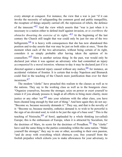every attempt at conquest. For instance, the view that a war is just "if it can invoke the necessity of safeguarding the common good and public tranquillity, the recapture of things unjustly carried off, the repression of rebels, the defence of the innocent." $62$  And the view which asserts that "war is just when it is necessary to a nation either to defend itself against invasion, or *to overthrow the obstacles thwarting the exercise of its rights."* [63](#page-99-1) At the beginning of the last century the Church still taught that war could only be just for one of the two belligerents.<sup>[64](#page-99-2)</sup> It is heavy with consequences that she has now abandoned this position and to-day asserts that war may be just on both sides at once, "from the moment when each of the two adversaries, without being certain of its right, considers it as simply probable after having taken the opinion of its counsellors."<sup>[65](#page-99-3)</sup> Here is another serious thing: In the past, war would only be declared just when it was against an adversary who had committed an injury *accompanied by a moral intention,* whereas to-day it may be declared just if it is directed against a material injury caused without any malice, <sup>[66](#page-99-4)</sup> for instance, an accidental violation of frontier. It is certain that to-day Napoleon and Bismarck could find in the teaching of the Church more justification than ever for their incursions. [67](#page-99-5)

The modern "clerks" have preached this realism to the classes as well as to the nations. They say to the working class as well as to the bourgeois class: "Organize yourselves, become the stronger, seize on power or exert yourself to retain it if you already possess it; laugh at all efforts to bring more charity, more justice or any other 'rot'<sup>[68](#page-99-6)</sup> into your relations with the other class, you have been cheated long enough by that sort of thing." And here again they do not say: "Become so, because necessity demands it." They say, and that is the novelty of it: "Become so, because morality, esthetics demand it; to wish to be powerful is the sign of an elevated soul, to wish to be just the sign of a base soul." This is the teaching of Nietzsche,<sup>[69](#page-99-7)</sup> of Sorel, applauded by a whole thinking (so-called) Europe; this is the enthusiasm of Europe, when it is attracted by Socialism, for the doctrines of Marx, its scorn for the doctrines of Proudhon.<sup>[70](#page-99-8)</sup> The "clerks" have said the same thing to the parties contending within the same nation. "Make yourself the stronger," they say to one or other, according to their own passion, "and do away with everything which obstructs you; free yourself from the foolish prejudice which exhorts you to make allowances for your adversary, to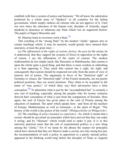establish with him a system of justice and harmony." We all know the admiration professed by a whole army of "thinkers" in all countries for the Italian government, which simply outlaws all citizens who do not approve of it. Until our own times the educators of the human soul, disciples of Aristotle, urged mankind to denounce as infamous any State which was an organized faction. The pupils of Signor Mussolini and

M. Maurras learn to reverence such a State.<sup>[71](#page-99-9)</sup>

This extolling of the "strong State" by the modern "clerks" appears also in certain teachings which, it may be asserted, would greatly have amazed their ancestors, at least the great ones:—

(*a*) *The af irmation of the rights of custom, history, the past* (to the extent, be it understood, that they support the systems of force) in opposition to the rights of reason. I say the affirmation of the *rights* of custom. The modern traditionalists do not simply teach, like Descartes or Malebranche, that custom is upon the whole quite a good thing, and that there is more wisdom in submitting to it than opposing it. They teach that custom has a right, *the* right, and consequently that custom should be respected not only from the point of view of interest, but of justice. The arguments in favor of the "historical right" of Germany to Alsace, the "historical right" of the French monarchy, are not purely political positions, they are moral positions. They claim to be accepted in the name of "true justice," of which (they say) their adversaries have a false conception.<sup>[72](#page-99-10)</sup> To determine what is just by the "accomplished fact" is certainly a new sort of teaching, especially among the peoples who for twenty centuries derived their conception of what is just from the companions of Socrates. Here again, the soul of Greece has given place to the soul of Prussia among the educators of mankind. The spirit which speaks here—and from all the teachers of Europe, Mediterranean as well as Germanic—is the spirit of Hegel: "The history of the world is the justice of the world." (*Weltgeschichte ist Weltgericht.*)

(*b*) The extolling of *policy founded on experience*—by which is meant that a society should be governed on principles which have proved that they can make it strong, and by "illusions" which would tend to make it just. It is in this narrowly practical sense that the cult of experimental politics is a new thing among the "clerks." For if we mean by the phrase the respect for principles which have showed that they are fitted to make a society not only strong but just, the recommendation of such a policy in opposition to a purely rational policy appeared in the thinking world long before the disciples of Taine or Auguste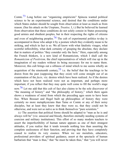Comte.<sup>[73](#page-99-11)</sup> Long before our "organizing empiricists" Spinoza wanted political science to be an experimental science, and desired that the conditions under which States endure should be sought from observation at least as much as from reason. (See his attack on the Utopians, *Treatise,* I, i.) But he believed he learned from observation that these conditions do not solely consist in States possessing good armies and obedient peoples, but in their respecting the rights of citizens and even of neighboring peoples.<sup>[74](#page-100-0)</sup> The cult of experimental politics to-day is accompanied in those who adopt it by a posture which they evidently mean to be striking, and which in fact is so. We all know with what fatalistic visages, what scornful inflexibility, what dark certainty of grasping the absolute, they declare that in matters of politics "they consider only the facts." Here, especially among the French thinkers, is a new kind of Romanticism, which I shall call the *Romanticism of Positivism,* the chief representatives of which will rise up in the imagination of my readers without its being necessary for me to name them. Moreover, this cult brings out a silliness of mind which to me seems wholly an acquisition of the nineteenth century,  $75$  i.e. the belief that the teachings to be drawn from the past (supposing that they exist) will come straight out of an examination of the *facts,* viz. desires which have been realized. As if the desires which have not been realized were not as important, and perhaps more important, if you reflect that they may quite well come to fill the world's stage now.<sup>[76](#page-100-2)</sup> Let me add that this cult of fact also claims to be the sole discoverer of "the meaning of history" and "the philosophy of history," which there again

shows a weakness of mind from which the preceding ages seem to have been free. When Bossuet and Hegel built up philosophies of history they were certainly no more metaphysicians than Taine or Comte or any of their noisy disciples, but at least they knew that they were so, that they could not be otherwise, and were not so naïve as to think themselves "pure scientists."

*(c)* The assertion that political forms should be adapted to "man as he is and always will be" (viz. unsocial and bloody, therefore eternally needing systems of coercion and military institutions). This effort of so many modern teachers to assert the imperfectibility of human nature appears as one of their strangest attitudes, if you realize that it tends towards nothing less than asserting the complete uselessness of their function, and proving that they have completely ceased to realize its very essence. When we see moralists, educators, professional providers of spiritual guidance, assert at the spectacle of human barbarism that "man is thus," that "he must be taken thus," that "you will never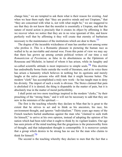change him," we are tempted to ask them what is their reason for existing. And when we hear them reply that "they are positive minds and not Utopians," that "they are concerned with what is, not with what might be," we are staggered to see that they do not know that the moralist is essentially a Utopian, and that the nature of moral action is precisely that it creates its object by affirming it. But we recover when we notice that they are in no wise ignorant of this, and know perfectly well that by affirming it they will create that eternity of barbarism necessary to the maintenance of the institutions which are dear to them.<sup>[77](#page-100-3)</sup>

The dogma of the incurable wickedness of man has another root among some who profess it. This is a Romantic pleasure in picturing the human race as walled in by an inevitable and eternal woe. From this point of view we may say that there has grown up among certain political writers of our time a real *Romanticism of Pessimism,* as false in its absoluteness as the Optimism of Rousseau and Michelet, in hatred of whom it has arisen, while its haughty and so-called scientific attitude is most impressive to simple souls.<sup>[78](#page-100-4)</sup> This doctrine has undoubtedly borne fruits outside the world of literature, and at its voice there has arisen a humanity which believes in nothing but its egotisms and merely laughs at the naïve persons who still think that it might become better. The modern "clerk" has accomplished a truly new work—he has taught man to deny his divinity. The import of such a work is obvious. The Stoics claimed that pain is abolished if it is denied; the thing is disputable in the matter of pain, but it is absolutely true in the matter of moral perfectibility.

I shall point out two more teachings inspired in the modern "clerks," by their preaching of the "strong State," and it will not be necessary to add that they are new in the ministers of the spiritual:—

The first is the teaching whereby they declare to Man that he is great to the extent that he strives to act and to think as his ancestors, his race, his environment thought, and ignores "individualism." Thirty years ago many of the French teachers hurled anathemas against the man who "claimed to seek truth for himself," to arrive at his own opinion, instead of adopting the opinion of his nation which had been told what it ought to think by its vigilant leaders. Our age has seen priests of the mind teaching that the gregarious is the praiseworthy form of thought, and that independent thought is contemptible. It is moreover certain that a group which desires to be strong has no use for the man who claims to think for himself. $79$ 

The second is the teaching whereby they declare to men that the fact that a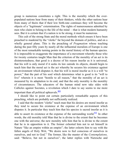group is numerous constitutes a right. This is the morality which the overpopulated nations hear from many of their thinkers, while the other nations hear from many of theirs that if their low birth-rate continues they will become the objects of a "legitimate" extermination. The rights of numerousness admitted by men who claim to belong to the life of the mind —that is what modern humanity sees. But it is certain that if a nation is to be strong, it must be numerous.

This cult of the strong State and the moral methods which ensure it have been preached to mankind by the "clerks" far beyond the domain of politics, and on a wholly general plane. This is the preaching of *Pragmatism* whose teaching during the past fifty years by nearly all the influential moralists of Europe is one of the most remarkable turning points in the moral history of the human species. It is impossible to exaggerate the importance of a movement whereby those who for twenty centuries taught Man that the criterion of the morality of an act is its disinterestedness, that good is a decree of his reason insofar as it is universal, that his will is only moral if it seeks its law outside its objects, should begin to teach him that the moral act is the act whereby he secures his existence against an environment which disputes it, that his will is moral insofar as it is a will "to power," that the part of his soul which determines what is good is its "will to live" wherein it is most "hostile to all reason," that the morality of an act is measured by its adaptation to its end, and that the only morality is the morality of circumstances. The educators of the human mind now take sides with Callicles against Socrates, a revolution which I dare to say seems to me more important than all political upheavals.<sup>[80](#page-100-0)</sup>

<span id="page-72-0"></span>I should like to point out certain particularly remarkable aspects of this preaching, which are probably not sufficiently realized.

<span id="page-72-1"></span>I said that the modern "clerks" teach man that his desires are moral insofar as they tend to secure his existence at the expense of an environment which disputes it. In particular they teach him that his species is sacred insofar as it is able to assert its existence at the expense of the surrounding world.  $81$  In other words, the old morality told Man that he is divine to the extent that he becomes one with the universe; the new morality tells him that he is divine to the extent that he is in opposition to it. The former exhorted him not to set himself in Nature "like an empire within an empire"; the latter exhorts him to say with the fallen angels of Holy Writ, "We desire now to feel conscious of ourselves in ourselves, and not in God." The former, like the master of the *Contemplations,* said: "Believe, but not in ourselves"; the latter replies with Nietzsche and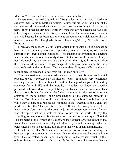Maurras: "Believe, and believe in ourselves, only ourselves."

Nevertheless, the real originality of Pragmatism is not in that. Christianity exhorted man to set himself up against Nature, but did so in the name of his spiritual and disinterested attributes: Pragmatism exhorts him to do so in the name of his practical attributes. Formerly man was divine because he had been able to acquire the concept of justice, the idea of law, the sense of God; to-day he is divine because he has been able to create an equipment which makes him the master of matter. (See the glorifications of the *homo faber* by Nietzsche, Sorel, Bergson.)

Moreover, the modern "clerks" extol Christianity insofar as it is supposed to have been preeminently a school of practical, creative virtues, adjusted to the support of the great human institutions. This amazing deformation of a doctrine which in its precepts is so obviously devoted to the love of the spiritual alone, is not only taught by laymen, who are quite within their rights in trying to place their practical desires under the patronage of the highest moral authorities; it is also professed by the ministers of Jesus themselves. Pragmatist Christianity, as I mean it here, is preached to-day from all Christian pulpits. <sup>[82](#page-100-2)</sup>

<span id="page-73-0"></span>This exhortation to concrete advantages and to that form of soul which procures them, is expressed by the modern "clerk" in another very remarkable teaching: By praise of the military life and the feelings which go with it, and by contempt for civil life and the morality it implies. We know the doctrine preached in Europe during the past fifty years by its most esteemed moralists, their apology for war "which purifies," their veneration for the man of arms "the archtype of moral beauty," their proclamation of the supreme morality of "violence" or of those who settle their differences by duels and not before a jury, while they declare that respect for contracts is the "weapon of the weak," the need for justice the "characteristic of slaves." It is not betraying the disciples of Nietzsche or Sorel—that is, the great majority of contemporary men of letters who attempt to set up a scale of moral values for the world—to say that according to them Colleoni is a far superior specimen of humanity to l'Hôpital. The estimates of the *Voyage du Condottiere* are not peculiar to the author of that work. Here is an idealization of practical activity, which humanity had never before heard from its educators, at least from those who speak dogmatically.

I shall be told that Nietzsche and his school do not extol the military life because it procures material advantages, but on the contrary, because it is the type of disinterested realism, and in opposition to the realism which in their opinion is the characteristic of civilian life. Yet it is none the less true that the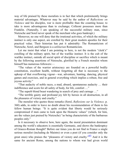way of life praised by these moralists is in fact that which preëminently brings material advantages. Whatever may be said by the author of *Reflections on Violence* and his disciples, war is more profitable than the counting house; to take is more advantageous than to exchange; Colleoni possesses more than Franklin. (Naturally, I am speaking of the successful military man, since Nietzsche and Sorel never speak of the merchant who goes bankrupt.)

Moreover, no one will deny that the irrational activities, of which the military instinct is only one aspect, are extolled by their great modern apostles for their practical value. Their historian has put it admirably: The Romanticism of Nietzsche, Sorel, and Bergson is a *utilitarian* Romanticism.

Let me insist that what I am pointing to here, is not the modern "clerk's" extolling of the military spirit, but of the warlike instinct. It is the cult of the warlike instinct, outside all social spirit of discipline or sacrifice which is meant by the following assertions of Nietzsche, glorified by a French moralist whom himself has numerous followers:—

"The values of the warrior aristocracy are founded on a powerful bodily constitution, excellent health, without forgetting all that is necessary to the upkeep of that overflowing vigour—war, adventure, hunting, dancing, physical games and exercises, and in general everything which implies a robust, free and joyous activity."

"That audacity of noble races, a mad, absurd, spontaneous audacity … their indifference and scorn for all safety of body, for life, comfort …"

"The superb blond beast wandering in search of prey and carnage …"

"The terrible gaiety and profound joy felt by heroes in all destruction, in all the pleasures of victory and cruelty."

The moralist who quotes those remarks (Sorel, *Reflexions sur la Violence,* p. 360) adds, in order to leave no doubt about his recommendation of them to his fellow human beings: "It is quite evident that liberty would be seriously compromised if men came to look upon the Homeric values" (which, for him, are the values just praised by Nietzsche) "as being characteristic of the barbarous peoples only."

<span id="page-74-0"></span>Is it necessary to observe how, here again, the moral presentation dominant among the world's educators is essentially Germanic, and shows the bankruptcy of Graeco-Roman thought? Before our times you do not find in France a single serious moralist (including de Maistre) or even a poet (if you consider only the great ones) who praises the "pleasures of victory and cruelty."<sup>[83](#page-100-3)</sup> And it is the same for ancient Rome, among the nations to whom war had given world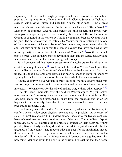<span id="page-75-0"></span>supremacy. I do not find a single passage which puts forward the instincts of prey as the supreme form of human morality in Cicero, Seneca, or Tacitus, or even in Virgil, Ovid, Lucan, and Claudian. On the other hand, I find a great many which attribute this rank to the instincts on which civil life is based.<sup>[84](#page-100-4)</sup> Moreover, in primitive Greece, long before the philosophers, the myths very soon give an important place to civil morality. In a poem of Hesiod the tomb of Cycnus is engulfed in the waters by Apollo's command, because Cycnus was a brigand. The defense of warlike instincts by Mediterranean moralists will be one of the amazements of history. Some of them, moreover, seem uneasy about it, and feel they ought to claim that the Homeric values (we have seen what they mean by that) "are very close to the values of Corneille"  $85$ —as if the French poet's heroes, with all their sense of devotion to duty and the State, had anything in common with lovers of adventure, prey, and carnage!

<span id="page-75-2"></span><span id="page-75-1"></span>It will be observed that these passages from Nietzsche praise the military life apart from any political aim.  $86$  And, in fact, the modern "clerks" teach men that war implies a morality *in itself* and should be exercised even apart from any utility. This thesis, so familiar in Barrès, has been defended in its full splendor by a young hero who is an educator of the soul for a whole French generation:

"In my country we love war and secretly desire it. We have always made war. Not to conquer a province, not to exterminate a nation, not to settle a conflict of interests... We make war for the sake of making war, with no other purpose." $87$ 

<span id="page-75-3"></span>The old French moralists, even the soldiers (Vauvenargues, Vigny), looked upon war as a sad necessity; their descendants recommend it as a noble inutility. Yet, here again, the cult preached as apart from the practical and as an art happens to be eminently favorable to the practical—useless war is the best preparation for useful war.

This teaching leads the modern "clerk" (we have just seen it in Nietzsche) to confer a *moral* value upon physical exercise and to proclaim *the morality of sport*—a most remarkable thing indeed among those who for twenty centuries have exhorted man to situate good in states of the mind. The moralists of sport, moreover, do not all shuffle over the practical essence of their doctrine. Young people, Barrès clearly teaches, should be trained in physical strength, for the greatness of the country. The modern educator goes for his inspiration, not to those who strolled in the Lyceum or to the solitaries of Clairvaux, but to the founder of a little town in the Peloponnesus. Moreover, our age has seen this new thing: Men who claim to belong to the spiritual life teaching that the Greece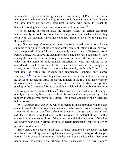to venerate is Sparta with her gymnasiums, not the city of Plato or Praxiteles, while others maintain that in antiquity we should honor Rome and not Greece. All these things are perfectly consistent in those who desire to preach to humanity nothing but strong constitutions and solid ramparts. [88](#page-101-0)

<span id="page-76-0"></span>The preaching of realism leads the modern "Clerk" to certain teachings, whose novelty in his history is not sufficiently noticed, nor what a break they form with the teaching which his class has given to men for the past two thousand years.

*(a) The extolling of courage,* or more precisely the exhortation to make the supreme virtue Man's aptitude to face death, while all other virtues, however lofty, are placed below it. This teaching, openly the teaching of Nietzsche, Sorel, Péguy, Barrès, was always the teaching of poets and generals, but is entirely new among the "clerks," I mean among men who put before the world a scale of values in the name of philosophical reflection, or who are willing to be considered as such. From Socrates to Renan they had considered courage as a virtue, but on a lower plane. All, more or less openly, teach with Plato: "In the first rank of virtue are wisdom and temperance; courage only comes afterwards."<sup>[89](#page-101-1)</sup> The impulses they exhort man to venerate are not those whereby he strives to quench his thirst for placing himself in the real, but those whereby he moderates it. It was reserved for our time to see the priests of the spiritual placing in the first rank of forms of soul that which is indispensable to man if he is to conquer and to lay foundations.  $90$  However, this practical value of courage, plainly expressed by Nietzsche and Sorel, is not equally so expressed by all the modern moralists who praise this virtue. This brings another of their teachings before us:—

<span id="page-76-2"></span><span id="page-76-1"></span>*(b) The extolling of honor,* by which is meant all those impulses which cause a man to risk his life for no practical interest—to be precise, from desire of glory —*but which are an excellent school of practical courage,* and were always extolled by those who lead men to the conquest of material things. In this connection, let the reader think of the respect in which the institution of the duel has always been held in armies, in spite of certain repressions inspired solely by practical considerations. [91](#page-101-3)

<span id="page-76-4"></span><span id="page-76-3"></span>Here again, the position attributed to these impulses by so many modern moralists is something new among them, especially in the country of Montaigne, Pascal, La Bruyère, Montesquieu, Voltaire and Renan, who, when they extol honor, mean something very different from man's cult of his own glory.  $92$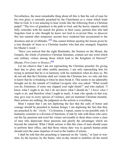Nevertheless, the most remarkable thing about all this is that the cult of man for his own glory is currently preached by the Churchmen as a virtue which leads Man to God. Is it not amazing to hear words like the following from a Christian pulpit? "The love of grandeurs is the path to God, and the heroic impulse which fully coincides with the search for glories in their cause, permits him who had forgotten God or who thought he knew not God to re-invent Him, to discover this last summit after temporary ascents have rendered him accustomed to the dizziness and air of altitudes."<sup>[93](#page-101-5)</sup> One cannot forbear quoting the lesson given by a true disciple of Jesus to a Christian teacher who had also strangely forgotten his Master's word:—

<span id="page-77-0"></span>"Have you noticed that the eight Beatitudes, the Sermon on the Mount, the Gospels, the whole of primitive Christian literature, contain not one word which sets military virtues among those which lead to the Kingdom of Heaven?" (Renan, *First Letter to Strauss.)* [94](#page-102-0)

<span id="page-77-1"></span>Let me observe that I am not reproaching the Christian preacher for giving their due to glory and other earthly passions, I am only reproaching him for trying to pretend that he is in harmony with his institution when he does so. We do not ask that the Christian shall not violate the Christian law; we only ask him to know that he is breaking it when he does break it. This seems to me admirably brought out by the remark of Cardinal Lavigerie who was asked: "What would you do, Eminence, if some one slapped your right cheek?" and who replied, "I know what I ought to do, but I do not know what I should do." *I know what I ought to do,* and therefore what I ought to teach. A man who speaks in that way may give way to every species of violence, and yet maintain Christian morality. Here actions are nothing; the judgment on the actions is everything.

Must I repeat that I am not deploring the fact that the cults of honor and courage should be preached to human beings; I am deploring the fact that they are preached *by the "clerks."* Civilization, I repeat, seems to me possible only if humanity consents to a division of functions, if side by side with those who carry out the lay passions and extol the virtues serviceable to them there exists a class of men who depreciate these passions and glorify the advantages which are beyond the material. What I think serious is that this class of men should cease to perform their office, and that those whose duty was to quench human pride should extol the same impulses of soul as the leaders of armies.

I shall be told that this preaching is imposed on the "clerks," at least in wartime, by the laymen, by the States, who to-day intend to mobilize all the moral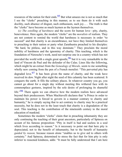<span id="page-78-0"></span>resources of the nation for their ends.<sup>[95](#page-102-1)</sup> But what amazes me is not so much that I see the "clerks" preaching in this manner, as to see them do it with such docility, such absence of disgust, such enthusiasm, such joy… . The truth is that the "clerks" have become as much laymen as the laymen themselves.

<span id="page-78-1"></span>*(c) The extolling of harshness* and the scorn for human love—pity, charity, benevolence. Here again, the modern "clerks" are the *moralists* of realism. They are not content to remind the world that harshness is necessary in order "to succeed" and that charity is an encumbrance, nor have they limited themselves to preaching to their nation or party what Zarathustra preached to his disciples: "Be hard, be pitiless, and in this way dominate." They proclaim the moral nobility of harshness and the ignominy of charity. This teaching, which is the foundation of Nietzsche's work, need not surprise one in a country which has not provided the world with a single great apostle,  $96$  but it is very remarkable in the land of Vincent de Paul and the defender of the Calas. Lines like the following, which might be an extract from the *Genealogy of Morals,* seem to me something wholly new coming from the pen of a French moralist: "This perverted pity has degraded love.<sup>[97](#page-102-3)</sup> It has been given the name of charity, and the weak have received its dew. Night after night the seed of this calamity has been scattered. It conquers the earth. It fills the solitary places. In whatever country you go, you cannot go about for a single day without meeting this withered face with its commonplace gestures, inspired by the sole desire of prolonging its shameful life."<sup>[98](#page-102-4)</sup> There again we can observe how the modern realists have advanced beyond their predecessors. When Machiavelli declares that "a Prince in order to maintain his power is forced to govern in a manner contrary to charity and humanity," he is simply saying that to act contrary to charity may be a practical necessity, but he does not in the least touch that charity is a degradation of the soul. This teaching is the contribution of the nineteenth century to the moral education of mankind.

<span id="page-78-3"></span><span id="page-78-2"></span>Sometimes the modern "clerks" claim that in preaching inhumanity they are only continuing the teaching of their great ancestors, particularly of Spinoza on acount of his famous proposition: "Pity in itself is bad and useless in a soul which lives according to reason." Is it necessary to point out that here pity is depreciated, not to the benefit of inhumanity, but to the benefit of humanity *guided by reason,* because reason alone "enables us to give aid to others with certainty." And Spinoza, determined to stress the fact that for him pity is only inferior to reasoned kindness, adds: "It must be fully understood that I am here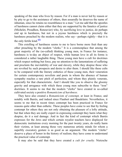speaking of the man who lives by reason. For if a man is never led by reason or by pity to go to the assistance of others, then assuredly he deserves the name of inhuman, since he retains no resemblance to a man." Let me add that the apostles of harshness cannot claim either that they are supported by the fanatics of justice (Michelet, Proudhon, Renouvier) who, by sacrificing love to justice, do perhaps end up in harshness, but not in a joyous harshness which is precisely the harshness preached by the modern realists, who say—perhaps rightly—that it is the only fertile kind.<sup>[99](#page-102-5)</sup>

<span id="page-79-0"></span>This extolling of harshness seems to me to have borne more fruit than any other preaching by the modern "clerks." It is a commonplace that among the great majority of the (so-called) thinking young men, in France for instance, harshness is to-day an object of respect, while human love in all its forms is considered a rather laughable thing. These young men have a cult for doctrines which respect nothing but force, pay no attention to the lamentations of suffering and proclaim the inevitability of war and slavery, while they despise those who are revolted by such prospects and desire to alter them. I should like these cults to be compared with the literary esthetics of these young men, their veneration for certain contemporary novelists and poets in whom the absence of human sympathy reaches a rare pitch of perfection, and whom they plainly venerate, especially for that characteristic. And I should like you to observe the gloomy gravity and arrogance with which these young men subscribe to these "iron" doctrines. It seems to me that the modern "clerks" have created in so-called cultivated society a positive *Romanticism of harshness.*

They have also created a *Romanticism of contempt,* at least in France, and notably with Barrès, and indeed since Flaubert and Baudelaire. Nevertheless, it seems to me that in recent times contempt has been practiced in France for reasons quite other than esthetic. These peoples have come to see that by feeling contempt for others they are not only obtaining the pleasure of a lofty attitude, but that when they are really expert in expressing contempt they harm what they despise, do it a real damage. And in fact the kind of contempt which Barrès expresses for the Jews and which certain royalist teachers have displayed for democratic institutions every morning for the past twenty years, do really harm their victims, at least among those very numerous artistic minds for whom a superbly executory gesture is as good as an argument. The modern "clerks" deserve a place of honor in the history of realism; they have come to understand the practical value of contempt.

It may also be said that they have created a *cult for cruelty.* Nietzsche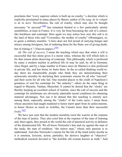<span id="page-80-0"></span>proclaims that "every superior culture is built up on cruelty," a doctrine which is explicitly proclaimed in many places by Barrès, author of *Du sang, de la voluptè et de la mort.* Nevertheless, the cult of cruelty, which may also be thought necessary "to succeed"<sup>[100](#page-102-6)</sup> has remained limited to a few particularly artistic sensibilities, at least in France. It is very far from becoming the cult of a school, like harshness and contempt. Here again we may notice how new this cult is in the land of those who said "Cowardice, the mother of cruelty" (Montaigne), or, to quote a military moralist, "a hero does not feel proud of carrying hunger and misery among foreigners, but of enduring them for the State; nor of giving death, but of risking it." (Vauven-argues.)<sup>[101](#page-102-7)</sup>

<span id="page-80-1"></span>*(d) The cult of success,* I mean the teaching which says that when a will is successful that fact alone gives it a moral value, whereas the will which fails is for that reason alone deserving of contempt. This philosophy which is professed by many a modern teacher in political life (it may be said, by all in Germany since Hegel, and by a large number in France since de Maistre) is also professed in private life, and has borne its fruits there. In the so-called thinking world today there are innumerable people who think they are demonstrating their aristocratic morality by declaring their systematic esteem for all who "succeed" and their scorn for all who fail. One moralist places to the credit of Napoleon's greatness of soul his contempt for "the unlucky"; others do the same thing in regard to Mazarin, Vauban, Mussolini. It cannot be denied that the "clerks" are thereby keeping an excellent school of realism, since the cult of success and the contempt for misfortune are obviously admirable moral conditions for obtaining material advantages. Nor can it be denied that this teaching is entirely new among them, especially among the "clerks" of the Latin races, I mean those whose ancestors had taught mankind to honor merit apart from its achievements, to honor Hector as much as Achilles, the Curiatii more than their successful rivals. [102](#page-102-8)

<span id="page-80-2"></span>We have just seen that the modern moralists extol the warrior at the expense of the man of justice. They also extol him at the expense of the man of learning and, there again, they preach to the world the cult of practical activity in defiance of the disinterested life. We all know Nietzsche's hue and cry against the man of the study, the man of erudition, "the mirror man," whose only passion is to understand. And also Nietzsche's esteem for the life of the mind solely insofar as it is emotion, lyricism, action, partiality; his derisive laughter at "objective" methodical research devoted to "the horrible old woman known as truth." And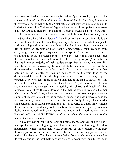<span id="page-81-1"></span><span id="page-81-0"></span>we know Sorel's denunciations of societies which 'give a privileged place to the amateurs of *purely intellectual things* [103](#page-102-9) (those of Barrès, Lemaître, Brunetière, thirty years ago, intimating to the "intellectuals" that they are a type of humanity "inferior to the soldier"; those of Pèguy, who admires philosophies to the extent that "they are good fighters," and admires Descartes because he was in the army, and the dialecticians of French monarchism solely because they are ready to be killed for the sake of their views.  $104$  I shall be told that most often this is the mere wild talk of men of letters, the posturing of lyricists, to which it is unjust to attribute a dogmatic meaning; that Nietzsche, Barrès and Pèguy denounce the life of study on account of their poetic temperaments, their aversion from everything lacking in picturesqueness and the spirit of adventure, and not their resolution to abase disinterestedness. To which I reply that these poets give themselves out as serious thinkers (notice their tone, *quite free from* naïveté); that the immense majority of their readers accept them as such; that, even if it were true that in depreciating the man of study their motive is not to abase disinterestedness, it is none the less true in fact that the manner of living they hold up to the laughter of mankind happens to be the very type of the disinterested life, while the life they extol at its expense is the very type of practical activity (at least more practical than that of the man of study, for it will be admitted that the activity of du Guesclin and Napoleon is more likely to acquire material advantages than the activity of Spinoza and Mabillon); that, moreover, what these thinkers despise in the man of study is precisely the man who lays no foundations, who does not conquer, who does not predicate the capture of its environment by the species, or who, if he does predicate it, as the scientist does by his discoveries, retains for himself only the joy of knowledge and abandons the practical exploitation of his discoveries to others. In Nietzsche, the scorn for the man of study to the benefit of the warrior is only an episode in a desire which nobody will deny inspires the whole of his work as well as the work of Sorel, Barrès and Péguy: *The desire to abase the values of knowledge before the values of action.* [105](#page-102-11)

<span id="page-81-2"></span>To-day this desire inspires not only the moralist, but another kind of "clerk" who speaks from much higher ground. I am referring to that teaching of modern metaphysics which exhorts man to feel comparatively little esteem for the truly thinking portion of himself and to honor the active and *willing* part of himself with all his devotion. The theory of knowledge from which humanity has taken its values during the past half century assigns a secondary rank to the mind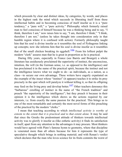which proceeds by clear and distinct ideas, by categories, by words, and places in the highest rank the mind which succeeds in liberating itself from these intellectual habits and in becoming conscious of itself insofar as it is a "pure tendency," a "pure will," a "pure activity." Philosophy which formerly raised man to feel conscious of himself because he was a thinking being and to say, "I think, therefore I am," now raises him to say, "I am, therefore I think," "I think, therefore I am not," (unless he takes thought into consideration only in that humble region where it is confused with action). Formerly philosophy taught him that his soul is divine insofar as it resembles the soul of Pythagoras linking up concepts; now she informs him that his soul is divine insofar as it resembles that of the small chicken breaking its eggshell.  $106$  From his loftiest pulpit the modern "clerk" assures man that he is great in proportion as he is practical.

<span id="page-82-0"></span>During fifty years, especially in France (see Barrès and Bourget) a whole literature has assiduously proclaimed the superiority of instinct, the unconscious, intuition, the will (in the German sense, i.e. as opposed to the intelligence) and has proclaimed it in the name of the practical spirit, because the instinct and not the intelligence knows what we ought to do—as individuals, as a nation, as a class—to secure our own advantage. These writers have eagerly expatiated on the example of the insect whose "instinct" (it appears) teaches it to strike its prey precisely in the spot which will paralyze it without killing it, so that its offspring may feed on the living prey and develop better.  $107$  Other teachers denounce this "barbarous" extolling of instinct in the name of "the French tradition" and preach "the superiority of the intelligence"; but they preach it because in their opinion it is the intelligence which shows us the actions required by our interests, i.e. from exactly the same passion for the practical. This brings us to one of the most remarkable and certainly the most novel forms of this preaching of the practical by the modern "clerks."

<span id="page-82-1"></span>I mean that teaching according to which *intellectual activity is worthy of esteem to the extent that it is practical and to that extent alone.* It may be said that since the Greeks the predominant attitude of thinkers towards intellectual activity was to glorify it insofar as (like esthetic activity) it finds its satisfaction in itself, apart from any attention to the advantages it may procure. Most thinkers would have agreed with Plato's famous hymn to geometry, where that discipline is venerated more than all others because for him it represents the type of speculative thought which brings in nothing material; and with Renan's verdict which declares that the man who loves science for its fruits commits the worst of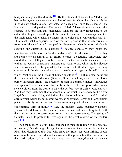<span id="page-83-2"></span><span id="page-83-1"></span><span id="page-83-0"></span>blasphemies against that divinity.  $108$  By this standard of values the "clerks" put before the laymen the spectacle of a class of men for whom the value of life lies in its disinterestedness, and they acted as a check on—or at least shamed—the laymen's practical passions. The modern "clerks" have violently torn up this charter. They proclaim that intellectual functions are only respectable to the extent that they are bound up with the pursuit of a concrete advantage, and that the intelligence which takes no interest in its objects is a contemptible activity. They teach that the superior form of the intelligence is that which thrusts its roots into "the vital urge," occupied in discovering what is most valuable in securing our existence. In historical  $109$  science especially, they honor the intelligence which labors under the guidance of political interests,  $\frac{110}{10}$  $\frac{110}{10}$  $\frac{110}{10}$  and they are completely disdainful of all efforts towards "objectivity." Elsewhere they assert that the intelligence to be venerated is that which limits its activities within the bounds of national interests and social order, while the intelligence which allows itself to be guided by the desire for truth alone, apart from any concern with the demands of society, is merely a "savage and brutal" activity, which "dishonours the highest of human faculties."<sup>[111](#page-103-5)</sup> Let me also point out their devotion to the doctrine (Bergson, Sorel) which says that science has a purely utilitarian origin—the necessity of man to dominate matter, "knowledge is adaptation"; and their scorn for the beautiful Greek conception which made science bloom from the desire to play, the perfect type of disinterested activity. And then they teach men that to accept an error which is of service to them (the "myth") is an undertaking which does them honor, while it is shameful to admit a truth which harms them. In other words, as Nietzsche, Barrès and Sorel plainly put it, sensibility to truth in itself apart from any practical aim is a somewhat contemptible form of mind.<sup>[112](#page-103-6)</sup> Here the modern "clerk" positively displays genius in his defense of the material, since the material has nothing to do with the truth, or rather to speak more truly— has no worse enemy. The genius of Callicles in all its profundity lives again in the great masters of the modern soul. [113](#page-103-7)

<span id="page-83-5"></span><span id="page-83-4"></span><span id="page-83-3"></span>Then the modern "clerks" have preached to men the religion of the practical *by means of their theology,* through the image of God they have set before them. First, they determined that God, who since the Stoics has been infinite, should once more become finite, distinct, endowed with a personality, that He should be the affirmation of a *physical* and not a *metaphysical* existence.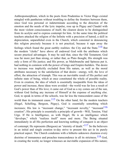<span id="page-84-4"></span><span id="page-84-3"></span><span id="page-84-2"></span><span id="page-84-1"></span><span id="page-84-0"></span>Anthropomorphism, which in the poets from Prudentius to Victor Hugo existed mingled with pantheism without troubling to define the frontiers between them, since God was personal or indeterminate according to the direction of the emotion and the needs of the lyric impulse, rose up in Péguy and Claudel with the most violent consciousness of itself, the clearest desire to be distinguished from its acolyte and to express contempt for him. At the same time the political teachers attacked the religion of the Infinite with a precision of hatred, a skill in depreciation, unparalleled even in the Church, which consisted in denouncing this religion precisely because it is not practical, because it saps away the feelings which found the great earthly realities: the City and the State.<sup>[114](#page-104-0)</sup> But the modern "clerks" have above all endowed God with the attributes which secure practical advantages. It may be said that, since the Old Testament, God was far more just than strong, or rather that, as Plato thought, His strength was only a form of His justice; and His power, as Malebranche and Spinoza put it, had nothing in common with the power of kings and Empire-builders. The desire to increase was implicitly excluded from His nature, as well as the moral attributes necessary to the satisfaction of that desire—energy, will, the love of effort, the attraction of triumph. This was an inevitable result of His perfect and infinite state of being, which at once constituted the whole of possible reality. Even in creation, the idea of which is essentially inseparable from the ideas of power and increase, these ideas were avoided—the world was far less a result of God's power than of His love; it came out of God as a ray comes out of the sun, without God feeling any increase of Himself at the expense of anything else. God, to speak in terms of the schools, was far less the transcendent cause of the world than its immanent cause. $115$  On the other hand, for the modern teachers (Hegel, Schelling, Bergson, Péguy), God is essentially something which increases; His law is "incessant change," "incessant novelty," "incessant  $116$ creation"; His principle is essentially a principle of growth—Will, Tension, Vital Urge. If He is Intelligence, as with Hegel, He is an intelligence which "develops," which "realizes itself" more and more. The Being situated immediately in all His perfection and knowing nothing of conquest is an object of contempt; He represents (Bergson) an "eternity of death."<sup>[117](#page-104-3)</sup> So the believers in an initial and single creation to-day strive to present this act in its purely practical aspect. The Church condemns with a hitherto unknown clearness every doctrine of immanence and preaches transcendence in all its strictness.  $118$  God, in creating the world, no longer witnesses an inevitable expansion of His nature;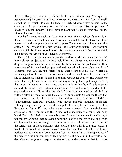through His power (some, to diminish the arbitrariness, say "through His benevolence") he sees the arising of something clearly distinct from Himself, something on which He sets His hand. His act, whatever may be said to the contrary, is the perfect model of material aggrandizement. Like the prophet of Israel of old, the modern "clerk" says to mankind: "Display your zeal for the Eternal, the God of battles."

For half a century, such has been the attitude of men whose function is to thwart the realism of nations, and who have labored to excite it with all their power and with complete decision of purpose. For this reason I dare to call this attitude "The Treason of the Intellectuals." If I look for its causes, I see profound causes which forbid me to look upon this movement as a mere fashion, to which the contrary movement might succeed to-morrow.

One of the principal causes is that the modern world has made the "clerk" into a citizen, subject to all the responsibilities of a citizen, and consequently to despise lay passions is far more difficult for him than for his predecessors. If he is reproached for not looking upon national quarrels with the noble serenity of Descartes and Goethe, the "clerk" may well retort that his nation claps a soldier's pack on his back if she is insulted, and crushes him with taxes even if she is victorious. If shame is cried upon him because he does not rise superior to social hatreds, he will point out that the day of enlightened patronage is over, that to-day he has to earn his living, and that it is not his fault if he is eager to support the class which takes a pleasure in his productions. No doubt this explanation is not valid for the true "clerk," who submits to the laws of his State without allowing them to injure his soul. He renders unto Caesar the things that are Caesar's, i.e. his life perhaps, but nothing more. The true "clerk" is Vauvenargues, Lamarck, Fresnel, who never imbibed national patriotism although they perfectly performed their patriotic duty; he is Spinoza, Schiller, Baudelaire, César Franck, who were never diverted from single-hearted adoration of the Beautiful and the Divine by the necessity of earning their daily bread. But such "clerks" are inevitably rare. So much contempt for suffering is not the law of human nature even among the "clerks"; the law is that the living creature condemned to struggle for life turns to practical passions, and thence to the sanctifying of those passions. The "clerk's" new faith is to a great extent a result of the social conditions imposed upon him, and the real evil to deplore is perhaps not so much the "great betrayal" of the "clerks" as the disappearance of the "clerks," the impossibility of leading the life of a "clerk" in the world of today. One of the gravest responsibilities of the modern State is that it has not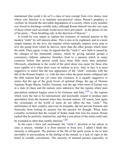maintained (but could it do so?) a class of men exempt from civic duties, men whose sole function is to maintain non-practical values. Renan's prophecy is verified; he foretold the inevitable degradation of a society where every member was forced to discharge worldly tasks, although Renan himself was the very type of those whom such servitude would never have prevented—in the phrase of one of his peers—"from breathing only in the direction of Heaven."

It would be very unjust to explain the existence of national passion in the modern "clerk" by self-interest alone. This is also to be explained, and in a more simple manner, by the love, the impulse which naturally inspires every man to love the group from which he derives, more than the other groups which share the earth. There again, it may be argued that the "clerk's" new faith is caused by the changes of the nineteenth century, which by giving national groups a consistency hitherto unknown furnishes food to a passion which in many countries before that period could have been little more than potential. Obviously, attachment to the world of the spirit alone was easier for those who were capable of it when there were no nations to love. And, in fact, it is most suggestive to notice that the true appearance of the "clerk" coincides with the fall of the Roman Empire, i.e. with the time when the great nation collapsed and the little nations had not yet come into existence. It is equally suggestive to notice that the age of the great lovers of spiritual things, the age of Thomas Aquinas, Roger Bacon, Galilei, Erasmus, was the age when most of Europe was in a state of chaos and the nations were unknown; that the regions where pure

<span id="page-86-0"></span>speculation endured longest seem to be Germany and Italy,  $119$  i.e. the regions which were the last to be nationalized; and practically ceased to produce pure speculation from the moment when they became nations. Of course, here again the vicissitudes of the world of sense do not affect the true "clerk." The misfortunes of their country, and even its triumphs, did not prevent Einstein and Nietzsche from feeling no passion but the passion for thought. When Jules Lemaître exclaimed that the wound of Sedan made him lose his reason, Renan replied that he perfectly retained his, and that a true priest of the mind could only be wounded in other than earthly interests.  $120$ 

<span id="page-86-1"></span>In the cases I have just mentioned, the "clerk's" devotion to his nation or class is sincere, whether it is from interest or from love. I admit I think this sincerity is infrequent. The practice of the life of the spirit seems to me to lead inevitably to universalism, to the feeling of the eternal, to a lack of vigor in the belief in worldly conventions. The sincerity of national passion especially, in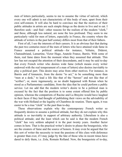men of letters particularly, seems to me to assume the virtue of naïveté, which every one will admit is not characteristic of this body of men, apart from their own self-esteem. It will also be hard to convince me that the motives of their public attitudes in artists are such simple things as the desire to live and to eat. I therefore seek—and find—other reasons for the realism of the modern "clerk," and these, although less natural, are none the less profound. They seem to me particularly valid for men of letters, especially in France, the country where the attitude of writers in the past half century differs most from that of their fathers.

First of all, I see the interests of their careers. It is an obvious fact that during the past two centuries most of the men of letters who have attained wide fame in France assumed a political attitude—for instance, Voltaire, Diderot, Chateaubriand, Lamartine, Victor Hugo, Anatole France, Barrès. With some of them, real fame dates from the moment when they assumed that attitude. This law has not escaped the attention of their descendants, and it may be said to-day that every French writer who desires wide fame (which means every writer endowed with the real temperament of a man of letters) also desires inevitably to play a political part. This desire may arise from other motives. For instance, in Barrès and d'Annunzio, from the desire "to act," to be something more than "men at a desk," to lead a life like that of the "heroes" and not like that of "scribes"; or, more ingenuously, as no doubt happened with Renan when he stood as a Parliamentary candidate, from the idea that he could perform a public service. Let me add that the modern writer's desire to be a political man is excused by the fact that the position is to some extent offered him by public opinion, whereas the compatriots of Racine and La Bruyère would have laughed in their faces if they had thought of publishing their views on the advisability of the war with Holland or the legality of Chambres de reunion. There again, it was easier to be a true "clerk" in the past than to-day.

These observations explain why the contemporary French writer so frequently desires to assume a political attitude, but they do not explain why this attitude is so inevitably in support of arbitrary authority. Liberalism is also a political attitude; and the least which can be said is that the modern French "clerk" has very seldom adopted it in the past twenty years. Another factor comes in here. That is the practical writer's desire to please the bourgeoisie, who are the creators of fame and the source of honors. It may even be argued that for this sort of writer the necessity to treat the passions of this class with deference is greater than ever, if I may judge by the fate of those who in recent times have dared to defy them, i.e. Zola, Romain Rolland. Now, the bourgeoisie of to-day,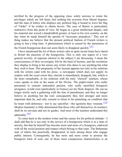terrified by the progress of the opposing class, solely anxious to retain the privileges which are left them, feel nothing but aversion from liberal dogmas; and the man of letters who displays any political flag is bound to wave the flag of "Order" if he wishes to obtain favors. The case of Barrès is particularly instructive from this point of view. He began as a great intellectual skeptic, and his material star waxed a hundredfold greater, at least in his own country, on the day when he made himself the apostle of "necessary prejudices." This sort of thing makes me believe that the present political fashion of French writers is going to last a long time. A phenomenon which is caused by the uneasiness of the French bourgeoisie does not seem likely to disappear quickly.  $121$ 

<span id="page-88-0"></span>I have mentioned the lot of those writers who in quite recent times have dared to thwart the passions of the bourgeoisie. This is only one aspect of a very general novelty, of supreme interest to the subject I am discussing. I mean the consciousness of their sovereignty felt by the herd of laymen, and the resolution they display to bring to his senses any writer who dares to say anything but what they wish to hear. This propensity of the layman appears not only in his relations with his writers (and with his press—a newspaper which does not supply its readers with the exact errors they cherish is immediately dropped), but, which is far more remarkable, in his relations with his truly "clerical" teachers, whose voice speaks to him in the name of the Divine. The pulpit-orator who really presumed to censure nationalist passion, who really mortified bourgeois arrogance, would soon (particularly in France) see his flock disperse. He can no longer terrify such a gathering with the fear of punishment, and they no longer believe in anything but the real; consequently they feel stronger and more important than he, and only consent to listen to his preaching on condition that he treats with deference—not to say sanctifies—the egotisms they venerate.  $122$ Modern humanity is fully determined that those who call themselves its teachers, shall be its servants and not its guides. And most of the teachers understand this admirably.<sup>[123](#page-104-9)</sup>

<span id="page-88-2"></span><span id="page-88-1"></span>To come back to the modern writer and the causes for his political attitude—I shall add that he is not only in the service of a bourgeoisie which is in a state of anxiety, but that he himself has become more and more of a bourgeois, endowed with all the social position and respect which belong to that caste. The Bohemian man of letters has practically disappeared, at least among those who engage public interest. Consequently, he has more and more come to possess the bourgeois form of soul, one of those most conspicuous characteristics is an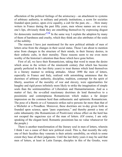affectation of the political feelings of the aristocracy—an attachment to systems of arbitrary authority, to military and priestly institutions, a scorn for societies founded upon justice, upon civic equality, a cult for the past, etc… . How many writers in France during the past fifty years, men whose names are on every one's lips, obviously think they are ennobling themselves by expressing disgust for democratic institutions!<sup>[124](#page-104-10)</sup> In the same way I explain the adoption by many of them of harshness and cruelty, which they think are also attributes of the souls of the nobility.

<span id="page-89-0"></span>The reasons I have just mentioned for the new political attitude of men of letters arise from the changes in their social status. Those I am about to mention arise from changes in the structure of their minds, in their literary desires, in their esthetic cults, in their morality. These reasons seem to me even more worthy of the historian's attention than those which have gone before.

First of all, we have their Romanticism, taking that word to mean the desire which arose in the writers of the nineteenth century (but which has become greatly perfected in the last thirty years) to treat themes which lend themselves in a literary manner to striking attitudes. About 1890 the men of letters, especially in France and Italy, realized with astonishing astuteness that the doctrines of arbitrary authority, discipline, tradition, contempt for the spirit of liberty, assertion of the morality of war and slavery, were opportunities for haughty and rigid poses infinitely more likely to strike the imagination of simple souls than the sentimentalities of Liberalism and Humanitarianism. And as a matter of fact, the so-called reactionary doctrines do lend themselves to a pessimistic and contemptuous Romanticism which makes a far deeper impression on the common herd than enthusiastic and optimistic Romanticism. The pose of a Barrès or a d'Annunzio strikes naïve persons far more than that of a Michelet or a Proudhon. Moreover, these doctrines are to-day given forth as founded upon science, upon "pure experience," and thereby permit a tone of calm inhumanity (the Romanticism of Positivism) whose effect on the herd has not escaped the sagacious eye of the man of letters. (Of course, I am only speaking of the elegant herd; Romantic pessimism has no value whatsoever for the people.)

There is another transformation of the literary soul in men of letters, wherein I think I see a cause of their new political creed. This is, that recently the only one of their faculties they venerate is their artistic sensibility, on which to some extent they base all their judgments. Until the last thirty years it may be said that men of letters, at least in Latin Europe, disciples in this of the Greeks, were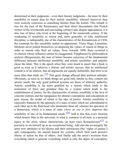determined in their judgments—even their literary judgments—far more by their sensibility to reason than by their artistic sensibility, whereof moreover they were scarcely conscious as something distinct from the former. This remark is true for the men of the Renaissance and their direct descendants (the French writers of the seventeenth and succeeding century) and, despite appearances, it is also true of those who lived at the beginning of the nineteenth century. If the weakening of sensibility to reason and, more generally, of lofty intellectual discipline, is indisputably one of the characteristics of the Romanticism of 1830, the contempt for this sensibility makes no appearance. Victor Hugo, Lamartine, Michelet never prided themselves on despising the values of reason in things in order to esteem only their art values. Now, towards 1890, there occurred a revolution whose influence cannot be exaggerated. Enlightened by philosophical analysis (Bergsonism), the men of letters became conscious of the fundamental difference between intellectual sensibility and artistic sensibility; and ardently chose the latter. This is the epoch when they were heard to assert that a book is great as soon as it achieves a literary and artistic success, that its intellectual content is of no interest, that all arguments are equally defensible, that error is no

<span id="page-90-2"></span><span id="page-90-1"></span><span id="page-90-0"></span>more false than truth, etc.  $125$  This great change affected their political attitudes. Obviously, as soon as we think things are good only insofar as they content our artistic needs, the only good political systems are those of arbitrary authority. Artistic sensibility is far more gratified by a system which tends to the realization of force and grandeur than by a system which tends to the establishment of justice, for the characteristic of artistic sensibility is the love of concrete realities and the repugnance for abstract conceptions and conceptions of pure reason, the model of which is the idea of justice. Artistic sensibility is especially flattered by the spectacle of a mass of units which are subordinated to each other up to the final head who dominates them all, whereas the spectacle of a democracy, which is a mass of units *where no one is first,* deprives this sensibility of one of its fundamental needs.  $126$  Add to this that every doctrine which honors Man in the universal, in what is common to all men, is a personal injury to the artist, whose characteristic (at least since Romanticism)<sup>[127](#page-105-0)</sup> is precisely to set himself up as an exceptional being. Add also the sovereignty the artist now attributes to his desires and their satisfaction (the "rights of genius") and, consequently, his natural hatred for systems which limit each person's liberty of action by that of others. And finally add the artist's aversion from everything which is general, everything which is only the object of conception,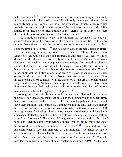<span id="page-91-0"></span>not of sensation.<sup>[128](#page-105-1)</sup> The determination of men of letters to pass judgment only in accordance with their artistic sensibility is only one aspect of their desire (since Romanticism) to exalt feeling at the expense of thought, a desire which itself is one among the thousand results of the decline of intellectual discipline among them. The new political attitude of the "clerks" seems to me to be here the result of a serious modification of their state of mind.

<span id="page-91-1"></span>This attitude also seems to me to result from the decline of the study of classical literature in the formation of their minds. The humanities, as the word implies, have always taught the cult of humanity in its universal aspect, at least since the time of the Portico.<sup>[129](#page-105-2)</sup> The decline of Graeco-Roman culture in Barrès and his literary generation, in comparison with that of Taine, Renan, Hugo, Michelet, even Anatole France and Bourget, is undeniable. Still less will it be denied that this decline is considerably more noticeable in Barrès's successors. However, this decline does not prevent these writers from extolling classical studies, but they do not do this with the idea of reviving the cult for what is human in its universal aspect, but on the contrary to strengthen the "French" mind, or at least the "Latin" mind, in the grasp of its own roots, in consciousness of itself as distinct from other minds. Notice that this decline of classical culture in the French writers coincides with the discovery of the great German realists, Hegel and especially Nietzsche, whose genius had the more effect on these Frenchmen because their lack of classical discipline deprived them of the one real barrier which can be opposed to that genius.  $130$ 

<span id="page-91-4"></span><span id="page-91-3"></span><span id="page-91-2"></span>Among the causes of this new attitude among men of letters I must point to their thirst for sensations, their need to experience things, which in recent times have grown stronger and have caused them to adopt a political attitude which gave them emotions and sensations. Belphegor is not the only star in the literary heavens. A French writer, who was taken seriously as a thinker as early as 1890, was reproached for having joined a party whose inconsistency will long be an amazement to History; and he replied, "I followed Boulangism, as a man follows a fanfare of trumpets." The same thinker gives us to understand that his chief motive in "seeking contact with national minds" was to "throw more fuel under his sensibility, which was beginning to run down."<sup>[131](#page-105-4)</sup> I do not think I am mistaken when I say that numbers of our moralists who sneer at pacific civilization and extol a war-like life, do so because the former seems a dull sort of a life to them and the latter an opportunity for sensations.  $132$  You will recollect the remark of a young thinker, quoted by Agathon in 1913: "Why not a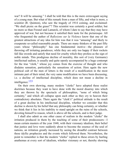war? It will be amusing." I shall be told that this is the mere extravagant saying of a young man. But what of this remark from a man of fifty, and what is more, a scientist (R. Quinton), who saw the tragedy of 1914 coming, and exclaimed: "We shall picnic on the grass!"? This scientist was certainly a good soldier, but no more so than Fresnel and Lamarck, of whom I dare to say that they may have approved of war, but not because it satisfied their taste for the picturesque. All who frequented the author of *Reflexions sur la Violence* know that one of the greatest attractions of any idea for him was that it was "amusing" and likely to exasperate so-called reasonable people. There are many thinkers of the past fifty years whose "philosophy" has one fundamental motive—the pleasure of throwing off irritating paradoxes; while they are only too happy if their rockets fall like swords and satisfy that need for cruelty which they profess as the sign of noble minds. This prodigious decline of morality, this sort of (very Germanic) intellectual sadism, is usually and quite openly accompanied by a huge contempt for the true "clerk," whose joy comes from the exercise of thought and who disdains sensation, particularly the sensations of action. Here again the new political cult of the men of letters is the result of a modification in the most intimate part of their mind, the very same modification we have been discussing, i.e. a decline of intellectual discipline, which does not mean a decline in intelligence. [133](#page-105-6)

<span id="page-92-0"></span>On their own showing, many modern "clerks" have adopted these realist doctrines because they want to have done with the moral disarray into which they are thrown by the spectacle of philosophies, "none of which bring certainty," and which all collapse upon each other as they cry to heaven their contradictory absolutes. There again the "clerk's" political attitude is the result of a great decline in his intellectual discipline, whether we consider that this decline is shown by his belief that any philosophy can bring certainty, or whether we think that it lies in his inability to stand upright on the ruins of the schools, devoting himself to reason, which is above all the schools, and is their judge.

I shall also admit as one other cause of realism in the modern "clerks" the irritation produced in them by the teaching of some of their predecessors—I mean certain masters of the year 1848, with their visionary idealism, their belief that justice and love were suddenly about to become the essence of the soul of nations, an irritation greatly increased by seeing the dreadful contrast between these idyllic prophecies and the events which followed them. Nevertheless, the point to remember is that the modern "clerks" replied to these errors by hurling anathemas at every sort of idealism, whether visionary or not, thereby showing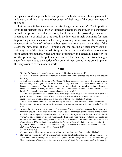incapacity to distinguish between species, inability to rise above passion to judgment. And this is but one other aspect of their loss of the good manners of the mind.

Let me recapitulate the causes for this change in the "clerks": The imposition of political interests on all men without any exception; the growth of consistency in matters apt to feed realist passions; the desire and the possibility for men of letters to play a political part; the need in the interests of their own fame for them to play the game of a class which is daily becoming more anxious; the increasing tendency of the "clerks" to become bourgeois and to take on the vanities of that class; the perfecting of their Romanticism; the decline of their knowledge of antiquity and of their intellectual discipline. It will be seen that these causes arise from certain phenomena which are most profoundly and generally characteristic of the present age. The political realism of the "clerks," far from being a superficial fact due to the caprice of an order of men, seems to me bound up with the very essence of the modern world.

## **Notes**

- [1](#page-40-0). Notably for Renan and "speculative a-moralism." (H. Massis, *Judgments,* i.)
- [2](#page-40-1). See Note E at the end of this book for further information on this prestige, and what is new about it in history.
- [3](#page-41-0). In 1891 Barrès wrote to the editor of *La Plume:* "If these books have any value, it is from the logic, the continuity of thought I have put into them during five years." ("These books" included his Boulangiste campaign.) And, in the preface to his collection of articles entitled "Scènes et Documents du nationalisme," he says: "I think that if Doumic will examine it from a greater distance he will find a development, and not contradictions, in my work."
- [4](#page-42-0). I shall be told of "clerks" who, apparently without degradation, have at some time or other taken the part of a race or a nation, even of their own race or nation. That is because they believed that the cause of that race or nation coincided at that time with the cause of abstract justice.
- [5](#page-42-1). Similar occurrences may be observed among the ancients. For instance, Cicero denounced his fellow-citizens for having destroyed Corinth merely to avenge an insult to their ambassador (De off.,  $I, x<sub>i</sub>$ ).
- [6](#page-43-0). Already in 1911, when a writer quoted this sentence:" It is impossible to accept the situation that humanity should be bound for indefinite centuries by the marriages, battles, treaties of the narrowminded, ignorant, egotistic creatures who during the Middle Ages were at the head of affairs in this world," he felt it necessary to add: "Fortunately these lines were written by Renan; one could not write them to-day without being called an unpatriotic Frenchman." (G. Guy-Grand, *La Philosophie Nationaliste,* p. 165.) Without being called so *by the men of thought*—that is the curious part of it.
- [7](#page-43-1). Quoted by Mgr. Chapon in his admirable study, "La France et l'Allemagne devant la doctrine chrétienne." *(Correspondant,* of 15th August, 1915.)
- [8](#page-43-2). See his *Letters,* ii, p. 31.
- [9](#page-43-3). Consider how willingly they now accept military service. See Note F at the end of this book.
- [10](#page-43-4). Here are the reasons given by a German Catholic for this attitude among those of his religion: *"*(*a*) Their incomplete knowledge of the facts and opinions in the belligerent and neutral countries; (*b*) *Their patriotism, which could not be allowed to separate itself from the union binding together the*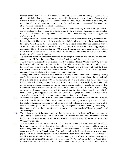*German people;* (*c*) The fear of a second Kulturkampf, which would be doubly dangerous if the German Catholics had even appeared to agree with the campaign carried on in France against German methods of waging war." The second reason will be noted, i.e. the desire to be at unity with the nation, whatever the moral aspect of its cause. Here, at least, is one reason which Bossuet did not allege when he screened the violences of Louis XIV.

Let me recall that when, in 1914, the Chancellor Bethmann-Hollweg in the Reichstag hinted at a sort of apology for the violation of Belgian neutrality, he was sharply reproved by the Christian minister von Harnack "for having tried to excuse what did not need excusing." (See A. Loisy, *Guerre et Religion,* p. 14.)

- [11](#page-44-0). The clergy of the allied nations are eager to throw in the faces of the German clergy their union with injustice in 1914. They abuse their own good fortune in belonging to nations whose cause happened to be just. When Italy, in 1923, at the time of the Corfu incident, adopted towards Greece an attitude as unjust as that of Austria towards Serbia in 1914, I am not aware that the Italian clergy expressed indignation. Nor do I remember that in 1900, when a European army intervened in Chinese affairs (the Boxer affair) and excesses were committed by the soldiers, any strong protests were uttered by the clergies of the respective nations.
- [12](#page-44-1). A particularly remarkable attitude was that of the philosopher Boutroux. You will find an admirable denunciation of it from the pen of Charles Andler, *Les Origines du Pangermanisme,* p. viii.
- [13](#page-46-0). This may be seen especially in the chorus of the Seven against Thebes: "Gods of our City, let it not be destroyed with our houses and our hearths… . O ye who have dwelt therein so long, will ye betray this land?" Six centuries later this may be seen in the "Aeneid," where the preservation of the Trojan City across the seas is plainly due solely to the protection of Juno, and in no wise to any inward notion of Trojan blood giving it an assurance of eternal duration.
- [14](#page-47-0). Although the Germans appear to have been the inventors of the passion I am denouncing, Lessing and Schlegel seem to have been the first to brandish their poets as the expression of the national soul, from a feeling of exasperation with the universalism of French literature. The men of the French Pléïade (who will certainly be brought up against me) wished to give their sensibility a national mode of expression, a national language; they never claimed to give a national character to that sensibility, to oppose it to other national sensibilities. The systematic nationalization of the mind is undoubtedly an invention of modern times. As regards the men of learning, this nationalizing has undoubtedly been favored by the disappearance of Latin as the scientific language; and no one will ever be able to say to what an extent this disappearance was an element of arrest in civilization.
- [15](#page-47-1). In Nietzsche's opinion, this was the case with Wagner, who, when he gave himself out to his compatriots as the Messiah of German art, saw that there was "a good vacant place to take," while the whole of his artistic formation as well as his profound philosophy, was essentially universalist. (See *Ecce Homo,* p. 58. "What I have never forgiven Wagner is his condescending to Germany.") One wonders whether the same might not be said of a certain apostle of "Lorrain genius" or of "Provençal genius."
- [16](#page-47-2). The nationalization of the mind sometimes has results whose savor is not sufficiently enjoyed. In 1904, during the centenary celebrations of Petrarch, the nations of Goethe and Shakespeare were not invited, because they are not Latins; but the Roumanians were invited. We do not know whether Uruguay was invited.
- [17](#page-48-0). Anatole France, *La Vie Littéraire,* tome ii, p. 274. The nationalist desires in French writers which I have been pointing out have had other than political results; no one will ever be able to say how many among them in the past fifty years have falsified their talents, mistaken their true gifts in their endeavors to "feel in the French manner." A good example is the *Voyage de Sparte,* where so many pages show what a beautiful piece of work it might have been if the author had not *forced* himself to feel his Lorrain soul under a Greek sky. Here we come upon one of the most curious characteristics in the writers of this age; the rejection of freedom of mind *for themselves,* the thirst for "a discipline" (the whole fortune of MM. Maurras and Maritain comes from this), a thirst which in most of them is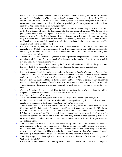the result of a fundamental intellectual nihilism. (On this nihilism in Barrès, see Curtius, "Barrès and the intellectual foundations of French nationalism," extracts in *Union pour la Verite,* May, 1925; in Maurras, see Guy-Grand, op. cit., p. 19; and L. Dimier, *Vingt Ans d'Action Française,* p. 330: "I have never seen a more unhappy soul than his.") But the psychology of contemporary writers in itself and apart from its political action is not my subject here.

- [18](#page-49-0). I think it novel that a poet should give rise to a demonstration so essentially practical as the address of the Naval League of Venice to d'Annunzio after the publication of *La Nave.* "On the day when your genius radiates with new splendour over the ancient ruler of 'our sea,' over Venice, to-day disarmed against Pola, the Naval League of Venice thanks you with emotion, hoping that the third Italy may at last arm the prow and set sail towards the world." *(Translator's Note.*—I have rendered the French version as quoted; its meaning or lack of meaning is no doubt inherent in the genius of the original, which I have not before me.)
- [19](#page-50-0). Compare with Balzac, who, though a Conservative, never hesitates to show his Conservatives and particularly his Catholics in an unfavorable light, if he thinks that the true light. See the examples quoted by E. Seillière *(Balzac et la morale romantique,* pp. 27 onwards, and 84 onwards), who sharply reproaches Balzac.
- [20](#page-50-1). *"Resurrection," "Jean-Christophe"* (derived in this respect from the procedure of George Sand). On the other hand, I seem to find a great deal of justice done the bourgeois in *Les Miserables,* which is nevertheless a most "tendencious" novel.
- [21](#page-50-2). For instance, pre-war French novels showing the French in Alsace-Lorraine. We may be quite certain that since 1918 the Germans have written novels which are the exact counterpart to these.
- [22](#page-50-3). See Note G at the end of this book.
- [23](#page-51-0). See, for instance, Fustel de Coulanges's study *De la manière d'ècrire l'histoire en France et en Allemagne.* It will be observed that this author's denunciation of the German historians exactly applies to certain French historians of recent years, with this difference: That the German alters history to exalt his nation and the Frenchman to exalt a political system. In general it may be said that the "tendencious" philosophies of the Germans lead to national war, and those of the French to civil war. Is it necessary to repeat, after so many others, how much this proves the moral superiority of the latter?
- [24](#page-51-1). *Revue Universelle,* 15th April, 1924. Here is that very curious desire of the moderns to yield to subjectivism, whereas their elders made every effort to combat it.
- [25](#page-52-0). See Note H at the end of this book.
- [26](#page-52-1). Yet the Jesuits thought of doing so to combat the Jansenists. (See Racine, *Port-Royal,* pt. i.)
- [27](#page-52-2). On the matter of the lack of literary sensibility which accompanies this political criticism among its adepts, see a paragraph of L. Dimier, *Vingt Ans d'Action Française,* p. 334.
- [28](#page-55-0). The distinction between these two humanitarianisms is well expressed by Goethe when he relates (Dichtung und Wahrheit) the indifference of himself and his friends to the events of 1789. "In our little circle, we took no notice of news and newspapers; our object was to know Man; as for men, we left them to do as they chose." Need I recall that the "humanities," as instituted by the Jesuits in the seventeenth century, the "studia humanitatis," are "the study of what is most essentially human," in no sense altruistic exercises. See further Note I at the end of this book for a curious quotation from one of the ancients.
- [29](#page-55-1). This the Church has understood so well, and the corollary to this truth: That love between men can only be created by developing in them the sensibility for abstract man, and by combating in them the interest for concrete man; by turning them towards metaphysical meditation and away from the study of history (see Malebranche). This is exactly the contrary direction to that of the modern "clerks," but, once again, these "clerks" have not the slightest desire to create love among men.
- [30](#page-55-2). Thus they adopt the national spirit if it seems to serve their interests; for instance, the party of "nationalist-socialists."
- [31](#page-55-3). Certain nationalists, desirous of honoring cosmopolitanism, whose full value their intelligence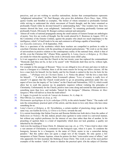perceives, and yet not wishing to sacrifice nationalism, declare that cosmopolitanism represents "enlightened nationalism." M. Paul Bourget, who gives this definition *(Paris-Times,* June, 1924), quotes Goethe and Stendhal as examples, "the former of whom remained so profoundly German while striving to understand the whole movement of French thought, and the latter remained so profoundly French while he devoted himself to understanding Italy." One wonders how these two masters showed the least, even enlightened, "nationalism" by remaining profoundly German and profoundly French. Obviously M. Bourget confuses national and nationalist.

- [32](#page-55-4). Almost all works of national propaganda among the small nations of Eastern Europe are anthologies of poetry. Very few are works of thought. See the words uttered by E. Boutroux in August, 1915, to the Committee of the Entente Cordiale, against the peoples who attach too much importance to the intelligence, which "of itself tends to be one and common to all beings capable of knowledge."
- [33](#page-56-0). *Les Nouvelles Littéraires,* 25 th September, 1926.
- [34](#page-56-1). Here is a specimen of the acrobatics which these teachers are compelled to perform in order to conciliate Christian doctrine with the preaching of national particularisms: "We wish to set the ideal of universalism in positive relation to the contemporary reality of the national form, which is that of all life, even the Christian life." (Pastor Witte, quoted by A. Loisy, *Guerre et Religion,* p. 18.) Here are minds for whom the squaring of the circle is obviously mere child's play.
- [35](#page-56-2). Is it not suggestive to note that the Church in the last twenty years has replaced the commandment "Homicide shalt thou not be, in fact or by assent" with "Homicide shalt thou not be, without right, nor voluntarily"?
- [36](#page-57-0). For example in this passage of Bossuet: "Since we are obliged to love all men and since in truth no man is a foreigner to a Christian, there is all the more reason for loving our fellow citizens. All the love a man feels for himself, for his family, and for his friends is united in the love he feels for his country… ." *(Politique tirée de l'Ecriture Sainte,* I, vi. Notice the phrase "All the love a man feels for himself… ." It wholly justifies Saint Evremond's phrase: "Love of country is really love of oneself.") It appears that the Church would prefer to go on presenting patriotism under this one aspect of love (see the inquiry of "les Lettres" on the Church and Nationalism, 1922-3), which would allow her to exalt this passion (as its popularity requires) without violating the principles of Christianity. Unfortunately for the Church, positive men come along and remind her that patriotism is something more than love, and includes "hatred for the foreigner." (Maurras, *Dilemme de Marc Sangnier.)* Who will deliver us from the truth-tellers?
- [37](#page-58-0). A. Lugan, *La grande loi sociale de l'amour des hommes,* liv. ii, chap. iii.
- [38](#page-58-1). Père Ollivier, *Les Amitiés de Jesus,* p. 142.
- [39](#page-59-0). *Dictionnaire apologétique de la foi catholique* (1919), in the article headed "Patrie." The reader will note the extraordinary practical spirit of this article, and the desire to love only those who have done something for us.
- [40](#page-59-1). Loisy's *Guerre et Religion,* p. 60. Nevertheless, a certain number of practicing clergy speak in the same way; see Guillot de Givry, *Le Christ et la Patrie,* towards the end.
- [41](#page-59-2). It is current knowledge that Italian Fascism and Russian Bolshevism both derive from the author of *Reflections on Violence.* He did, indeed, preach class egotism to some extent in a universal manner, but without any explicit preference for the interest of one class rather than that of another. In his preaching of egotism there is a kind of impartiality which does not lack grandeur, a quality not inherited by his disciples.
- [42](#page-60-0). And even the teaching of Jesus Christ. R. Johannet says (op. cit., p. 153), "I have tried to show what a vast amount of Christianity is contained in the bourgeois type, when it is pure. To condemn the bourgeois, because he is a bourgeois, in the name of Christ, seems to me a somewhat daring paradox." But this author does not quote a single text of the Gospels. He only quotes a few interpreters of Saint Thomas Aquinas, whom he praises for their "extra-realist sense of affairs," and who apparently for him incarnate the thinking of Jesus Christ. This work is one of the most perfect examples of the modern "clerk's" desire to idealize the practical spirit. (On the subject of Christian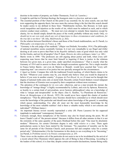doctrine in the matter of property, see Father Thomassin, *Traité de l'aumône.)*

- [43](#page-60-1). It might be said that in Christian theology the bourgeois state is a *function,* and not a rank.
- [44](#page-60-2). The essential position of the Church on this point (I say essential; for, by close search, one can find texts supporting the opposite thesis, but once more the curious thing is the fact that this search should be made) seems to me defined in these lines: "Malebranche inclines, like Bossuet, to look upon social inequalities and injustices as the results of sin, which must be endured as such, and to which exterior conduct must conform… . We must not even attempt to remedy these injustices except by charity, for we should simply disturb the peace of the world, probably without any result. Only, *we should not in our own souls attach any sort of importance to these circumstances and conditions, for the true life is not there"* (H. Joly, *Malebranche,* p. 262).
- [45](#page-61-0). On the relation between Durckheim's theses and those of the French traditionalists, see D. Parodi, *La Philosophic con-temporaine en France,* p. 148.
- [46](#page-61-1). "Germany is the sole judge of her methods." (Major von Disfurth, November, 1914.) The philosophy of national moralities seems essentially German. Is it not very remarkable to see Hegel and Zeller desiring at all costs to prove that Plato in his *Republic* defined a state of good which was only valid for the Greeks, and not for all peoples? (See P. Janet, *Histoire des idées politiques,* tome 1, p. 140.)
- [47](#page-61-2). Barrès wrote in 1898: "The professors are still arguing about justice and truth, when every selfrespecting man knows that he must limit himself to inquiring if there is justice in the relations between two given men, at a given time, under specified circumstances." That is exactly what the Germany of 1914 said in answer to those who brought accusations against her. Not a single moralist in France before Barrès—not even de Maistre or Bonald—would have asserted that "every selfrespecting man" can conceive of no justice but one specially arranged for the circumstances.
- [48](#page-62-0). *L'Appel au Soldat.* Compare this with the traditional French teaching, of which Barrès claims to be the heir: "Whatever your country may be, you should only believe what you would be disposed to believe if you were in another country." *(Logique de Port-Royal,* iii, xx.) It must not be thought that dogma of national truths aims only at moral truth. Recently certain French thinkers waxed indignant that the doctrines of Einstein were accepted by their compatriots without more resistance.
- [49](#page-63-0). The adoration of the contingent *for its own sake;* otherwise, and as a step towards the eternal, the knowledge of "strange things" is highly recommended by Leibniz, and even by Spinoza. Renouvier, so hostile to a certain kind of universalism, never bestows philosophical value on a knowledge of what is "unique and inexpressible" in the object. (See G. Seailles, "Le Pluralisme de Renouvier," *Revue de Metaphysique et de Morale,* 1925.) He would never have signed this charter of modern metaphysics: "That the philosophers since Socrates should have contended as to which should most scorn the knowledge of the particular and should most adore knowledge of the general, is something which passes understanding. For, after all, must not the most honourable knowledge be the knowledge of the most valuable realities! And is there a valuable reality which is not concrete and individual?" (William James.)
- [50](#page-63-1). An important literary review recently reproached a critic (M. Pierre Lasserre) for his supposed inaptitude to understand "contemporary literature."
- [51](#page-63-2). Curiously enough, these metaphysics of the historic may also be found among the poets. We all know Claudel's cult of "the present minute" (because it differs from all other minutes in that it is not the extremity of the same quantity of the past); Rimbaud before this said: "One must be absolutely modern." Moreover, for certain Christians dogma is only valid *relative to a time.* There again particularism seems to have been started by the Germans: "No exposition of morality can be the same for all periods of the Christian Church; each possesses full and complete value for a certain period only." (Scheiermacher.) On the Germanism in this desire to see everything in its "becoming," see Parodi, *le Problème moral et la Pensée contemporaine,* p. 255.
- [52](#page-64-0). These views on the modern cult of the particular do not seem to me to be invalidated by the arrival of a recent school (Neo-Thomism) which opposes the cult of Being to that of Becoming. According to the leaders of this school, it is clear that, despite certain universalist declarations, human Being really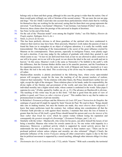belongs only to them and their group, although in this case the group is wider than the nation. One of them would quite willingly say with a Christian of the second century: "We are men; the rest are pigs and dogs." Nor do I think I need take into account those particularisms which claim that by working for themselves they are working for the universal, seeing that for them their own group represents the universal. "I am Roman, I am human" (Maurras). "I am German, I am human (Fichte)" and so on… . However, these claims show the prestige of the universal in despite of doctrines.

- [53](#page-64-1). See Note J at the end of this book.
- [54](#page-64-2). On the cult of the "Prussian model" even among the English "clerks," see Elie Halévy, *Histoire du Peuple anglais,* Epilogue, livre ii, ch. i.
- [55](#page-65-0). Sorel, *Le procès de Socrate.*
- [56](#page-66-0). This has been perfectly obvious to all those guardians of the spiritual who have condemned it, whatever their motives may have been. More precisely, Maurras's work makes the passion of man to found the State (or to strengthen it) an object of religious adoration; it is really the worldly made transcendental. This displacing of the transcendental is the secret of the great influence exerted by Maurras on his contemporaries. These persons, especially in irreligious France, were plainly eager for such a doctrine, if one may judge by the outburst of gratitude with which they greeted it, and which seems to say: "At last we are delivered from God; at last we are allowed to adore ourselves in our will to be great, not in our will to be good; we are shown the ideal in the real, on earth and not in heaven." In this sense, Maurras's work is the same as Nietzsche's ("be faithful to the earth"), with this difference, that the German thinker deifies man in his anarchic passions, and the Frenchman in his organizing passions. It is also the same as the work of Bergson and James, inasmuch as it says like them: the real is the only ideal. This *secularizing of the divine* may be compared with the work of Luther.
- [57](#page-66-1). Machiavellian morality is plainly proclaimed in the following lines, where every open-minded person will recognize, except for the tone, the teaching of *all* the present teachers of realism, whatever their nationality: "In his relations with other States, the Prince should know neither law nor right, except the right of the strongest. These relations place in his hands, under his responsibility, the divine rights of the Destiny and government of the world, and raise him above the precepts of individual morality into a higher moral order, whose content is enshrined in the words: Salus popu li suprema lex esto." (Fichte, quoted by Andler, op. cit., p. 33.) The advance on Machiavelli is obvious.
- [58](#page-66-2). The teaching of this writer may be put in this form: "All that is good from the point of view of politics is good; *and I know no other criterion of good."* This enables him to say that he makes no pronouncement in matters of private morality.
- [59](#page-67-0). In Richelieu's *Testament politique* and the *Mémoires de Louis XIV pour l'lnstruction du Dauphin,* the catalogue of good and ill might be signed by Saint Vincent de Paul. We read in them: "Kings should take care in making treaties, but once the treaties are made, *they must observe them religiously.* I know that many politicians teach the contrary; but, without taking into consideration all that the Christian Faith provides us with against these maxims, I maintain that since the loss of honour is greater than the loss of life itself, a great Prince should hazard his person and *even the interest of his State rather than break his word,* which he cannot violate without losing his reputation and consequently *the greatest strength* of a Sovereign." (*Testament Politique,* part 2, ch. vi.)
- [60](#page-67-1). Similarly with the writer—Machiavelli, who writes for his peers, can allow himself the luxury of not being a moralist; Maurras who writes for crowds cannot do so. No one writes with impunity in a democracy. Moreover, a political activity which is supported by moral activity proves that it understands the true conditions of its success. A master in these matters says: "There can be no profound political reform unless religion and morality are also reformed." (Hegel.) Clearly the particular influence of the *Action Française* among all other conservative organs is due to the fact that its political movement is supported by a moral teaching, although other interests oblige it to deny this.
- [61](#page-67-2). *Dictionnaire des Cas de Conscience* (ed. 1712), article "Guerre." With such a morality the territorial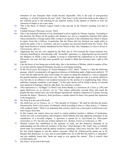formation of any European State would become impossible. This is the type of non-practical teaching, i.e. of what I mean by the true "clerk." (See Note F at the end of this book on the subject of the welcome given to this teaching by the material world.) In the opinion of Vittoria as well, the extension of empire is not a just cause.

- [62](#page-68-0). This is the thesis of Alfonso Liguori which to-day prevails in the Church's teaching over that of Vittoria.
- [63](#page-68-1). Cardinal Gousset *(Théologie morale,* 1845).
- [64](#page-68-2). This is the Scholastic doctrine of war, formulated in all its rigidity by Thomas Aquinas. According to this doctrine, the Prince (or the people) who declares war, acts as a magistrate (minister Dei) under whose jurisdiction a foreign nation falls, owing to an injustice it has committed and which it refuses to repair. From this it follows, in particular, that the Prince who has declared war ought solely to punish the guilty, if he is victorious, and not to acquire any personal benefit from his victory. This high moral doctrine is entirely abandoned by the Church to-day. (See Vanderpol, *La Guerre devant le Christianisme,* titre ix.)
- [65](#page-68-3). Apparently this was the view adopted by the Holy See in 1914 towards the Franco-German war, Germany benefiting by what theology calls "invincible" ignorance, i.e. implying that one has used all the diligence of which a man is capable in trying to understand the explanations of an adversary. Obviously, one may feel that some goodwill was needed to think that Germany had a right to this benefit.
- [66](#page-68-4). Like the thesis of war being just on both sides, this is the doctrine of Molina, which in matters of law in war has entirely replaced Scholastic doctrine in ecclesiastic teaching.
- [67](#page-68-5). In the *Dictionnaire théologique* of Vacant-Mangenot (1922, article "Guerre"), I find the following passage, which I recommend to all aggressors desirous of sheltering under a high moral authority: "It is not only the right but the duty of the leader of a nation to adopt this method (i.e. war) to safeguard the general interests committed to his care. This right and duty apply not only to a strictly defensive war, but also to an offensive war rendered necessary by the actions of a neighbouring State whose ambitious intrigues constitute a real danger." In the same article will be found a theory of colonial wars identical to Kipling's when he calls them: *the whiteman's burden.*
- [68](#page-68-6). This expression (i.e. "la blague") is Sorel's (see Julien Benda, *Les Sentiments de Critias,* p. 258); and again *(Reflexions sur la Violence,* ch. ii): "You cannot sufficiently execrate those who teach the people that they should carry out some alleged superlatively idealistic injunction of a justice moving towards the future." Moreover, Sorel professes a similar hatred for those who preach this injunction to the bourgeoisie.
- [69](#page-68-7). See Note K at the end of the book.
- [70](#page-68-8). See *Reflexions sur la Violence,* ch. vi: "The morality of Violence." We shall be told that the justice denounced by Sorel is the justice of tribunals, which according to him is a false justice, a "violence with a judicial mask." There is no indication that a justice which was a true justice would receive any more respect from him.
- [71](#page-69-0). In this respect one cannot stress too much in certain political teachers a defense of intolerance, carried out with a consciousness and arrogance which hitherto had only appeared sometimes in the mandatories of a revealed religion. A specimen is quoted by G. Guy-Grand (*La Philosophie nationaliste,* p. 47). See also one of these defenses in L. Romier, *Nation et Civilisation,* p. 180.
- [72](#page-69-1). Modern science has established as the measure of truth, not the deductive demands of its understanding, but the observed existence of the fact." (Paul Bourget.) The "truth" here is evidently moral truth; for scientific truth the phrase would be a tautology. Once more, here the "fact" is solely the fact which happens to suit the author's passions. When M. d'Haussonville points out to M. Bourget that democracy is a fact, and an unavoidable fact, he is told that this belief is a "prejudice" and one suddenly learns that "boats are made to row against the stream." This is exactly what revolutionaries say.
- [73](#page-70-0). See Note L at the end of this book.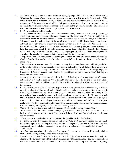- [74](#page-70-1). Another thinker to whom our empiricists are strangely ungrateful is the author of these words: "Consider the danger of one stirring up the enormous masses which form the French nation. Who could restrain the disturbance set up, or foresee all the results it might produce? Even if all the advantages of the new scheme should be indisputable, what man of good sense would dare to undertake to abolish old customs, to change old maxims, and to give a new form to a State other than that it has reached after an existence of 1,300 years? (J. J. Rousseau.)
- [75](#page-70-2). See Note M at the end of this book.
- [76](#page-70-3). "A truly scientific mind," says one of these devotees of fact, "feels no need to justify a privilege which appears as an elementary and irreducible datum of the social world." (Paul Bourget.) But this same "truly scientific" mind is scandalized at an *insurrection* against this privilege, which is also an "elementary and irreducible datum of the social world." I shall be told this that insurrection is not a datum of the social world, but of the world of passion where it is most anti-social. And that indeed is the position of this dogmatism: It considers the social *independent of the passionate,* whether the latter has been made social (by Catholic education), or has been reduced to silence by force (school of Maurras) or by skill (school of Bainville). The strangest part of it all is that those who argue in this way about the social *in itself* accuse their adversaries of dealing in abstractions.
- [77](#page-71-0). The position I am here denouncing has nothing in common with that of a recent school of moralists (Rauh, Lévy-Bruhl) who also desire "to take man as he is," but in order to discover how he may be made better.
- [78](#page-71-1). This pessimism, whatever some of its heralds may say, has nothing in common with the pessimism of the masters of the seventeenth century. La Fontaine and La Bruyère attribute nothing inevitable or eternal to the ills they portray. Let me also point out that in their efforts to discourage hope, the Romantics of Pessimism cannot claim (as M. Georges Goyau has pointed out to them) that they are based on Catholic tradition.
- [79](#page-71-2). Such a group logically comes to declarations like the following, which every supporter of "integral nationalism" is bound to admire: "From to-night onwards let there be an end to the silly Utopia where every one thinks with his own head." (Impero, 4th November, 1926.) See Note N at the end of this volume.
- <span id="page-100-0"></span>[80](#page-72-0). On Pragmatism, especially Nietzschean pragmatism, and the place it holds (whether they confess it or not) in almost all the moral and political teachings really characteristic of this time, see R. Berthelot, *Un Romantisme Utilitaire,* tome i, page 28 onwards. I can best show the novelty of the pragmatist attitude, especially among the French moralists, by quoting a remark of Montaigne which they all, before Barrès, would have ratified: "The honour and beauty of an action cannot be argued from its utility." Let us not forget, however, that Nietzsche, always unfaithful to his disciples, declares that "in the long run, utility, like everything else, is simply a figment of our imagination, and may well be the *fatal stupidity by which we shall one day perish."*
- <span id="page-100-1"></span>[81](#page-72-1). That is why Pragmatism is also called Humanism. (See F. Schiller, *Protagoras or Plato.)*
- <span id="page-100-2"></span>[82](#page-73-0). We know how the two are reconciled. Jesus, they say, preached the spirit of sacrifice, which is the basis of all human institutions. As if Jesus preached the spirit of sacrifice which wins battles and secures empires!
- <span id="page-100-3"></span>[83](#page-74-0). "The true warrior remains human in the midst of the blood he sheds." (De Maistre.)
- <span id="page-100-4"></span>[84](#page-75-0). For example, when they make a soldier say in heaven: "You must know, my friends, that among all things done upon earth, nothing is more agreeable to the eyes of those who rule the universe than societies of men founded upon respect for laws, which we call cities." (Cicero, *Scipio's Dream.)*
- <span id="page-100-5"></span>[85](#page-75-1). Sorel, loc. cit.
- <span id="page-100-6"></span>[86](#page-75-2). And from any patriotism. Nietzsche and Sorel prove that love of war is something totally distinct from love of country, although most often they coincide.
- <span id="page-100-7"></span>[87](#page-75-3). Ernest Psichari, *Terres de Soleil et de Sommeil.* And, in *L'Appel des armes,* through the mouth of a character who obviously has all the author's sympathies; "I think it necessary that there should be in the world a certain number of the men who are called soldiers and who place their ideal in fighting,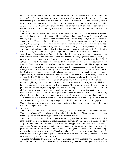who have a taste for battle, not for victory but for the contest, as hunters have a taste for hunting, not for game! … The part we have to play, or otherwise we lose our reason for existing and have no more meaning, is to maintain a military ideal, not a nationally military ideal, but a militarily military ideal, if I may so express it." The religion of this moralist is, according to his own expression, *integral militarism.* "Big guns," he says, "are the most real realities which exist, the sole realities of the modern world." And obviously these realities are divinities for this "spiritual" person and his followers.

- <span id="page-101-0"></span>[88](#page-76-0). This depreciation of Greece, to be seen in many French traditionalists since de Maistre, is constant among the Panger-manists. (See notably Houston Chamberlain, *Genesis of the Nineteenth Century,* tome i, page 57.) In a periodical with dogmatic claims *(Notre Temps,* August, 1927), under the suggestive title "Towards a Practical Idealism," I read: "A young generation trained in this way, *more sporting than ideological,* supports those who ask whether we are not at the dawn of a great age." Here again the Churchmen do not lag behind. In *La Vie Catholique* (24th September, 1927) I find a warm eulogy of a champion boxer. It is true that this eulogy ends up with the words: "Finally, let us add that Tunney is a convinced and practicing Catholic, and that two of his sisters are nuns."
- <span id="page-101-1"></span>[89](#page-76-1). Laws, Book I. The exact text of Plato is: "In the order of virtues, wisdom is first, temperance comes next, courage occupies the last place." Plato here means by courage (see the context, notably the passage about those soldiers who "though insolent, unjust, immoral, know how to fight") Man's aptitude for facing death. It seems that he would not have given the first place to the courage which is strength of mind, a resistance to misfortune, as the Stoics afterwards did. With him strength of mind always comes after justice—according to his doctrine, it is a consequence of justice. Moreover, the courage placed in the supreme rank by Barrès is not Stoic patience but the active defiance of death. For Nietzsche and Sorel it is essential audacity, where audacity is irrational—a form of courage depreciated by all ancient moralists and their disciples. (See Plato, Laches; Aristotle, Ethics, VIII; Spinoza, Ethics, IV, 69; even the poets—"Our reason which commands our fire," Ronsard.)

It seems that facing death, even on behalf of justice, was not so much the object of praise among the ancient philosophers as it is among the moderns. In the Phaedo, Socrates is praised for his justice; he is not very loudly praised because he died for justice. Moreover, the views of the ancients on this point seem to me well expressed by Spinoza: "Death is a thing of which the free man thinks least of all," a thought which does not imply much admiration for those who face death bravely. One wonders whether the veneration of courage, at least among the moralists, has not been created by Christianity, with the importance it attaches to death, and the subsequent appearance before God.

I cannot leave this point without recalling a passage where Saint-Simon speaks of a nobility "accustomed to be good for nothing except to get itself killed," *Memoires,* t. xi, page 427, ed. Cheruel. It may be asserted that there is not one modern writer, even a Duke of France, who would speak of courage in such a tone.

- <span id="page-101-2"></span>[90](#page-76-2). And to hold.
- <span id="page-101-3"></span>[91](#page-76-3). There will be found in Barrès *(Une Enquête aux pays du Levant,* chap. vii: "Les derniers fidèles du Vieux de la Montagne") a striking example of admiration for the cult of honor inasmuch as this cult, when ably exploited by an intelligent leader, gives practical results.
- <span id="page-101-4"></span>[92](#page-76-4). This is especially the case with Montaigne who, as every one knows, extols honor insofar as it is man's sensitiveness to the judgment of his conscience, but very little insofar as it is a desire for glory —"put off with other pleasures that which comes from the approbation of others." Barrès believes he sees in that "a foreigner who does not share our prejudices." Barrès confuses the moralists and the poets. Before him I do not know one French author with dogmatic claims who has attributed a high moral value to the love of glory; the French moralists before 1890 are very unmilitary, even the soldiers like Vauvenargues and Vigny. (See the excellent study of G. Le Bidois, *L'Honneur au miroir de nos lettres,* especially on Montesquieu.)
- <span id="page-101-5"></span>[93](#page-77-0). The Abbé Sertillanges, *L'Héroisme et la Gloire.* Compare this with Bossuet's two sermons on "The Honour of the World." You can measure the advance made by the Church during three centuries in its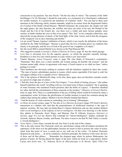concessions to lay passions. See also Nicole: "On the true idea of valour." The sermons of the Abbé Sertillanges ("la Vie Héroique") should be read entire, as a monument of a Churchman's enthusiasm for warlike instincts. It is positively the manifesto of a helmed "clerk." You can find in them such emotions as the following which, mutatis mutandis, might be an extract from the Regimental Orders of a Colonel of the Death's Head Hussars: "Behold Guynemer, the young hero, the simple soul with the eagle glance, the slim Hercules, the Achilles who does not retire to his tent, the Roland of the clouds and the Cid of the French sky: was there ever a wilder and more furious paladin, more careless of death whether his own or that of an enemy? This "kid," as his comrades called him, only enjoyed the savage pleasure of attack, of the hard fight, of the clear victory, and in him the arrogance of the conqueror was at once charming and terrible."

- <span id="page-102-0"></span>[94](#page-77-1). Let me recall Thomas Aquinas's definition of honor, which is not exactly the definition of the honor extolled by the Abbé Sertillanges: "Honour is good (like the love of human glory) on condition that charity is its principle, and the love of God or the good of one's neighbor is its object."
- <span id="page-102-1"></span>[95](#page-78-0). See the recent Bill to amend Martial Law, known as the Paul Boncour Bill.
- <span id="page-102-2"></span>[96](#page-78-1). This suggestive remark is Lavisse's, *Etudes d'Histoire de Prusse,* page 30. See the whole passage.
- <span id="page-102-3"></span>[97](#page-78-2). Love here is obviously love for the superior species—to which the preacher naturally belongs. Doubtless it is this love also which permits of a pity which is not "perverted."
- <span id="page-102-4"></span>[98](#page-78-3). Charles Maurras, *Action Française,* tome iv, page 596. One thinks of Nietzsche's exclamation: "Humanity! Was there ever a more horrible old woman among all horrible old women!" and the German master adds, always in agreement with many a French master as we shall see later, "unless perhaps it is truth."
- <span id="page-102-5"></span>[99](#page-79-0). Their harshness has obviously nothing in common with the harshness implied by these fine words: "The man of justice subordinates passion to reason, which seems regrettable if his heart is cold, but will appear sublime if he is capable of love" (Renouvier).
- <span id="page-102-6"></span>[100.](#page-80-0) This is the opinion of Machiavelli (chap. xviii) who, there again, does not therefore consider cruelty as a proof of a high state of culture.
- <span id="page-102-7"></span>[101.](#page-80-1) I find this from the pen of a hero of the First Empire: "I was afraid of feeling *pleasure"* (the author himself underlines the word) "in killing with my own hand some of these scoundrels" (he is speaking of some Germans who murdered French prisoners after the battle of Leipzic). "I therefore sheathed my sabre and left the extermination of these assassins to the troopers." *(Memoirs of General Marbot,* tome iii, page 344.) There is a condemnation of the joy of killing which would be scorned by many a contemporary writer. In France the glorification of warlike instincts is much less common among the soldiers than among the authors. Marbot is far less bloody-minded than Barrès.
- <span id="page-102-8"></span>[102.](#page-80-2) "And the honour of virtue consists in contending, not in winning" (Montaigne).
- <span id="page-102-9"></span>[103.](#page-81-0) *La Ruine du monde antique,* page 76. See also in *Les Illusions du progrès* (page 259) Sorel's derisive amusement at a thinker who said that the preponderance of intellectual emotions is the sign of superior societies. We may take up Sainte-Beuve's famous distinction and say that modern thinkers extol *sword-intelligence* at the expense of *mirror-intelligence.* On their own showing it is the former they admire in Nietzsche, Sorel, Péguy, and Maurras. (See R. Gillouin, *Esquisses littèraires et morales,* page 52.) Let me observe that contempt for "mirror-intelligence" implies contempt for Aristotle, Spinoza, Bacon, Goethe, and Renan. Nor does it seem to me that M. Paul Valéry is exactly a "sword-intelligence."
- <span id="page-102-10"></span>[104.](#page-81-1) *Victor Marie, Comte Hugo,* towards the end. See Note O at the end of this volume.
- <span id="page-102-11"></span>[105.](#page-81-2) This is the only reason why Nietzsche extols art, and declares (along with all modern moralism) the supremacy of the artist over the philosopher, because art seems to him to possess the value of action. Apart from this point of view, it seems just to say with one of his critics: "At bottom Nietzsche despised art and artists… . In art he condemns a feminine principle, the mimicry of the actor, the love of dress and all that glitters… . Remember the eloquent page where he praises Shakespeare, the greatest of poets, for having abased the figure of the poet, whom he treats as a stage-player, before Caesar, *that divine man."* (C. Schuwer, *Revue de Méta-physique et de Morale,* April, 1926.) For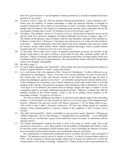Sorel art is great because it is an anticipation of intense production, as it tends to manifest itself more and more in our society."

- <span id="page-103-0"></span>[106.](#page-82-0) *Evolution Créatrice,* page 216. The true formula of Bergsonism should be, "I grow, therefore I am." Notice also the tendency of modern philosophy to make the practical character of thought its essential characteristic and to make its consciousness of itself a secondary characteristic: "Perhaps thought must be defined as the faculty of combining means towards certain ends rather than by the sole property of being clear to itself." (D. Roustan, *Leçons de Psychologie,* page 73.)
- <span id="page-103-1"></span>[107.](#page-82-1) The Sphex. The example is given in *L'Evolution Créatrice,* and has had an immense success in the literary world. (It is, moreover, imaginary. See Marie Goldsmith, *Psychologie Comparée,* page 211.) The defense of the practical value of instinct, with the same Romantic contempt of the rationalist as in Barrès, existed with J. J. Rousseau: "Conscience never deceives us; it is to the soul what instinct is to the body… . Modern philosophy, which only admits what can be explained, takes care not to admit the obscure faculty called instinct which, without acquired knowledge, seems to guide animals towards some end." (*Confession de foi du vicaire Savoyard.)*
- <span id="page-103-2"></span>[108.](#page-83-0) "If the utility which results from a man's occupations, determined our praise, the inventor of the plough would deserve the praise of being a great mind far more than Aristotle, Galilei, and M. Descartes." (Bayle.) Fontenelle and Voltaire have pointed out the utility of certain studies which were considered useless; they never meant that those who cultivated these studies while they thought them useless were therefore contemptible.
- <span id="page-103-3"></span>[109.](#page-83-1) See above, page 71.
- <span id="page-103-4"></span>[110](#page-83-2). Or moral. Barrès denounces the "immorality" of the scholar who shows the part played by chance in history. Compare Michelet's remark, "respect kills history."
- <span id="page-103-5"></span>[111](#page-83-3). As is well known, this is the argument of the "Avenir de l'Intelligence." It allows followers to say ("Manifeste de l'lntelligence," *Figaro,* 19 th July, 1919; on this manifesto, see Note P at the end of this volume) that "one of the most obvious missions of the Church during the ages has been to protect the intelligence against its own errors"—an irrefutable saying from the moment that the errors of the intelligence are everything it says without reference to social order (whose basis is to be the teaching of the Church). This practical conception of the intelligence leads to definitions of this sort: "True logic is to be defined as the normal union of feelings, images and signs, to inspire in us the conceptions suited to our moral, intellectual and physical needs." (Maurras.) Compare this with the tradition teaching of the French masters: "Logic is the art of guiding reason properly in the knowledge of things." *(Logique de Port-Royal.)*

The wish to esteem intelligence according to its practical results appears again in this astounding formula: "A critical mind is of value *through the influence it exerts* by means of the enlightenment it bestows." (Maurras.) See also how severe is M. Massis *(Jugements,* i, 87) for Renan when he says: "The useful is what I abhor." Elsewhere *(Jugements,* 107) the same thinker speaks of a spiritual freedom "whose disinterestedness is merely a refusal of the conditions of life, of action, *and of thought!"*

- <span id="page-103-6"></span>[112](#page-83-4). They add "and unscientific," which is irrefutable as soon as science means "practical." "Bringing up children religiously," says M. Paul Bourget, "is bringing them up scientifically"—a very defensible saying as soon as "scientifically" means (as the author here wants it to mean) "in conformity with the national interest."
- <span id="page-103-7"></span>[113](#page-83-5). The French traditionalists condemn the truth in itself in the name of "social" truth. This is the *glorification of prejudices,* a new thing indeed in the descendants of Montaigne and Voltaire. It may be said that certain contemporary French masters show a zeal in defending the interests of society never seen before in those whose business was to defend the interests of the mind.

The condemnation of disinterested intellectual activity is plainly laid down in this command of Barrès: "All questions must be solved in relation to France," to which a German thinker replies in 1920, "All the conquests of ancient and modern culture and of science are looked at by us from the German point of view before everything." (Quoted by C. Chabot, Preface to the French translation of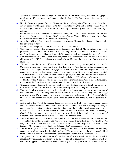*Speeches to the German Nation,* page xix.) For the cult of the "useful error," see an amazing page in the *Jardin de Bérénice,* quoted and commented on by Parodi. *(Traditionalisme et Democratie,* page 136.)

- <span id="page-104-0"></span>[114](#page-84-0). Here M. Maurras separates from his Master, de Maístre, who speaks of "the ocean which will one day welcome everything and every one to its bosom." However, the author of the *Soirées de Saint-Petersbourg* quickly adds: "But I refrain from touching on personality, without which immortality is nothing."
- <span id="page-104-1"></span>[115](#page-84-1). On the existence of this doctrine of immanence among almost all Christian teachers until our own times, see Renouvier: "L'Idée de Dieu" *(Année Philosophique,* 1897), and also *Essai d'une Classification des doctrines,* 3: *l*'*évolution; la création,*
- <span id="page-104-2"></span>[116](#page-84-2). According to Hegel, God constantly grows at the expense of His opposite; His activity is essentially that of war and victory.
- <span id="page-104-3"></span>[117](#page-84-3). Let me note a keen protest against this conception in "Neo-Thomism."
- <span id="page-104-4"></span>[118](#page-84-4). Compare, for instance, the condemnation of Rosmini with that of Maître Eckart, where such propositions as "Nulla in Deo distinctio esse aut intelligi potest" and "Omnes creaturae sunt purum nihil" are declared to be, not heretical, but only "ill-sounding, rash and suspected of heresy."
- <span id="page-104-5"></span>[119](#page-86-0). Remember that in 1806, immediately after Jena, Hegel's one thought was to find a corner in which to philosophize. In 1813 Schopenhauer was completely indifferent to the up-rising of Germany against Napoleon.
- <span id="page-104-6"></span>[120.](#page-86-1) "No one has the right to be indifferent to the disasters of his country; but the philosopher, like the Christian, always has reasons for living. The Kingdom of God knows neither conquerors nor conquered; that Kingdom resides in the joys of the heart, the mind, and the imagination, which the conquered enjoys more than the conqueror if he is morally on a higher plane and has more mind. Your great Goethe, your admirable Fichte have taught us, have they not, how to lead a noble and consequently happy life, when our country is humiliated abroad." (First Letter to Strauss.)

Need I say that Nietzsche, who seems to me a bad "clerk" from the nature of his teaching, seems to me one of the finest from his entire devotion to the passions of the spirit alone?

- <span id="page-104-7"></span>[121.](#page-88-0) Of course, I am not doubting the sincerity of all the "right-thinking" men of letters. Some persons are so fortunate that the most profitable attitudes are precisely those which they adopt sincerely.
- <span id="page-104-8"></span>[122.](#page-88-1) This may be clearly seen by the ill-will displayed by the French bourgeoisie towards the order of their "spiritual leader" forbidding them to read a publication whose doctrines they like. The change may be estimated if you remember that when, a century ago, the Pope ordered the French Catholics to accept the law against the Jesuits voted by the government of Charles X, they all bowed to his will.
- <span id="page-104-9"></span>[123.](#page-88-2) At the end of the War of the Spanish Succession when the north of France was invaded, Fénelon delivered several sermons in which he told the invaded population that their sufferings were the just punishment for their sins. Imagine the reception of any one who dared to preach such a sermon to the French in August, 1914! For the manner in which the "taught" Church to-day treats the "teaching" Church if the latter does not say what it wants to hear, think of the reception thirty years ago of Father Ollivier's sermon on the victims of the fire at the charity bazaar.
- <span id="page-104-10"></span>[124.](#page-89-0) Similar observations may be made about the philosophers, most of whom—and not the least famous —do not live to-day like Descartes and Spinoza, but are married, have children, occupy posts, are "in daily life." All of which seems to me to have a relation with the "pragmatic" character of their teaching. (On this point, see my book: *Sur le Succès du Bergsonisme,* page 207.)
- <span id="page-104-11"></span>[125.](#page-90-0) This is the reign (which seems eternal in France) of the "wit," with his attribute so admirably denounced by Male-branche in this delicious phrase: "The stupid person and the wit are equally blind to truth; with this difference, that the stupid person respects truth while the wit despises it."
- <span id="page-104-12"></span>[126.](#page-90-1) The spectacle of democracies may satisfy another sort of artistic sensibility, i.e. the sort which is moved, not by the spectacle of order, but by the spectacle of an equilibrium between forces which are naturally in opposition. (On this distinction, see the great book by M. Hauriou, *Principes de droit*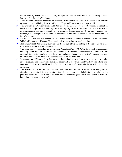*public,* chap. i.) Nevertheless, a sensibility to equilibrium is far more intellectual than truly artistic. See Note Q at the end of this book.

- <span id="page-105-0"></span>[127.](#page-90-2) More precisely, since the haughty Romanticism I mentioned above. The artist's desire to set himself up as an exceptional being dates from Flaubert. Hugo and Lamartine never expressed it.
- <span id="page-105-1"></span>[128.](#page-91-0) This aversion is particularly strong in Nietzsche. (See *Le Gai sçavoir,"* loc. cit., where generalization becomes a synonym for platitude, superficiality, stupidity.) Like a true artist, Nietzsche is incapable of understanding that the apperception of a common characteristic may be an act of genius—for instance, the apperception of the common characteristic between the movement of the planets and the fall of an apple.
- <span id="page-105-2"></span>[129.](#page-91-1) So much so that the true champions of "sacred egoism" definitely condemn them. Bismarck, Wilhelm II, Naumann, Houston Chamberlain, all argue against classical teaching.
- <span id="page-105-3"></span>[130.](#page-91-2) Remember that Nietzsche only truly esteems the thought of the ancients up to Socrates, i.e. up to the time when it begins to teach the universal.
- <span id="page-105-4"></span>[131.](#page-91-3) This same Barrès is quoted as having said to a "Dreyfusist" in 1898: "Why do you talk of justice and humanity to me! What do I care for? A few pictures in Europe and a few cemeteries!" Another of our great political realists confessed one day to his fundamental necessity to "enjoy." Socrates long ago told Protagoras that the basis of his doctrine was a thirst for sensation.
- <span id="page-105-5"></span>[132.](#page-91-4) It seems to me difficult to deny that pacifism, humanitarianism, and altruism are *boring.* No doubt, art, science, and philosophy offer sufficient opportunities for "amusement" without one asking of it doctrines which set the world on fire. But that is the view of a man who is not wildly eager for sensation.
- <span id="page-105-6"></span>[133.](#page-92-0) The realists are not the only people to-day who find opportunities for sensation in their political attitudes. It is certain that the humanitarianism of Victor Hugo and Michelet is far from having the pure intellectual resonance it had in Spinoza and Malebranche. (See above, my distinction between humanitarianism and humanism.)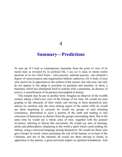[4](#page-6-0)

## **[Summary—Predictions](#page-6-0)**

To sum up: If I look at contemporary humanity from the point of view of its moral state as revealed by its political life, I see (*a*) A mass in whom realist passions in its two chief forms—class passion, national passion—has attained a degree of consciousness and organization hitherto unknown; (*b*) A body of men who used to be in opposition to the realism of the masses, but who now, not only do not oppose it, but adopt it, proclaim its grandeur and morality; in short, a humanity which has abandoned itself to realism with a unanimity, an absence of reserve, a sanctification of its passion unexampled in history.

This remark may be put in another form. Imagine an observer of the twelfth century taking a bird's-eye view of the Europe of his time. He would see men groping in the obscurity of their minds and striving to form themselves into nations (to mention only the most striking aspect of the realist will); he would see them beginning to succeed; he would see groups of men attaining consistency, determined to seize a portion of the earth and tending to feel conscious of themselves as distinct from the groups surrounding them. But at the same time he would see a whole class of men, regarded with the greatest reverence, laboring to thwart this movement. He would see men of learning, artists and philosophers, displaying to the world a spirit which cared nothing for nations, using a universal language among themselves. He would see those who gave Europe its moral values preaching the cult of the human, or at least of the Christian, and not of the national, he would see them striving to found, in opposition to the nations, a great universal empire on spiritual foundations. And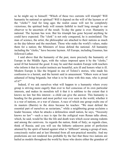so he might say to himself: "Which of these two currents will triumph? Will humanity be national or spiritual? Will it depend on the will of the laymen or of the "clerks"? And for long ages the realist cause will not be completely victorious; the spiritual body will remain faithful to itself long enough to our observer to be uncertain of the result. To-day the game is over. Humanity is national. The layman has won. But his triumph has gone beyond anything he could have expected. The "clerk" is not only conquered, he is assimilated. The man of science, the artist, the philosopher are attached to their nations as much as the day-laborer and the merchant. Those who make the world's values, make them for a nation; the Ministers of Jesus defend the national. All humanity including the "clerks," have become laymen. All Europe, including Erasmus, has followed Luther.

I said above that the humanity of the past, more precisely the humanity of Europe in the Middle Ages, with the values imposed upon it by the "clerks," acted ill but honored the good. It may be said that modern Europe with teachers who inform it that its realist instincts are beautiful, acts ill and honors what is ill. Modern Europe is like the brigand in one of Tolstoi's stories, who made his confession to a hermit, and the hermit said in amazement: "Others were at least ashamed of being brigands; but what is to be done with this man, who is proud of it?"

Indeed, if we ask ourselves what will happen to a humanity where every group is striving more eagerly than ever to feel conscious of its own particular interests, and makes its moralists tell it that it is sublime to the extent that it knows no law but this interest—a child can give the answer. This humanity is heading for the greatest and most perfect war ever seen in the world, whether it is a war of nations, or a war of classes. A race of which one group exalts one of its masters (Barrès) to the skies because he teaches: "We must defend the essential part of ourselves as sectarians," while a neighboring group acclaims a leader because, when he attacks a defenseless small nation, he says, "Necessity knows no law"—such a race is ripe for the zolögical wars Renan talks about, which, he said, would be like the life and death wars which occur among rodents and among the carnivora. As regards the nation, think of Italy; as regards class, think of Russia; and you will see the hitherto unknown point of perfection attained by the spirit of hatred against what is "different" among a group of men, consciously realist and at last liberated from all non-practical morality. And my predictions are not rendered less probable by the fact that these two nations are hailed as models throughout the world by those who desire either the grandeur of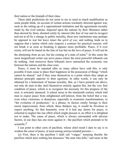their nation or the triumph of their class.

These dark predictions do not seem to me to need as much modification as some people think, on account of certain actions resolutely directed against war, such as the setting up of a supernational institution and the agreements recently made by the rival nations. Imposed upon the nations by their Ministers rather than desired by them, dictated solely by interest (the fear of war and its ravages) and not at all by a change in public morality, these new institutions may perhaps be opposed to war but leave intact the *spirit of war,* and nothing leads us to suppose that a nation which only respects a contract for practical reasons, will not break it as soon as breaking it appears more profitable. Peace, if it ever exists, will not be based on the fear of war but on the love of peace. It will not be the abstaining from an act, but the coming of a state of mind.<sup>[1](#page-117-0)</sup> In this sense the most insignificant writer can serve peace where the most powerful tribunals can do nothing. And moreover these tribunals leave untouched the economic war between the nations and the class wars.

<span id="page-108-0"></span>Peace, it must be repeated after so many others have said this, is only possible if men cease to place their happiness in the possession of things "which cannot be shared," and if they raise themselves to a point where they adopt an abstract principle superior to their egotisms. In other words, it can only be obtained by a betterment of human morality. But, as I have pointed out above, not only do men to-day steel themselves entirely against this, but the very first condition of peace, which is to recognize the necessity for this progress of the soul, is seriously menaced. A school arose in the nineteenth century which told men to expect peace from enlightened self-interest, from the belief that a war, even when victorious, is disastrous, especially to economic transformations, to "the evolution of production," in a phrase, to factors totally foreign to their moral improvement, from which, these thinkers say, it would be frivolous to expect anything. So that humanity, even if it had any desire for peace, is exhorted to neglect the one effort which might procure it, an effort it is delighted not to make. The cause of peace, which is always surrounded with adverse factors, in our days has one more against it—the pacifism which pretends to be scientific. [2](#page-117-1)

<span id="page-108-1"></span>I can point to other sorts of pacifism, whose chief result I dare to say is to weaken the cause of peace, at least among serious-minded persons:—

(*a*) First, there is the pacifism I shall call "vulgar," meaning thereby the pacifism which does nothing but denounce "the man who kills," and sneer at the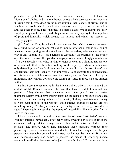prejudices of patriotism. When I see certain teachers, even if they are Montaigne, Voltaire, and Anatole France, whose whole case against war consists in saying that highwaymen are no more criminal than leaders of armies, and in laughing at people who kill each other because one party is dressed in yellow and the other in blue, I feel inclined to desert a cause whose champions oversimplify things to this extent, and I begin to feel some sympathy for the impulses of profound humanity which created the nations and which are thereby so grossly insulted.<sup>[3](#page-117-2)</sup>

<span id="page-109-0"></span>(*b*) *Mystic pacifism,* by which I mean the pacifism which is solely animated by a blind hatred of war and refuses to inquire whether a war is just or not, whether those fighting are the attackers or the defenders, whether they wanted war or only submit to it. This pacifism is essentially the pacifism of the people (and that of all the so-called pacifist newspapers) and was strikingly embodied in 1914 by a French writer who, having to judge between two fighting nations one of which had attacked the other contrary to all its pledges while the other was only defending itself, could do nothing but intone "I have a horror of war" and condemned them both equally. It is impossible to exaggerate the consequences of this behavior, which showed mankind that mystic pacifism, just like mystic militarism, may entirely obliterate the feeling of justice in those who are smitten with it.

I think I see another motive in the French writers who in 1914 adopted the attitude of M. Romain Rolland—the fear that they would fall into national partiality if they admitted that their nation was in the right. It may be asserted that these writers would have warmly taken up the cause of France, if France had not been their own country. Whereas Barrès said, "I always maintain my country is right even if it is in the wrong," these strange friends of justice are not unwilling to say: "I always maintain my country is in the wrong, even if it is right." There again we see that the frenzy of impartiality, like any other frenzy, leads to injustice.

I have also a word to say about the severities of these "justiciaries" towards France's attitude immediately after her victory, towards her desire to force the enemy to make good the damage done to her, and to seize on pledges if he refused. The motive which here animated these moralists without their perceiving it, seems to me very remarkable; it was the thought that the just person must inevitably be weak and suffer, that he must be a victim. If the just man becomes strong and comes to possess the means of enforcing justice towards himself, then he ceases to be just to these thinkers. If Socrates and Jesus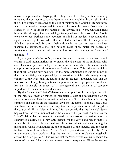make their persecutors disgorge, then they cease to embody justice; one step more and the persecutors, having become victims, would embody right. In this the cult of justice is replaced by the cult of misfortune, a Christian Romanticism which is somewhat unexpected in a man like Anatole France. No doubt the events of 1918 upset all the habits of the advocates of right. Outraged right became the stronger, the assailed toga triumphed over the sword, the Curiatii were victorious. Perhaps some coolness of mind was needed to recognize that right remained right, even when thus invested with force. The French pacifists failed to remain cool. In short, their attitude in the past ten years has been inspired by sentiment alone, and nothing could show better the degree of weakness to which intellectual discipline has now fallen among our "princes of the mind." $4$ 

<span id="page-110-0"></span>(*c*) *Pacifism claiming to be patriotic,* by which I mean the pacifism which claims to exalt humanitarianism, to preach the abatement of the militarist spirit and of national passion, and yet not to harm the interests of the nation nor to compromise its power of resistance to foreign nations. This attitude—which is that of all Parliamentary pacifists—is the more antipathetic to upright minds in that it is inevitably accompanied by the assertion (which is also nearly always contrary to the truth) that the nation is not in the least threatened and that the malevolence of neighboring nations is a pure invention of people who want war. But that is merely an aspect of a very general fact, which is of supreme importance to the matter under discussion.

By this I mean the "clerk's" determination to put forth his principles as valid in the practical order of things, as reconcilable with the safeguarding of the sword's conquests. This determination, which has affected the Church for twenty centuries and almost all the idealists (give me the names of those since Jesus who have declared themselves incompetent in the practical order of things), is the source of all the "clerk's failures." It may be said that the "clerk's" defeat begins from the very moment when he claims to be practical. As soon as the "clerk" claims that he does not disregard the interests of the nation or of the established classes, he is inevitably beaten, for the very good reason that it is impossible to preach the spiritual and the universal without undermining the institutions whose foundations are the possession of the material and the desire to feel distinct from others. A true "clerk" (Renan) says excellently: "The mother-country is a worldly thing; the man who wants to play the angel will always be a bad patriot." Thus we see that the "clerk" who claims to secure the works of the world has a choice between two consequences. Either he secures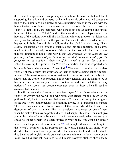them and transgresses all his principles, which is the case with the Church supporting the nation and property; or he maintains his principles and causes the ruin of the institutions he claimed he was supporting, which is the case with the humanitarian who claims to safeguard what is national. In the first case the "clerk" is despised by the just man, who denounces him as cunning and strikes him out of the rank of "clerk"; and in the second case he collapses under the hooting of the nations who call him inefficient, while he provokes a violent and loudly acclaimed reaction on the part of the realist, which is what is now happening in Italy. From all this it follows that the "clerk" is only strong if he is clearly conscious of his essential qualities and his true function, and shows mankind that he is clearly conscious of them. In other words he declares to them that his kingdom is not of this world, that *the grandeur of his teaching lies precisely in this absence of practical value, and that the right morality for the prosperity of the kingdoms which are of this world, is not his, but Caesar's.* When he takes up this position, the "clerk" is crucified, but he is respected, and his words haunt the memory of mankind.<sup>[5](#page-117-4)</sup> The need to remind the modern "clerks" of these truths (for every one of them is angry at being called Utopian) is one of the most suggestive observations in connection with our subject. It shows that the desire to be practical has become general, that the claim to be so has now become necessary in order to obtain an audience, and that the very

<span id="page-111-0"></span>notion of "clerkdom" has become obscured even in those who still tend to exercise that function.

<span id="page-111-1"></span>It will be seen that I entirely dissociate myself from those who want the "clerk" to govern the world, and who wish with Renan for the "reign of the philosophers"; for it seems to me that human affairs can only adopt the religions of the true "clerk" under penalty of becoming divine, i.e. of perishing as human. This has been clearly seen by all lovers of the divine who did not desire the destruction of what is human. This is marvelously expressed by one of them when he makes Jesus say so profoundly to His disciple: "My son, I must not give you a clear idea of your substance … for if you saw clearly what you are, you could no longer remain so closely united to your body. You would no longer watch over the preservation of your life."<sup>[6](#page-117-5)</sup> But though I think it a bad thing that the "clerk's" religion should possess the lay world, I think it still more to be dreaded that it should not be preached to the layman at all, and that he should thus be allowed to yield to his practical passions without the least shame or the least, even hypocritical, desire to raise himself however slightly above them.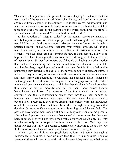"There are a few just men who prevent me from sleeping"—that was what the realist said of the teachers of old. Nietzsche, Barrès, and Sorel do not prevent any realist from sleeping; on the contrary. This is the novelty I want to point out, which to me seems so serious. It seems to me serious that a humanity, which is more than ever obsessed by the passions of the world, should receive from its spiritual leaders the command: "Remain faithful to the earth."

Is this adoption of "integral realism" by the human species permanent, or merely temporary? Are we, as some people think, witnessing the beginning of a new Middle Ages (and one far more barbarous than the former, for though it practiced realism, it did not extol realism), from which, however, will arise a new Renaissance, a new return to the religion of distinterestedness? The elements we have discovered as forming the new realism scarcely allow us to hope so. It is hard to imagine the nations sincerely striving not to feel conscious of themselves as distinct from others, or, if they do so, having any other motive than that of concentrating inter-human hatred into that of class. It is hard to imagine the clergy regaining a real moral sway over the faithful and being able (supposing they desired to do so) to tell them with impunity unpleasant truths. It is hard to imagine a body of men of letters (for corporative action becomes more and more important) attempting to withstand the bourgeois classes instead of flattering them. It is still harder to imagine them turning against the tide of their intellectual decadence and ceasing to think that they display a lofty culture when they sneer at rational morality and fall on their knees before history. Nevertheless one thinks of a humanity of the future, weary of its "sacred egotisms" and the slaughterings to which they inevitably lead, coming as humanity came two thousand years ago, to the acceptance of a good situated beyond itself, accepting it even more ardently than before, with the knowledge of all the tears and blood that have been shed through departing from that doctrine. Once more Vauvenargue's admirable saying would be verified. "The passions have taught men reason." But such a thing only seems to me possible after a long lapse of time, when war has caused far more woes than have yet been endured. Men will not revise their values for wars which only last fifty months and only kill a couple of million men in each nation. One may even doubt whether war will ever become so terrible as to discourage those who love it, the more so since they are not always the men who have to fight.

When I set this limit to my pessimistic outlook and admit that such a Renaissance is possible, I mean no more than that it is just possible. I cannot agree with those who say it is certain, either because it happened once before, or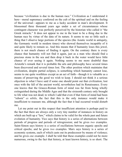because "civilization is due to the human race." Civilization as I understand it here—moral supremacy conferred on the cult of the spiritual and on the feeling of the universal—appears to me as a lucky accident in man's development. It blossomed three thousand years ago under a set of circumstances whose contingent character was perfectly perceived by the historian who called it "the Greek miracle." It does not appear to me in the least to be a thing due to the human race by virtue of the data of its nature. It seems to me so little such a thing that I observe large portions of the species (the Asiatic world in antiquity, the Germanic world in modern times) who showed themselves incapable of it and quite likely to remain so. And this means that if humanity loses this jewel, there is not much chance of finding it again. On the contrary there is every chance that humanity will not find it again, just as a man who should find a precious stone in the sea and then drop it back in the water would have little chance of ever seeing it again. Nothing seems to me more doubtful than Aristotle's remark that it is probable the arts and philosophy have several times been discovered and several times lost. The other position which maintains that civilization, despite partial eclipses, is something which humanity cannot lose, seems to me quite worthless except as an act of faith—though it is valuable as a means of preserving the good we wish to keep. I should not think it a serious objection to what I have said if some one should point out that civilization, lost once with the fall of the ancient world, nevertheless had its Renaissance. Every one knows that the Graeco-Roman form of mind was far from being wholly extinguished during the Middle Ages and that the sixteenth century only brought to life what was not dead; to which I add that even if that form of mind had been "reborn" *ex nibilo,* the fact that this is the only instance would make it insufficient to reassure me, although the fact that it had occurred would disturb me.

Let me point out in this respect that insufficient attention is perhaps paid to the fact that there are always only a very tiny number of instances in history on which are built up a "law," which claims to be valid for the whole past and future evolution of humanity. Vico says that history is a series of alternations between periods of progress and periods of retrogression; and he gives *two* examples. Saint-Simon says history is a series of oscillations between organic epochs and critical epochs; and he gives *two* examples. Marx says history is a series of economic systems, each of which casts out its predecessor by means of violence; and he gives *one* example. I shall be told that these examples could not be more numerous, owing to the fact that history, at least known history, is so short. The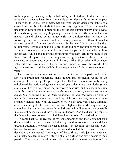truth, implied by this very reply, is that history has lasted too short a time for us to be able to deduce laws from it to enable us to infer the future from the past. Those who do so are like a mathematician who should decide the nature of a curve from the form he finds it has at its very beginning. True, a somewhat uncommon turn of mind is required to confess that human history, after several thousands of years, is only beginning. I cannot sufficiently admire the rare mental value displayed by La Bruyère (in my opinion) when he wrote the following lines in a century which was strongly inclined to think it was the topmost summit of human development: "If the world lasts only a hundred million years, it will still be in all its freshness and only beginning; we ourselves are almost contemporary with the first men and the patriarchs, and who, in those far-off ages, will be able to avoid confusing us with them? But if we judge of the future from the past, what new things are we ignorant of in the arts, in the sciences, in Nature, and, I dare say, in history? What discoveries will be made! What different revolutions will occur in our Empires all over the world! How ignorant we are! And how slight is an experience of six or seven thousand years!"

I shall go further and say that even if an examination of the past could lead to any valid prediction concerning man's future, that prediction would be the contrary of reassuring. People forget that Hellenic rationalism only really enlightened the world during seven hundred years, that it was then hidden (this *a minima* verdict will be granted me) for twelve centuries, and has begun to shine again for barely four centuries; so that *the longest period of consecutive time in human history on which we can found inductions is, upon the whole, a period of intellectual and moral darkness.* Looking at history, we may say in a more synthetic manner that, with the exception of two or three very short, luminous epochs whose light, like that of certain stars, lightens the world long after they are extinct, humanity lives generally in darkness; while literatures live generally in a state of decadence and the organism in disorder. And the disturbing thing is that humanity does not seem to mind these long periods of cave-dwelling.

To come back to the realism of my contemporaries and their contempt for a disinterested existence, I must add that my mind is sometimes haunted by a dreadful question. I wonder whether humanity, by adopting this system to-day, has not discovered its true law of existence and adopted the true scale of values demanded by its essence? The religion of the spiritual, I said just now, seems to me a lucky accident in man's history. I shall go further, and say it seems to me a paradox. The obvious law of human substance is the conquest of things and the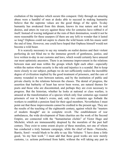exaltation of the impulses which secure this conquest. Only through an amazing abuse were a handful of men at desks able to succeed in making humanity believe that the supreme values are the good things of the spirit. To-day humanity has awakened from this dream, knows its true nature and its real desires, and utters its war-cry against those who for centuries have robbed it of itself. Instead of waxing indignant at the ruin of their domination, would it not be more reasonable for these usurpers (if there are any left) to wonder that it lasted so long? Orpheus could not aspire to charm the wild beasts with his music until the end of time. However, one could have hoped that Orpheus himself would not become a wild beast.

It is scarcely necessary to say my remarks on realist desires and their violent perfecting do not blind me to the immense growth of gentleness, justice, and love written to-day in our customs and laws, which would certainly have amazed our most optimistic ancestors. There is an immense improvement in the relations between man and man within the groups which fight each other—especially within the nation where security is the rule and injustice is a scandal. But to keep more closely to our subject, perhaps we do not sufficiently realize the incredible degree of civilization implied by the good treatment of prisoners, and the care of enemy wounded in wars between nations, and by the institution of public and private charity in the relations between the classes. The denial of progress, the assertion that barbarity of heart has never been worse, are natural themes for poets and those who are discontented, and perhaps they are even necessary to progress. But the historian, whether he looks at national or class warfare, is amazed at the transformation of a species which only four centuries ago roasted prisoners of war in baker's ovens, and, only two centuries ago forbade the workers to establish a pension fund for their aged members. Nevertheless I must point out that these improvements cannot be credited to the present age. They are the results of the teaching of the eighteenth century, against which the "masters of modern thought" are in complete revolt. The establishment of war ambulances, the wide development of State charities are the work of the Second Empire, are connected with the "humanitarian clichés" of Victor Hugo and Michelet, which are immeasurably despised by the moralists of the past half century. They exist to some extent *despite of* these moralists, not one of whom has conducted a truly humane campaign, while the chief of them—Nietzsche, Barrès, Sorel—would blush to be able to say like Voltaire: "I have done a little good, 'tis my best work." I must add that these good works are now merely customs, i.e. actions performed from habit, without the will taking any part in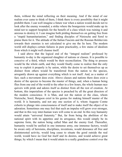them, without the mind reflecting on their meaning. And if the mind of our realists ever came to think of them, I think there is every possibility that it might prohibit them. I can well imagine a future war when a nation would decide not to look after the enemy wounded, a strike where the bourgeoisie would make up its mind not to support hospitals for the benefit of a class which was ruining it and anxious to destroy it. I can imagine both priding themselves on getting free from a "stupid humanitarianism," and finding disciples of Nietzsche and Sorel to praise them for it. The attitude of the Italian Fascists and the Russian Bolshevists towards their enemies is not calculated to give me the lie here. The modern world still displays certain failures in pure practicality, a few stains of idealism from which it might well cleanse itself.

I said above that the logical end of the "integral realism" professed by humanity to-day is the organized slaughter of nations or classes. It is possible to conceive of a third, which would be their reconciliation. The thing to possess would be the whole earth, and they would finally come to realize that the only way to exploit it properly is by union, while the desire to set themselves up as distinct from others would be transferred from the nation to the species, arrogantly drawn up against everything which is not itself. And, as a matter of fact, such a movement does exist. Above classes and nations there does exist a desire of the species to become the master of things, and, when a human being flies from one end of the world to the other in a few hours, the whole human race quivers with pride and adores itself as distinct from all the rest of creation. At bottom, this imperialism of the species is preached by all the great directors of the modern conscience. It is Man, and not the nation or the class, whom Nietzsche, Sorel, Bergson extol in his genius for making himself master of the world. It is humanity, and not any one section of it, whom Auguste Comte exhorts to plunge into consciousness of itself and to make itself the object of its adoration. Sometimes one may feel that such an impulse will grow ever stronger, and that in this way inter-human wars will come to an end. In this way humanity would attain "universal fraternity." But, far from being the abolition of the national spirit with its appetites and its arrogance, this would simply be its supreme form, the nation being called Man and the enemy God. Thereafter, humanity would be unified in one immense army, one immense factory, would be aware only of heroisms, disciplines, inventions, would denounce all free and distinterested activity, would long cease to situate the good outside the real world, would have no God but itself and its desires, and would achieve great things; by which I mean that it would attain to a really grandiose control over the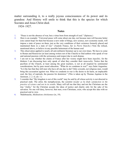matter surrounding it, to a really joyous consciousness of its power and its grandeur. And History will smile to think that this is the species for which Socrates and Jesus Christ died.

1924–1927.

#### **Notes**

- <span id="page-117-0"></span>[1](#page-108-0). "Peace is not the absence of war, but a virtue born from strength of soul." (Spinoza.)
- <span id="page-117-1"></span>[2](#page-108-1). Here is an example: "Universal peace will come about one day, not because men will become better (one cannot hope for that) but because a new order of things, new science, new economic needs, will impose a state of peace on them, just as the very conditions of their existence formerly placed and maintained them in a state of war." (Anatole France, *Sur la Pierre blanche.*) Note the refusal, mentioned above, to believe in any possible betterment of the human soul.
- <span id="page-117-2"></span>[3](#page-109-0). This observation applied to nearly all anti-militarist literature up to our own times. We have to come to Renan and Renouvier (at least among writers not of the Church) to find authors who speak of war and national passions with the seriousness and respect due to such dramas.
- <span id="page-117-3"></span>[4](#page-110-0). I am not to say whether the claims of France after her victory might have been *impolitic,* for the thinkers I am discussing here only speak of what they consider their *immorality.* Notice that the pacifism of the Church, at least among the great teachers, is not at all inspired by sentimental considerations, but by pure moral education. "What do we condemn in war?" says Saint Augustine. "Is it the fact that they kill men who have all one day to die? Only cowards, not religious men, would bring this accusation against war. What we condemn in war is the desire to do harm, an implacable soul, the fury of reprisals, the passion for dominion." (This is taken up by Thomas Aquinas in the *Summum, 2, 2,* xl, art. 1.)
- <span id="page-117-4"></span>[5](#page-111-0). I consider that "My kingdom is not of this world" may be said by all whose activity is not directed to practical ends: The artist, the metaphysician, the scientist *insofar as he finds satisfaction in the practice of science and not in its results.* Many will tell me that they and not the Christians are the true "clerks," for the Christian accepts the ideas of justice and charity only for the sake of his salvation. No one will deny, however, that men, even Christians, exist, who accept this idea with no practical end in view.
- <span id="page-117-5"></span>[6](#page-111-1). Malebranche, *Méditations chrétiennes* (ix, 19).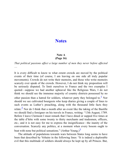# **[Notes](#page-6-0)**

## <span id="page-118-0"></span>**Note A (Page 16)**

*That* political passions affect a large number of men they never before affected …

It is every difficult to know to what extent crowds are moved by the political events of their time (of course, I am leaving on one side all truly popular movements). Crowds do not write their memoirs, and those who write memoirs scarcely ever speak of the crowds. However, I do not think my proposition will be seriously disputed. To limit ourselves to France and the two examples I quoted—suppose we had another upheaval like the Religious Wars, I do not think we should see the immense majority of country districts possessed by no other passion than a hatred for soldiers, whatever party they belonged to.<sup>[1](#page-119-0)</sup> Nor should we see cultivated bourgeois who keep diaries giving a couple of lines to such events as Luther's preaching, along with the thousand little facts they relate.<sup>[2](#page-119-1)</sup> Nor do I think that a month after an event like the taking of the Bastille we should find a foreigner on his travels in France, writing: "13th August, 1789. Before I leave Clermont I must remark that I have dined or supped five times at the table d'hôte with some twenty to thirty merchants and tradesmen, officers, etc.; and it is not easy for me to express the insignificance—the inanity of the conversation. Scarcely any politics, at a moment when every bosom ought to beat with none but political sensations." (Arthur Young.) $3$ 

<span id="page-118-2"></span><span id="page-118-1"></span>The attitude of populations towards wars between States long seems to have been that described by Voltaire in the following lines: "It is indeed a deplorable evil that this multitude of soldiers should always be kept up by all Princes. But,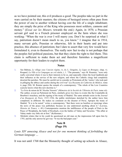as we have pointed out, this evil produces a good. The peoples take no part in the wars carried on by their masters; the citizens of besieged towns often pass from the power of one to another without having cost the life of a single inhabitant; they are simply the prize of the King who possesses most soldiers, cannons and money." (*Essai sur les Moeurs,* towards the end.) Again, in 1870, a Prussian servant girl said to a French prisoner employed on the farm where she was working: "When the war is over I will marry you. Don't be surprised at what I say, patriotism doesn't mean much to us, you know." I imagine that in 1914, many servant girls, Prussian or otherwise, felt in their hearts and put into practice, this absence of patriotism; but I dare to assert that very few would have formulated it, even to themselves. The really new fact to-day is not perhaps that the peoples feel political passions, but that they claim the right to feel them. This claim is sufficient to make them act and therefore furnishes a magnificent opportunity for their leaders to exploit them.

#### **Notes**

- <span id="page-119-0"></span>[1](#page-118-0). See Babeau, *Le village sous l'ancien régime,* iv, iii; L. Gregoire, *La Ligue en Bretagne,* chap, vi; Roupnel, *La Ville et la Campagne au xvii* siècle, i, 1. "The peasants," says M. Roumier, "were only really converted where it was to their interests to be so, and especially where the local landlords put their influence at the service of the new religion, and where the Catholic clergy had completely deserted the parishes. We must be careful not to consider as Protestants all the 'rustics' who took part in pillaging the abbeys and castles during the civil war" (*La Royaume de Catherine de Médicis,* tome ii, page 294). M. Romier quotes the remark of a contemporary: "The whole of the Low Countries scarcely knows what this new doctrine is."
- <span id="page-119-1"></span>[2](#page-118-1). "Le livre de raison de M. Nicolas Versoris" *(Mémoires de la Société de l'Histoire de Paris,* tome xii). The author, avocat au Parlement de Paris, similarly gives two lines to events like the Connétable de Bourbon's treachery, and the signing of the treaty of Madrid. The same attitude exists in the *Journal d'un Bourgeois de Paris,* 1515–1536; the public misfortunes sketched by the author leave him completely in different. He makes no comment on the disaster of Pavia. Apropos the treaty of Madrid, "It is to be noted," writes a contemporary, "that there were no bonfires or rejoicings when the news of the peace was published, because no one understood anything about it." (Lavisse, *Histoire de Trance,* v. 49.) Contemporaries mention the indifference of the people of Paris to the Peace of Westphalia, the battle of Rossbach, even the battles of Valmy and Navarino. "The affair at Valmy made very little stir at first." (Kellerman.)
- <span id="page-119-2"></span>[3](#page-118-2). Michelet relates that in his youth he questioned an old man on the impressions left upon him by 1793, and the only answer he got was: "It was the bad paper year."

# **Note B (Page 19)**

*Louis XIV annexing Alsace and not for one moment thinking of forbidding the German language …*

It was not until 1768 that the Monarchy thought of setting up schools in Alsace,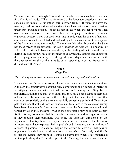"where French is to be taught." Vidal de la Blanche, who relates this *(La France de l'Est,* 1, vi) adds: "This indifference (to the language question) must not shock us too much. Let us rather learn a lesson from it. It raises us above the narrowly jealous conceptions which since then have set nation against nation, under this language pretext. It takes us into an age when another spirit presided over human relations. There was then no language question. Fortunate eighteenth century, when war bred no lasting hatred, when the poison of national animosities was not inoculated and fostered by all the means now at the disposal of the State, including the schools." The eminent historian forgets that the State has these means at its disposal, *with the consent of the peoples.* The peoples, or at least the cultivated classes among them, at the bidding of their men of letters, during the past century have set themselves up arrogantly against one another in their languages and cultures, even though they one day come face to face with the unexpected results of this attitude, as is happening to-day to France in its difficulties with Alsace.

# **Note C (Page 13)**

# *The Union of capitalism, anti-semiteism, anti-democracy with nationalism.*

I am under no illusion concerning the solidity of certain among these unions. Although the conservative passions fully comprehend their immense interest in identifying themselves with national passion and thereby benefiting by its popularity, although one may even admit that they have been caught in their own net and have become sincere in this feeling, yet it is none the less true that conservatism (chiefly capitalism) is essentially something entirely different from patriotism, and that this difference, whose manifestations in the course of history have been innumerable (how many times have the bourgeoisie treated with foreigners when they thought it was to their interests!) may once again display itself. It is easy to imagine that the French bourgeoisie would turn against France if they thought their patrimony was being too seriously threatened by the legislation of the Republic. This may already be seen in the case of families who, in recent years, have exported their capital abroad. I may say the same thing of monarchist passion. It is easy to imagine that certain followers of that passion might one day decide to work against a nation which decisively and finally rejects the system they propose. I think I observe this when I see monarchist writers publishing that "from the Spree to the Mekong, the whole world knows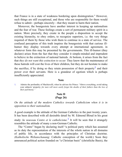that France is in a state of weakness bordering upon disintegration." However, such things are still exceptional, and those who are responsible for them would refuse to admit—perhaps sincerely—that they meant to harm their nation.

Moreover, the bourgeoisie have another interest in keeping up nationalism and the fear of war. These feelings create a sort of permanent military spirit in a nation. More precisely, they create in the people a disposition to accept the existing hierarchy, to obey orders, to recognize superiors, i.e. the very things required of them by those who wish them to continue in a state of service. The confused perception of this truth inspires the bourgeoisie with that curious illhumor they display towards every attempt at international agreement, in whatever form this may be presented by the governments. This ill-humor (they declare) arises from the fact that they consider it simple-minded and imprudent to believe in the extinction of national hatreds. At bottom, it arises from the fact that *they do not want this extinction to occur.* They know that the maintenance of these hatreds will cost the lives of their children, but they do not hesitate to make

the sacrifice, if by doing so they retain possession of their property<sup>[1](#page-121-0)</sup> and their power over their servants. Here is a grandeur of egotism which is perhaps insufficiently appreciated.

#### <span id="page-121-1"></span>**Note**

<span id="page-121-0"></span>[1](#page-121-1). Admire the profundity of Machiavelli, when he advises his Prince: "Above everything, avoid taking your subjects' property; *for men will more easily forget the deaths of their fathers than the loss of their patrimony."*

## <span id="page-121-2"></span>**Note D (Page 26)**

*On the attitude of the modern Catholics towards Catholicism when it is in opposition to their nationalism.*

A good example is the attitude of the German Catholics in the past twenty years. It has been described with all desirable detail by M. Edmond Bloud in his great study: *he nouveau Centre et le catholicisme.* [1](#page-123-0) It will be seen that it strangely resembles the attitude of many a non-German Catholic.

The "Centre" began by declaring itself "a political party which has assumed as its duty the representation of the interests of the whole nation in all domains of public life, in accordance with the principles of Christian doctrine. *(Katholische Weltanschauung:* Catholic conception of the world.) Soon they announced political action founded on "a Christian basis" (christliche Basis), the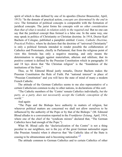spirit of which is thus defined by one of its apostles (Doctor Brauweiler, April, 1913): "In the domain of practical action, *concepts are determined by the end in view.* The formation of political concepts is comparable with the formation of juridical concepts. The jurist forms his concepts *with no other consideration than that of what is needed, in relation solely to the required end.* But no one can say that the juridical concept thus formed is a false one. In the same way, one may speak in politics of Christianity or Christian doctrine. In 1914, Doctor Karl Bachem of Cologne, published a pamphlet entitled: *Centre, Catholic Doctrine, Practical Politics,* where he declares that the doctrine of "universal Christianity" is only a political formula intended to render possible the collaboration of Catholics and Protestants, chiefly in Parliament; that from the religious point of view this formula has only a negative meaning, and only means the determination to struggle against materialism, atheism and nihilism; that its positive content is defined by the Prussian Constitution which in paragraphs 14 and 18 lays down that "the Christian religion" is the "foundation of the institutions of the State."

Thus, as M. Edmond Bloud justly remarks, Doctor Bachem makes the Prussian Constitution the Rule of Faith. Put "national interest" in place of "Prussian Constitution" and you will have the state of mind of many a modern French Catholic.

The attitude of the German Catholics seems to me also representative of a certain Catholicism common to-day to other nations, in declarations of this sort:

"The Catholic members of the 'Centre' remain Catholics individually, *but the party, as a party, does not necessarily accept the Catholic conception of the world."*

And again:

"The Pope and the Bishops have authority in matters of religion, but wherever political matters are concerned we shall not allow ourselves to be influenced by the authority of the Pope or by that of the Bishops." (M. Edmond Bloud alludes to a conversation reported in the *Frankfurter Zeitung,* April, 1914, where one of the chief of the "syndicats mixtes" declared that, "The German Catholics have had enough of the Pope.")

What M. Bloud calls the "declericalization of the Centre" is not a thing peculiar to our neighbors, nor is the joy of the great German nationalist organ (the Prussian Annals) when it observes that "the Catholic idea of the State is ceasing to be ultramontane and is becoming nationalist.<sup> $2$ </sup>

<span id="page-122-0"></span>The attitude common to German Catholics and to certain Catholics of other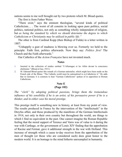nations seems to me well brought out by two protests which M. Bloud quotes.

The first is from Father Weiss:

"There exist," says the eminent theologian, "several kinds of political Catholicism… . The worst of all consists in looking upon pure politics, social politics, national politics, not only as something wholly independent of religion, but *as being the standard by which we should determine the degree to which Catholicism or Christianity may be utilized in public life."*

The other is from Cardinal Kopp (then Bishop of Fulda) in a letter written in 1887:

"Unhappily a gust of madness is blowing over us. Formerly we held to the principle: Faith first, politics afterwards. Now they say: *Politics first!* The Church and the Faith afterwards."

Our Catholics of the *Action Française* have not invented much.

#### **Notes**

- <span id="page-123-0"></span>[1](#page-121-2). Inserted in the collection of studies entitled "L'Allemagne et les Alliés devant la conscience chrétienne." (Bloud et Gay, 1915.)
- <span id="page-123-1"></span>[2](#page-122-0). M. Edmond Bloud quotes this remark of a German nationalist, which might have been made on the French side of the Rhine: "The Catholic world must be nationalized to re-Catholicize it." He adds that in Germany it is common to hear "German Catholicism" spoken of in opposition to Roman Catholicism.

## **Note E**

## **(Page 102)**

*The "clerk" by adopting political passions, brings them the tremendous influence of his sensibility if he is an artist, of his persuasive power if he is a thinker, and in either case his moral prestige.*

This prestige itself is something new in history, at least from my point of view. The results produced in France by the intervention of the "intellectuals" in the Dreyfus affair, and those produced by the manifesto of the German Intellectuals in 1914, not only in their own country but throughout the world, are things to which I find no equivalent in the past. One cannot imagine the Roman Republic feeling that the moral support of Terence and Varro was of value to it during the war with Carthage, or the government of Louis XIV finding that the approbation of Racine and Fermat, gave it additional strength in the war with Holland. This increase of strength which a cause to-day receives from the approbation of the men of thought (or those who are considered such) does great honor to the modern world. It is an homage to the mind hitherto unexampled in humanity.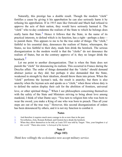<span id="page-124-3"></span>Naturally, this prestige has a double result. Though the modern "clerk" fortifies a cause by giving it his approbation he can also seriously harm it by refusing his approbation. If in 1915 men like Ostwald and Mach had refused to approve the acts of their nation, they would have seriously harmed it. The "clerk" who to-day condemns the realism of the State to which he belongs does really harm that State.<sup>[1](#page-124-0)</sup> Hence it follows that the State, in the name of its practical interests, to defend which is its function, has a right—perhaps a duty to punish them. This appears to me to be the true order of things: The "clerk," faithful to his essential duty, denounces the realism of States; whereupon, the States, no less faithful to their duty, made him drink the hemlock. The serious disorganization in the modern world is that the "clerks" do not denounce the realism of States, but on the contrary approve of it; they no longer drink the hemlock.<sup>[2](#page-124-1)</sup>

<span id="page-124-4"></span>Let me point to another disorganization. That is when the State does not punish the "clerk" for denouncing its realism. This occurred in France during the Dreyfus affair. The order of things demanded that the "clerks" should demand abstract justice as they did; but perhaps it also demanded that the State, weakened in strength by their idealism, should throw them into prison. When the "clerk" performs the layman's task, the result is anarchy; but there is also anarchy when the layman acts and speaks as a "clerk," when those whose duty is to defend the nation display their cult for the abolition of frontiers, universal love, or other spiritual things.  $3$  When I see philosophers concerning themselves with the safety of the State and Ministers striving to bring about love among mankind, I think of what Dante says: "You turn to religion him who was born to wear the sword, you make a King of one who was born to preach. Thus all your steps are out of the true way." However, this second disorganization of orders has been denounced by others, and it is not my function to combat it.

# <span id="page-124-5"></span>**Notes**

- <span id="page-124-1"></span>[2](#page-124-4). Nevertheless, Zola, Romain Rolland, and Einstein have drunk the hemlock.
- <span id="page-124-2"></span>[3](#page-124-5). When they allow themselves to be told, as Louis XVI was told by Turgot: "Sire, your kingdom *is of this world."* There also exists *"a betrayal of the laymen."*

# **Note F (Page 103)**

*Think how willingly the ecclesiastics now accept military service.*

<span id="page-124-0"></span>[<sup>1</sup>](#page-124-3). And therefore it requires much more courage to do so now than in the past.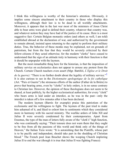I think this willingness is worthy of the historian's attention. Obviously, it implies some sincere attachment to their country in those who display this willingness, although their law is to be dead to all worldly attachments. Moreover, it appears that in the last war most of the ministers of Jesus Christ able to bear arms were glad to defend their country, whatever that country was, and whatever notion they may have had of the justice of its cause. Here is a most suggestive fact: Certain Belgian monastic orders (and others as well, I am told) established abroad at the declaration of war, and authorized by the government to remain abroad, insisted upon returning to the capital to perform their military duties. True, the behavior of these monks may be explained, not on grounds of patriotism, but from the fear that they would be severely criticized by their fellow-citizens if they acted otherwise; for the modern "clerks" have ceased to understand that the sign of an attitude truly in harmony with their function is that it should be unpopular with the laymen.

But the most remarkable thing here for the historian, is that the imposition of military service on ecclesiastics does not appear to arouse any protest from the Church. Certain Church teachers even assert (Mgr. Battifol, *L'Eglise et le Droit*

<span id="page-125-0"></span>*de la guerre)*: "There is no further doubt about the legality of military service." [1](#page-126-0) It is also curious to see in the *Dictionnaire apologetique de la foi catholique* (Art. "Paix et Guerre") the strenuous efforts of the author (Father de la Brière) to prove that bearing arms, even by "clerks" in holy orders, is in no sense contrary to Christian law. However, the opinion of these theologians does not seem to be shared, at least publicly, by the higher ecclesiastical authorities; for every "clerk" who bears arms is laid under an interdict, as he was in the past—only the interdict is taken off a few minutes after it has been declared.

The modern laymen (Barrès for example) praise this patriotism of the ecclesiastic and his willingness to fight. The laymen of the past tried to make him ashamed of it, and liked to exhort him to sentiments which they considered more in harmony with his sacred ministry. The warlike ardors of John XII and Julius II were severely condemned by their contemporaries. Apart from Erasmus, the type of the man of letters fully aware of the "clerk's" high function, who was continually saying: "Their tonsure does not warn them that they ought to be free from all the passions of this world and think only of the things of Heaven," the Italian Tizio wrote: "It is astonishing that the Pontiffs, whose part is to be pacific and independent, should take part in the shedding of Christian blood." The French poet Jean Bouchet shows the weeping Church imploring Julius II to end the war (though it is true that Julius II was fighting France):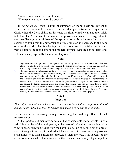"Your patron is my Lord Saint Peter, Who never warred for worldly goods."

In *Le Songe du Verger,* a kind of summary of moral doctrines current in France in the fourteenth century, there is a dialogue between a Knight and a Clerk, when the Clerk claims for his caste the right to make war, and the Knight tells him that "the arms of the 'clerks' are prayers and tears." It is suggestive to see a soldier urging a minister of the spiritual to perform his true function and seeming to think that the performance of this function is necessary to the good order of the world. Here is a feeling for "clerkdom" and its social value which is very seldom to be found among the modern laymen, even the non-military ones —I nearly said, especially the non-military ones.<sup>[2](#page-126-1)</sup>

#### <span id="page-126-2"></span>**Notes**

- <span id="page-126-0"></span>[1](#page-125-0). Mgr. Battifol's writings support my argument so beautifully that I hesitate to quote an author who plays so perfectly into my hands. For example, he spends much time in proving that the spirit of Christianity "has resulted, with contradicting itself, in a doctrine of the morality of war."
- <span id="page-126-1"></span>[2](#page-126-2). Here is a passage which, except for its violence, seems to me to express the feelings of most modern laymen on the subject of the patriotic loyalty of the priests: "The clergy of France is ardently patriotic; it serves gallantly under fire; it absolves and glorifies every action of the soldier; it regards the accusation of having deserted military duty as infamous, and does it justice. It is not for me to say whether it is in accord with the Gospels. We are simply Frenchmen and patriots; we can only approve and admire the French patriotic monks and priests. The French priest has no pardon for a German, the German priest and pastor have no pardon for a Frenchman. Mother-country first! Kill! Kill! In the name of the God of the Christians, we absolve you, we glorify you for killing Christians!" (Urbain Gohier, "La Vieille France," quoted by Grillot de Givry, *Le Christ et la Patrie,* page 12.)

# **Note G (Page 106)**

# *That self-examination to which every spectator is impelled by a representation of human beings which he feels to be true and solely pre-occupied with truth.*

Let me quote the following passage concerning the civilizing effects of such representation:—

"This spectacle of man offered to man has considerable moral effects. First, a valuable exercise of the intelligence, an increase of reflection, a widening of the view in every direction, result from the habit thus set up of getting out of oneself and entering into others, to understand their actions, to share in their passions, sympathize with their sufferings, appreciate their motives. This faculty of the artist communicated to the spectator or the listener, this faculty of participation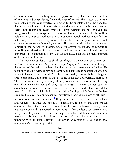and assimilation, is something set up in opposition to egotism and is a condition of tolerance and benevolence, frequently even of justice. Then, lessons of virtue, frequently not the least effective, are given to the spectator, from the very fact that he is placed in a position to praise or condemn acts or thoughts which are set before him relative to cases where his own interests are not involved. He recognizes his own image in the actor of the epic, a man like himself, a voluntary and impassioned agent, whose dangers though perhaps magnified are not foreign to his own experience. Then the essential phenomena which characterize conscious humanity and morality occur in him who thus witnesses himself in the person of another, i.e. distinterested objectivity of himself to himself, generalization of passion, motive and maxim, judgment founded on the universal, self-examination to arrive at what is duty, clear and defined sentiment of the direction of the will.

*"But this must not lead us to think that the poet's object is utility or morality. If it were, he would be lacking in the true feeling of art.* Teaching, moralizing this object of the artist is indirect, i.e. does not exist systematically for him. He must only attain it without having sought it, and sometimes he attains it when he seems to have departed from it. What he desires to do, is to touch the feelings, to arouse emotions. But it happens that by doing so he elevates, purifies, moralizes. The poet (I am especially speaking of him) does indeed address himself to every one. *That means he can only sing the universal,* however curious such an assembly of words may appear. He may indeed sing it under the form of the particular, without which his fictions would be lacking in life, he none the less excludes the pure, incomprehensible, inexplicable individual, shorn of all truth if

he does not express a relationship.  $<sup>1</sup>$  $<sup>1</sup>$  $<sup>1</sup>$  He generalizes passion, therefore ennobles it</sup> and renders it at once the object of observation, reflection and disinterested emotion. The listener, carried away from his own relatively base private preoccupations and transported without hope or fear (at least, too personal and too present hope and fear) into the superior sphere of humanity's common passion, feels the benefit of an elevation of soul; his consciousness is temporarily freed from egotism. (Renouvier, *Introduction à la philosophie analytique de l'Histoire,* p. 354.)

## <span id="page-127-1"></span>**Note**

<span id="page-127-0"></span>[1](#page-127-1). This clearly shows in what sense Renouvier is an "individualist." (See above, page 100.)

**Note H (Page 107)**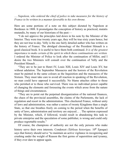… *Napoleon, who ordered the chief of police to take measures for the history of France to be written in a manner favorable to his own throne.*

Here are some portions of a note on this subject dictated by Napoleon at Bordeaux in 1808. It promulgates the conception of history as practiced, mutatis mutandis, by many of our historians of the past:—

"I do not approve the principles laid down in his note by the Minister of the Interior. They were true twenty years ago, they will be true sixty years hence, but they are not true to-day. Velly is the one fairly detailed author who has written on the history of France. The abridged chronology of the President Hénault is a good classical book. It is useful to have them both continued. *It is of the greatest importance to make certain of the spirit in which these continuations are written.* I ordered the Minister of Police to look after the continuation of Millot, and I desire the two Ministers will consult over the continuation of Velly and the President Hénault… .

"They are to be just to Henri IV, Louis XIII, Louis XIV and Louis XV, but without adulation. The September Massacres and the horrors of the Revolution must be painted in the same colours as the Inquisition and the massacres of the Sixteen. They must take care to avoid all reaction in speaking of the Revolution, no man could have opposed it successfully. No blame attaches either to those who perished or to those who survived. There was no individual power capable of changing the elements and foreseeing the events which arose from the nature of things and circumstances.

"They are to point out the perpetual disorganization of the national finances, the chaos of the provincial assembles, the claims of the Parlements, the lack of regulation and resort in the administration. This checkered France, without unity of laws and administration, was rather a union of twenty Kingdoms than a single State, so that one breathes freely on coming to the period when the benefits of unity of laws, administration and territory are enjoyed… . The opinion expressed by the Minister, which, if followed, would result in abandoning this task to private enterprise and the speculation of some publisher, is wrong and could only produce regrettable results."

Of course, the champions of authority are not the only persons who make history serve their own interests. Condorcet *(Tableau historique,* 10<sup>e</sup> Epoque) says that history should serve "to maintain an active vigilance in recognizing and crushing under the weight of Reason the first germs of superstition and tyranny, if they ever dare to appear again.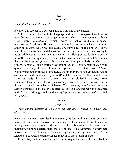# **Note I (Page 107)**

*Humanitarianism and Humanism.*

Here, on this subject, is a curious passage from one of the ancients:—

"Those who created the Latin language and those who spoke it well do not give the word *humanitas* the vulgar meaning which is synonymous with the Greek word *philanthropia,* which means an active kindness, a tender benevolence for all men. But they give the word the meaning which the Greeks attach to *paideia,* which we call education, knowledge of the fine arts. Those who show the most taste and disposition for these studies are the most worthy to be called *humanissimi.* For man alone among all living beings is able to devote himself to cultivating a study which for that reason has been called *humanitas.* Such is the meaning given to this by the ancients, particularly by Varro and Cicero. Almost all their works show examples, so I shall content myself with quoting one only. I have chosen the opening of the first book of Varro 'Concerning human things': 'Praxiteles, qui propter artificium egregium nemini est paulum modo humaniori ignotus (Praxiteles, whose excellent talent as an artist has made him known to every man at all skilled in the arts).' Here *humanior* does not bear the vulgar meaning of easy, tractable, benevolent even though lacking in knowledge of letters. That meaning would not express the author's thought. It means an educated, a learned man, one who is acquainted with Praxiteles through books and history." *(Aulus Gellius, Noctes Atticae,* Book XIII, XVI.)

# **Note J (Page 112)**

… *they cannot suf iciently denounce all institutions based on liberty and discussion.*

Note that the novelty here lies in the passion, the fury with which they condemn liberty of discussion. Otherwise, we see most of the so-called liberal thinkers in history themselves recognize the necessity for submission to the sovereign's judgment. Spinoza declares that "there is no possible government if every man makes himself the defender of his own rights and the rights of others." The *Letters of Descartes* contain passages in favor of the "reason of State."

It is perhaps not sufficiently noticed how frequently the old French absolute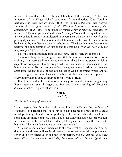monarchists say that justice is the chief function of the sovereign. "The most important of the King's rights," says one of these theorists (Guy Coquille, *Institution du droit des Français,* 1608) "is to make *the laws and general statutes for the good order of his Kingdom."* Another (Loyseau, *Des Seigneuries,* 1608) says: "The usage of public *lordship must be regulated by justice.* …" Bossuet *(Instruction à Louis XIV)* says: "When the King administers justice or has it exactly administered in accordance with the laws, *which is his principal function.* …" The modern absolute monarchists, even French, seem to be inspired by the German theorist, who says: "The State has two functions to perform: the administration of justice and the waging of war. *But war is by far the principal."* (Treitschke.)

Note this famous passage from Bossuet *(Pol.,* Book VIII, art. II, par. I):

"It is one thing for it (the government) to be absolute, another for it to be arbitrary. It is absolute in relation to constraint, there being no power which is capable of compelling the sovereign, who in this sense is independent of all human authority. But it does not follow that government is arbitrary; because, apart from the fact that all things are subject to God's judgment (which applies also to the government we have called arbitrary), there are laws in empires, and everything which is done contrary to them is void of right."

It will be seen that the defense of arbitrary government is a new thing among French teachers, even in regard to Bossuet. (I am speaking of Bossuet's *doctrines,* not of his practical advice.)

# **Note K (Page 115)**

*This is the teaching of Nietzsche.*

I must repeat that throughout this work I am considering the teaching of Nietzsche (and Hegel's too) in so far as it has become the pretext for a great moral preaching, though I know perfectly well that in reality this teaching is something far more complex. I shall quote the following judicious observation, in connection with the fact that certain philosophers have only themselves to blame for "the misunderstanding of their true thought":

"Nietzscheism has been subjected to the same test as Hegelianism. And no doubt here and there philosophical themes have served especially as pretexts to cover up a new offensive on the part of barbarism. *But the fact that they have been utilized, the manner in which they have been utilized, have a significance*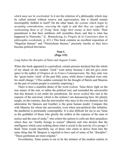*which must not be overlooked.* Is it not the criterion of a philosophy which may be called rational without reserve and equivocation, that it should remain incorruptibly faithful to itself? On the other hand, *the systems which begin by accepting contradictions, reserving the right to add that they are capable of surmounting them or of 'living' them, lodge their enemy in their midst.* Their punishment is that their antithesis still resembles them; and that is what has happened to Nietzsche." (L. Brunschvicg, *Le Progrès de la Conscience dans la philosophie occidentale,* p. 431.) This book contains an excellent exposition of "Hegelian themes" and "Nietzschean themes," precisely insofar as they have become political breviaries.

## **Note L**

# **(Page 115)**

*Long before the disciples of Taine and Auguste Comte.*

When this book appeared in a periodical, certain persons declared that the whole of my attack on the modern "clerk" went astray because I did not give more space to the author of *Origines de la France Contemporaine.* He, they said, was the "great realist 'clerk' of the past fifty years, while those I attacked were only his small change." (This sudden contempt for the thought of Barrès and Maurras on the part of certain people is certainly surprising.)

There is here a manifest abuse of the word *realism.* Taine threw light on the true nature of the real, or rather the political real, and reminded the universalist that this domain is not under his jurisdiction. He never *exalted* this real at the expense of the universal, which is the realism I am denouncing here. He plainly taught, on the contrary, that the universalist who stays in his own domain (see his admiration for Spinoza and Goethe) is the great human model. Compare this with Maurras for whom the universalist, even when non-political (the infinitist, the pantheist) is profoundly contemptible. It is also difficult for me to see Taine as the godfather of those who glorify the soldier at the expense of the man of justice and the man of study,  $1$  who exhort the nations to cultivate their prejudices where they are "totally foreign to reason" (Barrès) and who declare that the intelligence which cares nothing about what is social is the activity of a savage. I think Taine would cheerfully say of those who claim to derive from him the same thing that M. Bergson is reported to have said of some of his "disciples": "These gentlemen are most original."

<span id="page-131-0"></span>Nevertheless, Taine seems to me to be the initiator of the modern realists in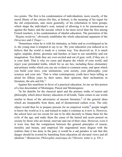two points. The first is his condemnation of individualism, more exactly, of the moral liberty of the citizen (for this, at bottom, is the meaning of his regret for the old corporations, and, more generally, of his exhortation to form groups, which shape the individual's soul, instead of allowing it to be autonomous as against the State); and the second, which is far more novel than the first among French teachers, is his condemnation of idealist education. The peroration of the *"Regime moderne"* obviously establishes the whole educational argument of the *Déracines* and *L*'*Étape:*—

"Sometimes when he is with his intimates, as bitter and as overfatigued as he is, the young man is tempted to say to us: 'By your education you induced us to believe that the world is made in a certain way. You deceived us. It is much uglier, stupider, dirtier, gloomier and harsher, at least to our sensibility and our imagination. You think they are over-excited and out of gear; well, if they are, it is your fault. That is why we curse and despise the whole of your world, and reject your pretended truths, which for us are lies, including those elementary and primary truths which you say are evident to common sense, and upon which you build your laws, your institutions, your society, your philosophy, your sciences and your arts.' That is what contemporary youth have been telling us aloud for fifteen years by their tastes, their opinions, their inclinations in literature, the arts and life."

Against this manifesto in favor of a practical education, let me set this protest of a true descendant of Montaigne, Pascal and Montesquieu:

<span id="page-132-1"></span><span id="page-132-0"></span>"In his diatribe for the classical spirit and the primary truths of reason and philosophy which direct literary education of all kinds, Taine comes to use words similar to those of the adversaries of ancient literature,  $2$  of the general ideas which are inseparable from them, and of disinterested culture even. The only object would then be to prepare persons for an empirical world,  $3$  people taught to know the world as it is, and trained to make it continue as it now is. However, the school laws are too recent for one to be able decently to blame them for the evils of the age, and make them the cause of the hatred and scorn poured on society by those who are bored, enervate and out of their class. However, even if it were true that the comparison between the general principles of reason, morality and beauty, and empirical life engendered more disgust with the realities than it has done in the past, it would be a sad paradox to ask that this danger should be averted by banishing from education all elevated views and all idealism." (Renouvier, *Philosophie analytique de l'Histoire,* tome iv, p. 541.)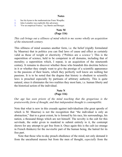#### **Notes**

- <span id="page-133-0"></span>[1](#page-131-0). See his hymn to the mathematician Franz Woepfke.
- <span id="page-133-1"></span>[2](#page-132-0). Jules Lemaître was explicitly this adversary.
- <span id="page-133-2"></span>[3](#page-132-1). "For an empirical France," say Barrès and Bourget.

# **Note M**

## **(Page 116)**

*This cult brings out a silliness of mind which to me seems wholly an acquisition of the nineteenth century.*

This silliness of mind assumes another form, i.e. the belief (rigidly formulated by Maurras) that in politics you can find laws of cause and effect as certainly valid as those of weight or electricity. ("Politics are a *science")* This is the superstition of science, held to be competent in all domains, including that of morality; a superstition which, I repeat, is an acquisition of the nineteenth century. It remains to discover whether those who brandish this doctrine believe in it or whether they simply want to give the prestige of a scientific appearance to the passions of their hearts, which they perfectly well know are nothing but passions. It is to be noted that the dogma that history is obedient to scientific laws is preached especially by partisans of arbitrary authority. This is quite natural, since it eliminates the two realities they most hate, i.e. human liberty and the historical action of the individual.

## **Note N**

## **(Page 116)**

*Our age has seen priests of the mind teaching that the gregarious is the praiseworthy form of thought, and that independent thought is contemptible.*

Note that what is new in this crusade against individualism (the great apostle of which is M. Maurras) is not the recognition that "the individual is only an abstraction," that to a great extent, he is formed by his race, his surroundings, his nation, a thousand things which are not himself. The novelty is the cult for this servitude, the order given to mankind to submit entirely to it, the contempt shown for any attempt to get free from it. Once again this is the cult (so strange in French thinkers) for the *inevitable* part of the human being, the hatred for its free part.

Note that those who to-day preach obedience of the mind, not only demand it from the uncultured masses but from the men of thought, *especially* from the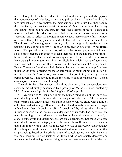men of thought. The anti-individualists of the Dreyfus affair particularly opposed the independence of scientists, writers, and philosophers —"the mad vanity of a few intellectuals." Nevertheless, the most curious thing is not that they require this obedience, but that they obtain it. When M. Maritain declares that "every one cannot philosophize and that, for men, the essential thing is to choose a master," and when M. Maurras asserts that the function of most minds is to be "servants" and to reflect the thought of some leader, these teachers find a number of men of thought to applaud and abdicate their liberty of mind in their favor. The thinkers of the eighteenth century said: "A religion is needed for the people." Those of our age say: "A religion is needed for ourselves." What Barrès wrote: "The part of the masters is to justify the habits and prejudices of France, so as best to prepare our children to take their place in the national procession," he certainly meant that he and his colleagues were to walk in this procession. Here we again come upon that thirst for discipline which I spoke of above and which seemed to me so worthy of remark in the descendants of Montaigne and Renan. The cause, I said, was their desire to belong to a "strong group." In them it also arises from a feeling for the artistic value of regimenting a collection of men in a beautiful "procession," and also from the joy felt by so many souls in being governed, if not having to make the effort to think for themselves—a most curious joy in so-called men of thought.

The cult for the collective soul, with all its violation of human consciousness, seems to me admirably denounced by a passage of Maine de Biran, quoted by M. L. Brunschvicg (op. cit., *La Sociologie de l'ordre,* p. 526):—

"… According to M. Bonald, it is not the human mind, it is not the individual understanding which is the seat, the true subject of inherence of the nations or (universal) truths under discussion; but it is society, which, gifted with a kind of collective understanding different from that of individuals, was from its origin imbued with them through the gift of speech and by virtue of a miraculous influence exerted on the mass alone, independent of its parts. The individual, the man, is nothing; society alone exists; society is the soul of the moral world, it alone exists, while individual persons are only phenomena. Let those who can, understand this social metaphysics. If the author himself understands it clearly, then I am in the wrong. Then we must cease to talk of philosophy and recognize the nothingness of the science of intellectual and moral man, we must admit that all psychology based on the primitive fact of consciousness is simply false, and we must consider science itself as an illusion which perpetually deceives and misleads us by showing us everything, even our own existence, in a false and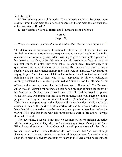fantastic light."

M. Brunschvicg very rightly adds: "The antithesis could not be stated more clearly. Either the primary fact of consciousness, or the primary fact of language; either Socrates or Bonald."

Either Socrates or Bonald. Barrès and Maurras made their choice.

# <span id="page-135-1"></span><span id="page-135-0"></span>**Note O (Page 121)**

… *Péguy who admires philosophies to the extent that "they are good fighters."* [1](#page-136-0)

This determination to praise philosophers for their virtues of action rather than for their intellectual virtues is very frequent among men of thought to-day. In his *Souvenirs concernant Lagneau,* Alain, wishing to give as favorable a picture of his master as possible, praises his energy and his resolution at least as much as his intelligence. It is also very remarkable—although here literature only is in question—to see a professor of moral science (M. Jacques Bardoux) setting a special value on those French literary men who were soldiers, i.e. Vauvenargues, Vigny, Pèguy. As to the men of letters themselves, I shall content myself with pointing out that one of them who is most applauded by his own colleagues recently declared that he chiefly admired d'Annunzio for his attitude as an officer, and expressed regret that he had returned to literature.<sup>[2](#page-136-1)</sup> The Emperor Julian praised Aristotle for having said that he felt prouder of being the author of his *Treatise on Theology* than he would have felt if he had destroyed the power of the Persians. One might still find soldiers in France who would agree with this judgment, but very few men of letters. Elsewhere *(Les Sentiments de Critias,* p. 206) I have attempted to give the history and the explanation of this desire (so

curious in men of the pen) to exalt a warlike life and to scorn a sedentary life. Note that this characteristic is to be seen in contemporary writers long before the war of 1914, and that those who talk most about a warlike life are not always those who lead it.

<span id="page-135-2"></span>The new thing, I repeat, is not that we see men of letters praising an active life and scorning a sedentary life; it is *the absence of naïveté, the dogmatic tone.* When Ronsard exclaims: "Good Gods, who would praise those who let life go by bent over books" [3](#page-137-0)*;* when Bertrand de Born wishes that "no man of high lineage should have any thought but cutting off heads and arms"; when Froissart sings the glories of chivalry and casts his scorn in the faces of the bourgeois, no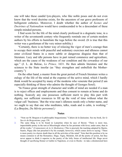one will take these candid lyre-players, who like noble poses and do not even know that the word doctrine exists, for the ancestors of our grave professors of belligerent esthetics. Moreover, I doubt whether the author of *Scenes and Doctrines of Nationalism* would have condescended to be a descendant of these simple-minded persons.

I find scorn for the life of the mind clearly professed in a dogmatic tone, in a writer of the seventeenth century who frequently reminds one of certain modern authors by his efforts to humiliate the toga before the sword. (It is true that this writer was a gentleman of the very minor nobility.)

"Certainly, there is no better way of relaxing the vigor of men's courage than to occupy their minds with peaceful and sedentary exercises and idleness cannot enter civilized States in a more subtle or dangerous disguise than that of literature. Lazy and idle persons have in part ruined commerce and agriculture, which are the cause of the weakness of our condition and the cowardice of our age." (J. L. de Balzac, *Le Prince,* 1631. He then admits literature and the sciences to the State insofar (as "they strengthen and embellish the Mothercountry.")

On the other hand, a master from the great period of French literature writes a eulogy of the life of the mind at the expense of the active mind, which I hardly think would be accepted by many of the moderns who venerate that period (I am especially thinking of those who admire the thought of Georges Sorel).

"In France great strength of character and width of mind are needed if a man is to reject offices and employments and thus consent to remain at home and do nothing. Scarcely any one possesses sufficient merit to play this part with dignity, nor sufficient resources to fill up the void of time without what the vulgar call 'business.' But the wise man's idleness needs only a better name, and we ought to say that one who meditates, talks, reads and is calm, is working." (La Bruyère, *Du Mérite personnel.)*

#### **Notes**

- <span id="page-136-0"></span>[1](#page-135-0). "Note sur M. Bergson et la philosophic bergsonienne," Cahiers de la Quinzaine. See my book, *Sur le Succès du Bergsonisme, page* 158.
- <span id="page-136-1"></span>[2](#page-135-1). The same thing is to be found in Lamartine when he says of Byron: "There is more true, imperishable poetry in the tent at Missolonghi where he lies prostrate with fever, under arms, than in all his works." *(Commentaire de la 2e Meditation.)* This is precisely the teaching adopted by Barrès, Suarès, Péguy (the last preached it by his example, however), which comes down to saying: "There is more poetry in a heroic death than in all the activities of the mind." Note that this position is by no means common to all the Romantics. Hugo, Vigny, Michelet, felt all the poetry of action, but they never appear to think it superior to the poetry of the lofty forms of intellectual life. Hugo never thought of sacrificing Homer or Galilei to Napoleon, or even to Hoche—to take a disinterested hero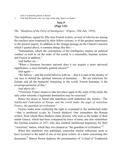such as Lamartine praises in Byron.

<span id="page-137-0"></span>[3](#page-135-2). Note that Ronsard is the very type of the man "bent over books."

# **Note P (Page 122)**

# *The "Manifesto of the Party of Intelligence" (Figaro, 19th July, 19*19).

This manifesto, signed by fifty-four French writers, several of who1m are among the teachers most respected by their fellow-citizens, is of the greatest importance to the present inquiry. In addition to the strange passage on the Church's mission which I quoted above, it contains things like this:—

"Nationalism, which the conceptions of the intelligence impose on political conduct as well as on the order of the world, is a reasonable, humane system, and French in addition."

And further on:—

"When a literature becomes national does it not acquire a more universal significance, a more humanly general interest?"

And again:—

"We believe—and the world believes with us— that it is part of the destiny of our race to defend the spiritual interests of humanity… . We are solicitous for Europe and all the humanity remaining in the world. French humanity is the sovereign protector of this."

And above all:—

"Victorious France means to take her place again in the order of the mind, the only order whereby a legitimate domination may be exercised."

Hence the desire to found (the manifesto itself underlines the words): *"The intellectual Federation of Europe and the world under the aegis of victorious France, the guardian of civilization."*

Victory under arms conferring the right to command in the intellectual order —that is professed to-day by French thinkers! One remembers the Roman writers, from whom these thinkers claim descent, who took as the leader of their minds Greece, which had been conquered by force of arms; one also remembers the German teachers of 1871 who also claimed intellectual hegemony for their "victorious" nation, which they too claimed as "the guardian of civilization."<sup>[1](#page-138-0)</sup>

<span id="page-137-2"></span><span id="page-137-1"></span>When this manifesto was published, somewhat similar reflections seem to have occurred to the mind of one of our great writers. In a letter concerning this document,<sup>[2](#page-138-1)</sup> Marcel Proust deplores the proclamation of "a kind of 'Frankreich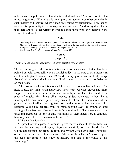ueber alles,' the policeman of the literature of all nations." As a true priest of the mind, he goes on: "Why take this peremptory attitude towards other countries in such matters as literature, where a man only reigns by persuasion?" I am happy to take this opportunity to do homage to this true "clerk," and to say that I know that there are still other writers in France beside those who only believe in the virtue of cold steel.

#### **Notes**

<span id="page-138-1"></span>[2](#page-137-2). See Robert Dreyfus, *Souvenirs sur Marcel Proust,* page 336.

## **Note Q**

# **(Page 125)**

*Those who base their judgments on their artistic sensibilities.*

This artistic origin of the political attitudes of so many men of letters has been pointed out with great ability by M. Daniel Halévy in the case of M. Maurras. In an old article *(La Grande France,* 1902) M. Halévy quotes this beautiful passage from M. Maurras's *Anthinéa* on the walk of women carrying a clay pot balanced on their heads:—

"The bosom swells and is modeled like a vase, it opens like a flower. The neck settles, the loins strain nervously. Their walk becomes graver and more supple, is measured with an inestimable sobriety; it unrolls in the mind like a piece of music. This living pillar moves, glides, advances, without being interrupted by any sudden jerk or any break. It follows the undulations of the ground, adapts itself to the slightest rises, and thus resembles the stem of a beautiful young tree set free from its roots, moving over the ground without leaving it for a fraction of an inch. An infinite multitude of half-pauses make the jerks imperceptible, or one is only conscious of their succession, a continual harmony which leaves its curves in the air… ."

M. Daniel Halévy adds:—

"I quote the whole passage because it gives the very idea of Charles Maurras. For his classical way of thought, things are beautiful, not from the shocks of feeling and passion, but from the form and rhythm which give them continuity, or rather existence in the human sense of the word. M. Charles Maurras applies this taste for form to the study of history, and that is the whole of his 'sociology.'"

<span id="page-138-0"></span>[<sup>1</sup>](#page-137-1). "Germany is the protector and the support of European civilization." (Lamprecht.) "After the war Germany will again take up her historic task, which is to be the heart of Europe and to prepare European humanity." (Wilhelm II, *Temps,* 14th September, 1915.)